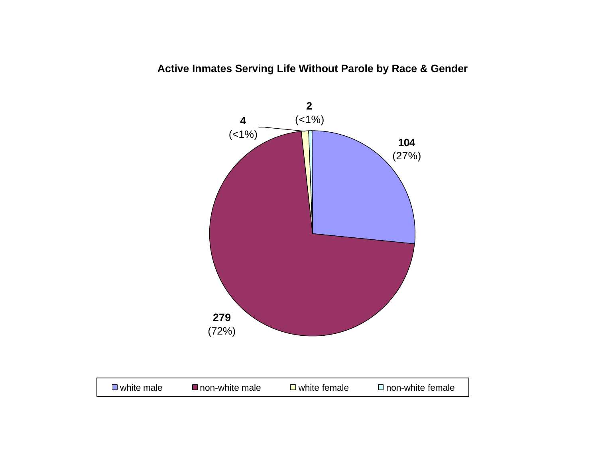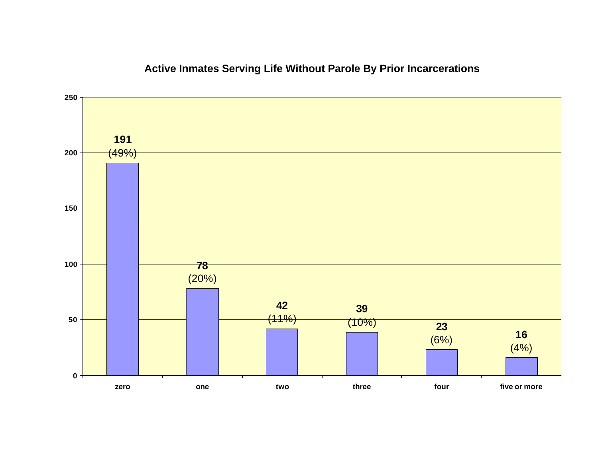

# **Active Inmates Serving Life Without Parole By Prior Incarcerations**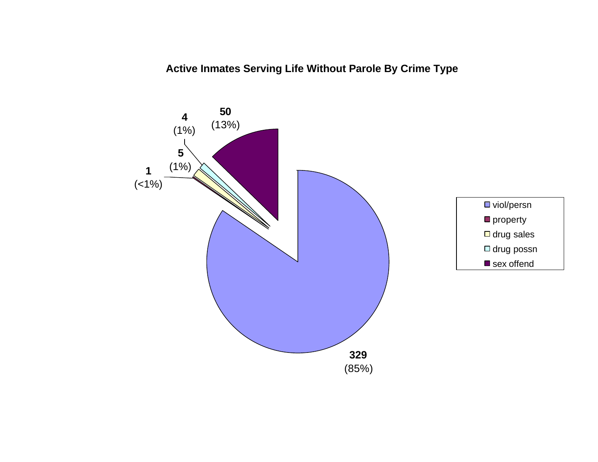**Active Inmates Serving Life Without Parole By Crime Type**

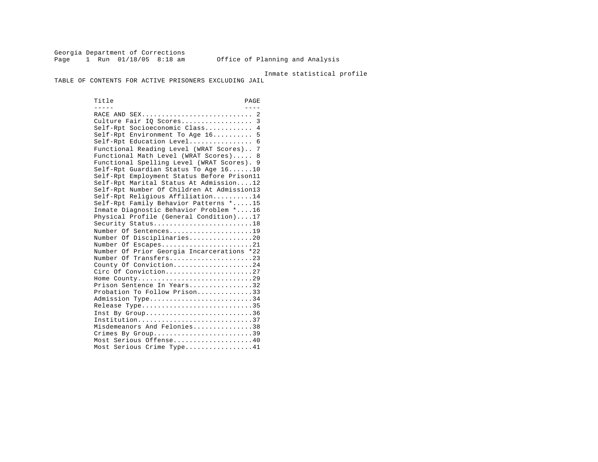Georgia Department of Corrections Page 1 Run 01/18/05 8:18 am Office of Planning and Analysis

#### Inmate statistical profile

TABLE OF CONTENTS FOR ACTIVE PRISONERS EXCLUDING JAIL

Title PAGE ----- ---- RACE AND SEX............................ 2 Culture Fair IQ Scores.................. 3 Self-Rpt Socioeconomic Class............ 4 Self-Rpt Environment To Age 16.......... 5 Self-Rpt Education Level.................. 6 Functional Reading Level (WRAT Scores).. 7 Functional Math Level (WRAT Scores)..... 8 Functional Spelling Level (WRAT Scores). 9 Self-Rpt Guardian Status To Age 16......10 Self-Rpt Employment Status Before Prison11 Self-Rpt Marital Status At Admission....12 Self-Rpt Number Of Children At Admission13 Self-Rpt Religious Affiliation..........14 Self-Rpt Family Behavior Patterns \*.....15 Inmate Diagnostic Behavior Problem \*....16 Physical Profile (General Condition)....17 Security Status............................18 Number Of Sentences......................19 Number Of Disciplinaries................20 Number Of Escapes.........................21 Number Of Prior Georgia Incarcerations \*22 Number Of Transfers.......................23 County Of Conviction....................24 Circ Of Conviction........................27 Home County.............................29 Prison Sentence In Years................32 Probation To Follow Prison..............33 Admission Type.............................34 Release Type...............................35 Inst By Group..............................36 Institution.............................37 Misdemeanors And Felonies...............38 Crimes By Group.............................39 Most Serious Offense....................40 Most Serious Crime Type.................41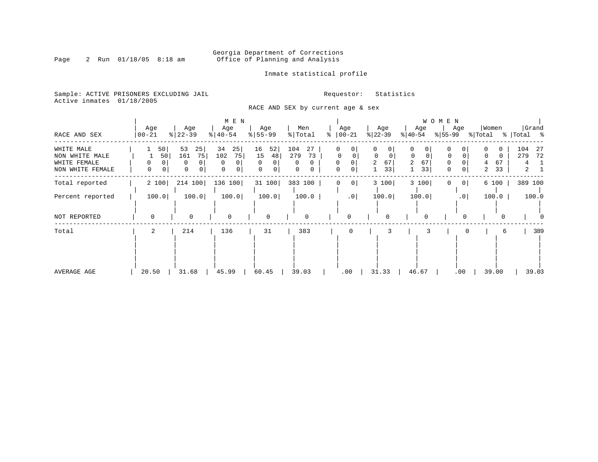# Georgia Department of Corrections<br>Page 2 Run 01/18/05 8:18 am 60ffice of Planning and Analysis Office of Planning and Analysis

Inmate statistical profile

Sample: ACTIVE PRISONERS EXCLUDING JAIL **Requestor:** Statistics Active inmates 01/18/2005

RACE AND SEX by current age & sex

|                                                                  |                          |                                                | M E N                                       |                                                                  |                                  |                         |                                            |                                                          | WOMEN               |                                            |                                                |
|------------------------------------------------------------------|--------------------------|------------------------------------------------|---------------------------------------------|------------------------------------------------------------------|----------------------------------|-------------------------|--------------------------------------------|----------------------------------------------------------|---------------------|--------------------------------------------|------------------------------------------------|
| RACE AND SEX                                                     | Age<br>  00-21           | Age<br>$ 22-39$                                | Age<br>$ 40-54 $                            | Age<br>$8 55-99$                                                 | Men<br>$\frac{1}{2}$ Total       | Age<br>$ 00-21$<br>°    | Age<br>$ 22-39 $                           | Age<br>$ 40-54 $                                         | Age<br>% 55−99      | Women<br>% Total                           | Grand<br>%   Total %                           |
| WHITE MALE<br>NON WHITE MALE<br>WHITE FEMALE<br>NON WHITE FEMALE | 50 <br>50<br>0<br>0<br>0 | 53<br>25<br>161<br>75<br>0<br>$\mathbf 0$<br>0 | 34<br>25<br>102<br>75<br>$\Omega$<br>0<br>0 | 52<br>16<br>15<br>48<br>$\Omega$<br>$\Omega$<br>$\mathbf 0$<br>0 | 104<br>27<br>73<br>279<br>0<br>0 | 0<br>0<br>0<br>$\Omega$ | 0<br>0<br>$\Omega$<br>$\Omega$<br>67<br>33 | 0<br>0<br>$\mathbf 0$<br>0<br>67<br>$\overline{a}$<br>33 | 0<br>0<br>0<br>0    | $\Omega$<br>$\Omega$<br>67<br>4<br>33<br>2 | 104<br>-27<br>279<br>72<br>4<br>$\overline{a}$ |
| Total reported                                                   | 2 100                    | 214 100                                        | 136 100                                     | 31 100                                                           | 383 100                          | $\circ$                 | 3 100                                      | 3 100                                                    | 0 <sup>1</sup><br>0 | 6 100                                      | 389 100                                        |
| Percent reported                                                 | 100.0                    | 100.0                                          | 100.0                                       | 100.0                                                            | 100.0                            | .0                      | 100.0                                      | 100.0                                                    | .0                  | 100.0                                      | 100.0                                          |
| NOT REPORTED                                                     | 0                        | 0                                              | $\mathbf 0$                                 | 0                                                                | $\mathbf 0$                      | $\Omega$                | 0                                          | 0                                                        | 0                   |                                            |                                                |
| Total                                                            | 2                        | 214                                            | 136                                         | 31                                                               | 383                              |                         |                                            |                                                          |                     | 6                                          | 389                                            |
| AVERAGE AGE                                                      | 20.50                    | 31.68                                          | 45.99                                       | 60.45                                                            | 39.03                            | .00                     | 31.33                                      | 46.67                                                    | .00                 | 39.00                                      | 39.03                                          |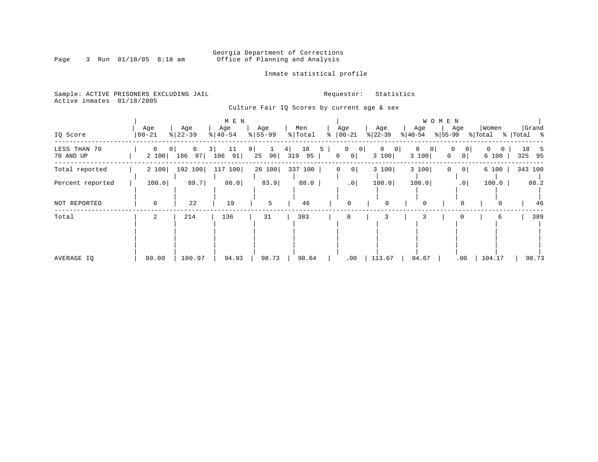# Georgia Department of Corrections<br>Page 3 Run 01/18/05 8:18 am 60ffice of Planning and Analysis Office of Planning and Analysis

Inmate statistical profile

Sample: ACTIVE PRISONERS EXCLUDING JAIL **Requestor:** Statistics Active inmates 01/18/2005

Culture Fair IQ Scores by current age & sex

| IQ Score                  | Age<br>$ 00 - 21$     | Age<br>$ 22-39$                  | M E N<br>Age<br>$\frac{1}{6}$   40-54 | Age<br>$8 55-99$                            | Men<br>%   Total | Age<br>$ 00 - 21$<br>፠              | Age<br>$ 22-39 $                               | Age<br>$ 40-54 $                      | W O M E N<br>Age<br>$ 55-99 $                      | Women<br>% Total       | Grand<br>%   Total %   |
|---------------------------|-----------------------|----------------------------------|---------------------------------------|---------------------------------------------|------------------|-------------------------------------|------------------------------------------------|---------------------------------------|----------------------------------------------------|------------------------|------------------------|
| LESS THAN 70<br>70 AND UP | $\mathbf{0}$<br>2 100 | 6<br>0 <sup>1</sup><br>97<br>186 | 3<br>11<br>106<br>91                  | $9 \mid$<br>4 <br>$\mathbf{1}$<br>96 <br>25 | 18<br>319<br>95  | $\mathbf{0}$<br>5<br>$\overline{0}$ | $\overline{0}$<br>$\overline{0}$<br>3 100<br>0 | 0<br>$\mathbf{0}$<br>$\circ$<br>3 100 | 0<br>$\vert 0 \vert$<br>0 <sup>1</sup><br>$\Omega$ | $\Omega$<br>0<br>6 100 | 18<br>- 5<br>95<br>325 |
| Total reported            | 2 100                 | 192 100                          | 117<br>100                            | 26 100                                      | 337 100          | 0                                   | 0 <br>3 100                                    | 3 100                                 | 0 <sup>1</sup><br>0                                | 6 100                  | 343 100                |
| Percent reported          | 100.0                 | 89.7                             | 86.0                                  | 83.9                                        | 88.0             |                                     | $.0$  <br>100.0                                | 100.0                                 | .0                                                 | 100.0                  | 88.2                   |
| NOT REPORTED              | $\mathbf 0$           | 22                               | 19                                    | 5                                           | 46               | $\mathbf 0$                         | 0                                              | $\mathbf 0$                           | $\Omega$                                           | $\Omega$               | 46                     |
| Total                     | 2                     | 214                              | 136                                   | 31                                          | 383              | 0                                   |                                                | 3                                     |                                                    | 6                      | 389                    |
| AVERAGE IQ                | 90.00                 | 100.97                           | 94.93                                 | 98.73                                       | 98.64            |                                     | 113.67<br>.00                                  | 94.67                                 | .00                                                | 104.17                 | 98.73                  |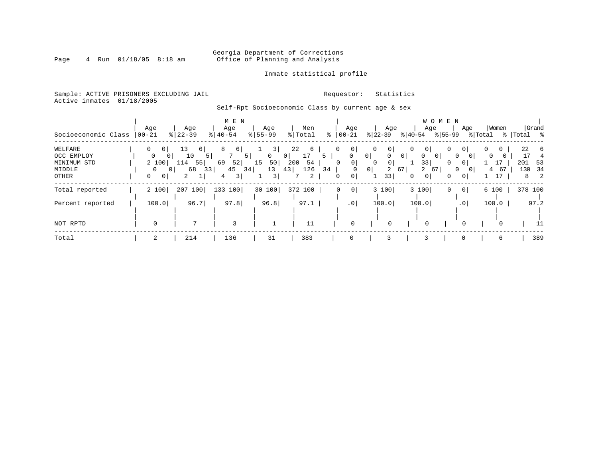# Georgia Department of Corrections<br>Page 4 Run 01/18/05 8:18 am 60ffice of Planning and Analysis Office of Planning and Analysis

### Inmate statistical profile

Sample: ACTIVE PRISONERS EXCLUDING JAIL **Requestor:** Statistics Active inmates 01/18/2005

# Self-Rpt Socioeconomic Class by current age & sex

| Socioeconomic Class | Age<br>$ 00 - 21$   | Age<br>$\frac{8}{22} - 39$ | M E N<br>Age<br>$\frac{1}{6}$   40-54 | Age<br>$8 55-99$ | Men<br>% Total       | Age<br>$00 - 21$<br>ႜ      | Age<br>$ 22-39 $                 | WOMEN<br>Age<br>$ 40-54 $             | Age<br>$ 55-99$            | Women<br>% Total | Grand<br>%   Total % |
|---------------------|---------------------|----------------------------|---------------------------------------|------------------|----------------------|----------------------------|----------------------------------|---------------------------------------|----------------------------|------------------|----------------------|
| WELFARE             | $\Omega$<br>$\circ$ | 13<br>6                    | 6                                     | 3                | 22<br>6              | $\circ$                    | 0 <sup>1</sup><br>0              | 0 <sup>1</sup>                        | 0<br>0                     |                  | 22<br>- 6            |
| OCC EMPLOY          | 0                   | 10                         | -51                                   | $\overline{0}$   | 17<br>0 <sup>1</sup> | 0<br>5                     | $\circ$<br>$\mathbf{0}$          | 0 <sup>1</sup><br>0<br>0 <sup>1</sup> | $\Omega$<br>0 <sup>1</sup> | 0                | 17<br>4              |
| MINIMUM STD         | 2 100               | 114<br>55                  | 52<br>69                              | 50<br>15         | 54<br>200            | 0 <sup>1</sup><br>$\Omega$ | 0 <sup>1</sup><br>0              | 33                                    | 0<br>0 <sup>1</sup>        | 17               | 201<br>53            |
| MIDDLE              |                     | 68<br>33<br>0              | 45<br>34                              | 13               | 43<br>126            | 34                         | 0 <sup>1</sup><br>$\overline{a}$ | 67<br>2<br>67                         | 0<br>$\overline{0}$        | 67<br>4          | 34<br>130            |
| OTHER               | 0<br>0 <sup>1</sup> | 2                          | 3 <br>4                               | 3                | 2                    | $\circ$<br>0               | 33                               | 0 <sup>1</sup><br>0                   | 0<br>0 <sup>1</sup>        |                  | 8 2                  |
| Total reported      | 2 100               | 207 100                    | 133 100                               | 30 100           | 372 100              | $\circ$<br>0               | 3 100                            | 3 100                                 | 0 <sup>1</sup><br>0        | 6 100            | 378 100              |
| Percent reported    | 100.0               | 96.7                       | 97.8                                  | 96.8             | 97.1                 | .0 <sub>1</sub>            | 100.0                            | 100.0                                 | .01                        | 100.0            | 97.2                 |
|                     |                     |                            |                                       |                  |                      |                            |                                  |                                       |                            |                  |                      |
| NOT RPTD            | $\Omega$            |                            | 3                                     |                  | 11                   | $\Omega$                   |                                  | 0                                     | 0                          | $\Omega$         | 11                   |
| Total               | 2                   | 214                        | 136                                   | 31               | 383                  | 0                          |                                  | 3                                     | $\mathbf 0$                | 6                | 389                  |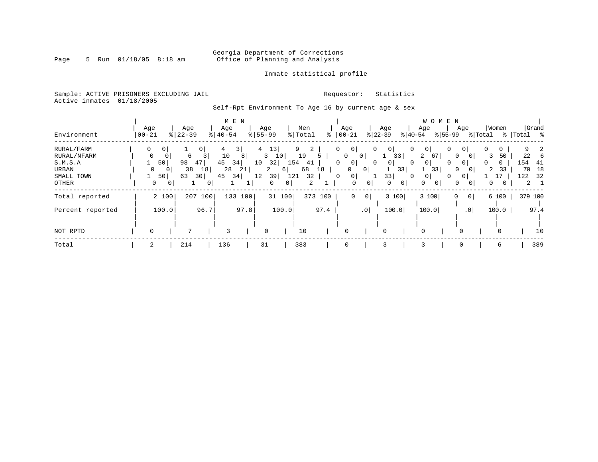# Georgia Department of Corrections<br>Page 5 Run 01/18/05 8:18 am 60ffice of Planning and Analysis Office of Planning and Analysis

### Inmate statistical profile

Sample: ACTIVE PRISONERS EXCLUDING JAIL **Requestor:** Statistics Active inmates 01/18/2005

Self-Rpt Environment To Age 16 by current age & sex

|                  |           |                            |                     |                |                       | M E N    |                |                    |        |                     |         |                            |                 |                                |                |                            | W O M E N     |     |                 |          |          |             |             |
|------------------|-----------|----------------------------|---------------------|----------------|-----------------------|----------|----------------|--------------------|--------|---------------------|---------|----------------------------|-----------------|--------------------------------|----------------|----------------------------|---------------|-----|-----------------|----------|----------|-------------|-------------|
|                  | Age       |                            |                     | Age            |                       | Age      |                | Age                |        | Men                 |         | Age                        |                 | Age                            |                | Age                        |               | Age |                 |          | Women    |             | Grand       |
| Environment      | $00 - 21$ |                            | $\frac{8}{22} - 39$ |                | $\frac{1}{6}$   40-54 |          | $8 55-99$      |                    |        | % Total             | ႜ       | $ 00 - 21$                 |                 | $ 22-39 $                      |                | $ 40-54 $                  | $ 55-99 $     |     |                 | % Total  |          | %   Total % |             |
| RURAL/FARM       | 0         | 0 <sup>1</sup>             |                     | 0 <sup>1</sup> |                       | 3        | $\overline{4}$ | 13                 |        | 9<br>$\overline{2}$ |         | 0 <sup>1</sup><br>$\Omega$ |                 | $\overline{0}$<br>$\mathbf{0}$ |                | 0<br>0 <sup>1</sup>        |               | 0   | 0 I             | 0        | 0        |             | 2           |
| RURAL/NFARM      | 0         | 0                          |                     | 6<br>3         | 10                    | 8        |                | $\mathbf{3}$<br>10 |        | 19                  | 5       | $\Omega$                   | $\circ$         |                                | 33             | $\overline{a}$             | <sup>67</sup> | 0   | $\Omega$        | 3        | 50       | 22          | -6          |
| S.M.S.A          |           | 50                         | 98                  | 47             | 45                    | 34       | 10             | 32                 | 154    | 41                  |         | $\mathbf{0}$<br>$\Omega$   |                 | $\circ$<br>$\mathbf{0}$        |                | 0 <sup>1</sup><br>$\Omega$ |               | 0   | 0 <sup>1</sup>  | $\Omega$ | $\Omega$ | 154         | -41         |
| <b>URBAN</b>     |           | $\mathbf 0$<br>$\mathbf 0$ |                     | 38<br>18       |                       | 28<br>21 |                | 2                  | 6      | 68                  | 18      | 0                          | 0               |                                | 33             |                            | 33            | 0   |                 | 2        | 33       | 70          | 18          |
| SMALL TOWN       |           | 50                         | 63                  | 30             | 45                    | 34       | 12             | 39                 | 121    | 32                  |         | 0 <sup>1</sup><br>0        |                 | 33                             |                | $\Omega$<br>0 <sup>1</sup> |               | 0   | $\mathbf{0}$    |          |          | 122         | 32          |
| OTHER            |           | 0                          | 0 <sup>1</sup>      |                | 0                     |          |                | 0                  | 0      | $\overline{2}$      |         | $\mathbf 0$                | $\overline{0}$  | 0                              | 0 <sup>1</sup> | $\Omega$                   | 0             | 0   | 0               | 0        |          |             | $2 \quad 1$ |
| Total reported   |           | 2 100                      |                     | 207 100        |                       | 133 100  |                |                    | 31 100 |                     | 373 100 | 0                          | 0               |                                | 3 100          | 3 100                      |               | 0   | 0               |          | 6 100    | 379 100     |             |
| Percent reported |           | 100.0                      |                     | 96.7           |                       | 97.8     |                |                    | 100.0  |                     | 97.4    |                            | .0 <sub>1</sub> |                                | 100.0          | 100.0                      |               |     | .0 <sub>1</sub> |          | 100.0    |             | 97.4        |
|                  |           |                            |                     |                |                       |          |                |                    |        |                     |         |                            |                 |                                |                |                            |               |     |                 |          |          |             |             |
| NOT RPTD         | 0         |                            |                     | 7              |                       | 3        |                | $\mathbf 0$        |        | 10                  |         | $\Omega$                   |                 | 0                              |                | $\Omega$                   |               |     |                 |          |          |             | 10          |
| Total            | 2         |                            | 214                 |                | 136                   |          |                | 31                 |        | 383                 |         | $\mathbf 0$                |                 | 3                              |                | 3                          |               | 0   |                 |          | 6        |             | 389         |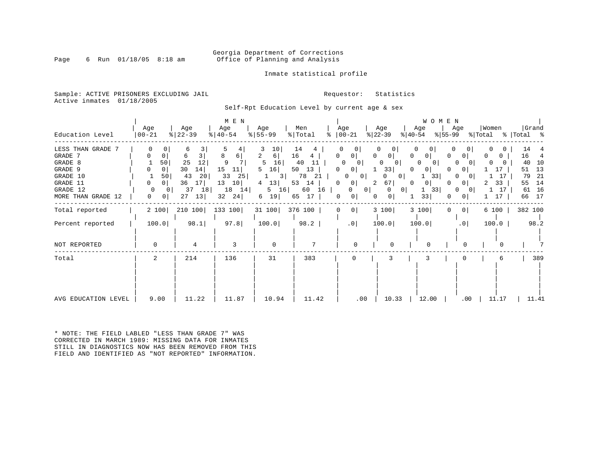### Georgia Department of Corrections<br>Page 6 Run 01/18/05 8:18 am 6 Office of Planning and Analysis Office of Planning and Analysis

### Inmate statistical profile

Sample: ACTIVE PRISONERS EXCLUDING JAIL **Requestor:** Statistics Active inmates 01/18/2005

Self-Rpt Education Level by current age & sex

| Education Level                                                                                              | Age<br>$ 00 - 21$                                                                         | Age<br>$ 22-39 $                                                                           | M E N<br>Age<br>$ 40-54 $                                                  | Age<br>$8 55-99$                                                                                           | Men<br>% Total                                                                            | Age<br>$\frac{1}{6}$   00 - 21                                                                                                                                                                       | Age<br>$ 22-39 $<br>$ 40-54 $                                                                                                                      | <b>WOMEN</b><br>Age<br>% 55-99                                                                                                 | Women<br>Age<br>% Total % Total %                                                                                                                                                                          | Grand                                                                               |
|--------------------------------------------------------------------------------------------------------------|-------------------------------------------------------------------------------------------|--------------------------------------------------------------------------------------------|----------------------------------------------------------------------------|------------------------------------------------------------------------------------------------------------|-------------------------------------------------------------------------------------------|------------------------------------------------------------------------------------------------------------------------------------------------------------------------------------------------------|----------------------------------------------------------------------------------------------------------------------------------------------------|--------------------------------------------------------------------------------------------------------------------------------|------------------------------------------------------------------------------------------------------------------------------------------------------------------------------------------------------------|-------------------------------------------------------------------------------------|
| LESS THAN GRADE 7<br>GRADE 7<br>GRADE 8<br>GRADE 9<br>GRADE 10<br>GRADE 11<br>GRADE 12<br>MORE THAN GRADE 12 | 0<br>50<br>0 <sup>1</sup><br>50<br>0 <sup>1</sup><br>0 <sup>1</sup><br>$\mathbf{0}$<br> 0 | 6<br>3.<br>6<br>3<br>25<br> 12 <br>30<br>14 <br>43<br>20<br>36<br>17 <br>37 18<br>27<br>13 | 8<br>6  <br>9<br>15<br>11<br>33<br>25<br>13<br>$10$  <br>18 14<br>32<br>24 | 10<br>3<br>$\overline{2}$<br>$6 \mid$<br>16<br>5<br>16<br>5<br>$3 \mid$<br>13<br>4<br>$5 \t16$<br>19 <br>6 | 14<br>4<br>16<br>4<br>40<br>11<br>50<br>13<br>78<br>21<br>53<br>14<br>60 16  <br>65<br>17 | $\Omega$<br>0 <sup>1</sup><br>0<br>$\Omega$<br>$\mathbf{0}$<br>$\Omega$<br>$\overline{0}$<br>$\mathbf{0}$<br>0 <sup>1</sup><br>0<br>2<br>0 <sup>1</sup><br>0<br>$\Omega$<br>0 <sup>1</sup><br>0<br>0 | $\Omega$<br>0 <sup>1</sup><br>$\Omega$<br>$\Omega$<br>33<br>$\Omega$<br>0 <sup>1</sup><br>0<br>67<br>$\Omega$<br> 0 <br>$\Omega$<br>0 <sup>1</sup> | 0<br>0 <sup>1</sup><br>$\Omega$<br>$\Omega$<br>$\Omega$<br>0  <br>$\Omega$<br>33<br>0 <sup>1</sup><br>33<br>$\mathbf{1}$<br>33 | 01<br>0<br>$\Omega$<br>$\Omega$<br>$\Omega$<br>$\Omega$<br>$\Omega$<br>17<br>$\Omega$<br>17<br>$\Omega$<br>33<br>0 <sup>1</sup><br>2<br>$\Omega$<br>17<br>$\Omega$<br>$\mathbf{1}$<br>17<br>0 <sup>1</sup> | 14<br>16<br>4<br>10<br>40<br>13<br>51<br>79<br>-21<br>14<br>55<br>61 16<br>17<br>66 |
| Total reported                                                                                               | 2 100                                                                                     | 210 100                                                                                    | 133 100                                                                    | 31 100 376 100                                                                                             |                                                                                           | $0$  <br>$\overline{0}$                                                                                                                                                                              | 3 100                                                                                                                                              | 3 100<br>$\mathbf{0}$                                                                                                          | 0 <sup>1</sup><br>6 100                                                                                                                                                                                    | 382 100                                                                             |
| Percent reported<br>NOT REPORTED                                                                             | 100.0<br>$\mathbf 0$                                                                      | 98.1<br>4                                                                                  | 97.8<br>3                                                                  | 100.0<br>$\mathbf 0$                                                                                       | 98.2<br>7                                                                                 | .0<br>$\Omega$                                                                                                                                                                                       | 100.0<br>$\Omega$                                                                                                                                  | 100.0<br>$\Omega$                                                                                                              | .0 <sub>1</sub><br>100.0                                                                                                                                                                                   | 98.2                                                                                |
| Total                                                                                                        | 2                                                                                         | 214                                                                                        | 136                                                                        | 31                                                                                                         | 383                                                                                       | $\Omega$                                                                                                                                                                                             | 3                                                                                                                                                  | 3                                                                                                                              |                                                                                                                                                                                                            | 389                                                                                 |
| AVG EDUCATION LEVEL                                                                                          | 9.00                                                                                      | 11.22                                                                                      | 11.87                                                                      | 10.94                                                                                                      | 11.42                                                                                     | .00                                                                                                                                                                                                  | 10.33                                                                                                                                              | 12.00                                                                                                                          | 11.17<br>$.00 \,$                                                                                                                                                                                          | 11.41                                                                               |

\* NOTE: THE FIELD LABLED "LESS THAN GRADE 7" WAS CORRECTED IN MARCH 1989: MISSING DATA FOR INMATES STILL IN DIAGNOSTICS NOW HAS BEEN REMOVED FROM THIS FIELD AND IDENTIFIED AS "NOT REPORTED" INFORMATION.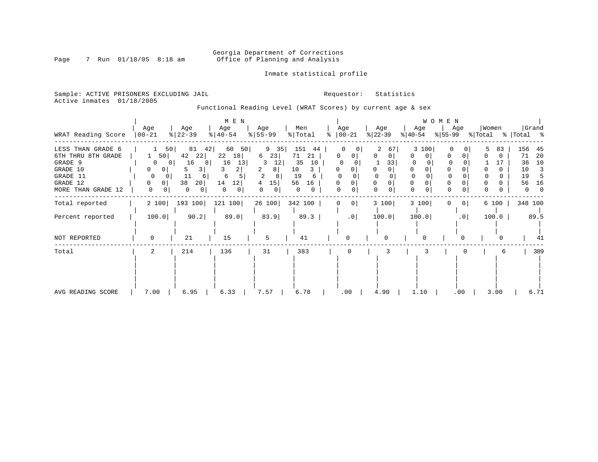# Georgia Department of Corrections<br>Page 7 Run 01/18/05 8:18 am 60ffice of Planning and Analysis Office of Planning and Analysis

Inmate statistical profile

Sample: ACTIVE PRISONERS EXCLUDING JAIL **Requestor:** Statistics Active inmates 01/18/2005

Functional Reading Level (WRAT Scores) by current age & sex

|                                                                                                              |                                                                 |                                                                                                       | M E N                                                                             |                                                        |                                                                                             |    |                    |                  |                                                             | WOMEN              |                            |                                                                                 |
|--------------------------------------------------------------------------------------------------------------|-----------------------------------------------------------------|-------------------------------------------------------------------------------------------------------|-----------------------------------------------------------------------------------|--------------------------------------------------------|---------------------------------------------------------------------------------------------|----|--------------------|------------------|-------------------------------------------------------------|--------------------|----------------------------|---------------------------------------------------------------------------------|
| WRAT Reading Score                                                                                           | Age<br>$ 00-21 $                                                | Age<br>$ 22-39 $                                                                                      | Age<br>$ 40-54 $                                                                  | Age<br>$8 55-99$                                       | Men<br>% Total                                                                              | ႜႜ | Age<br>$ 00-21 $   | Age<br>$ 22-39 $ | Age<br>$ 40-54 $                                            | Age<br>% 55-99     | Women<br>% Total % Total % | Grand                                                                           |
| LESS THAN GRADE 6<br>6TH THRU 8TH GRADE<br>GRADE 9<br>GRADE 10<br>GRADE 11<br>GRADE 12<br>MORE THAN GRADE 12 | 1 50<br>$\Omega$<br>0<br>0<br>0<br>$\Omega$<br>0<br>0<br>0<br>0 | 81<br>50 <br>42<br>42<br>22 <br>16<br>8<br>$\mathbf{0}$<br>3 <br>5.<br>11<br>6<br>38<br>20 <br>0<br>0 | 60<br>50 <br>22<br>18<br>16<br>13 <br>3<br>21<br>6<br>14<br> 12 <br>$\Omega$<br>0 | 9 35<br>23<br>6<br>12<br>3<br>8<br>15<br>4<br>$\Omega$ | 151<br>44<br>71<br>21<br>35<br>10<br>10<br>3<br>19<br>6<br>56<br>16<br>$\Omega$<br>$\Omega$ |    | 0<br>0<br>0        | 67<br>33<br>0    | 3 100<br>0<br>0<br>$\Omega$<br>$\mathbf 0$<br>0<br>$\Omega$ | $\cap$<br>$\Omega$ | 83                         | 156<br>45<br>71<br>20<br>10<br>36<br>10<br>3<br>19<br>5<br>56<br>16<br>$\Omega$ |
| Total reported                                                                                               | 2 100                                                           | 193 100                                                                                               | 121 100                                                                           |                                                        | 26 100 342 100                                                                              |    | 0 <br>$\mathbf{0}$ | 3 100            | 3 100                                                       | 0 <sup>1</sup>     | 6 100                      | 348 100                                                                         |
| Percent reported                                                                                             | 100.0                                                           | 90.2                                                                                                  | 89.0                                                                              | 83.9                                                   | 89.3                                                                                        |    | .0 <sub>1</sub>    | 100.0            | 100.0                                                       | .0 <sub>1</sub>    | 100.0                      | 89.5                                                                            |
| NOT REPORTED                                                                                                 |                                                                 | 21                                                                                                    | 15                                                                                | 5                                                      | 41                                                                                          |    | 0                  | $\Omega$         |                                                             | 0                  |                            | 41                                                                              |
| Total                                                                                                        | 2                                                               | 214                                                                                                   | 136                                                                               | 31                                                     | 383                                                                                         |    | 0                  | 3                | 3                                                           | 0                  | 6                          | 389                                                                             |
| AVG READING SCORE                                                                                            | 7.00                                                            | 6.95                                                                                                  | 6.33                                                                              | 7.57                                                   | 6.78                                                                                        |    | .00                | 4.90             | 1.10                                                        | .00                | 3.00                       | 6.71                                                                            |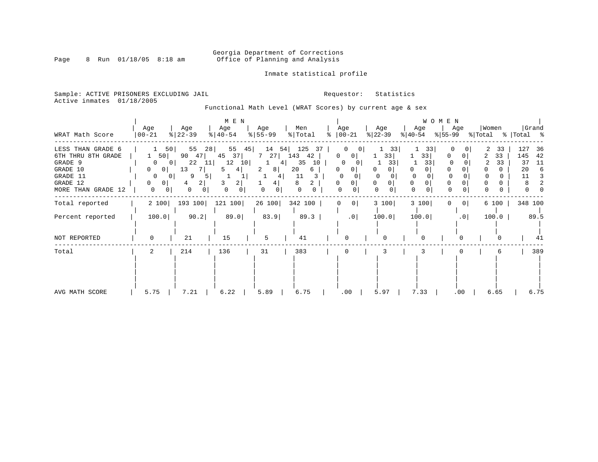# Georgia Department of Corrections<br>Page 8 Run 01/18/05 8:18 am 60ffice of Planning and Analysis Office of Planning and Analysis

Inmate statistical profile

Sample: ACTIVE PRISONERS EXCLUDING JAIL **Requestor:** Statistics Active inmates 01/18/2005

Functional Math Level (WRAT Scores) by current age & sex

|                                                                                                              | Age                                                                                                             | Age                                                                                                   | M E N<br>Age                                                                       | Age                                  | Men                                                                   | Age                                                                                                                   | Age                            | Age                                                 | WOMEN<br>Age               | Women             | Grand                                                            |
|--------------------------------------------------------------------------------------------------------------|-----------------------------------------------------------------------------------------------------------------|-------------------------------------------------------------------------------------------------------|------------------------------------------------------------------------------------|--------------------------------------|-----------------------------------------------------------------------|-----------------------------------------------------------------------------------------------------------------------|--------------------------------|-----------------------------------------------------|----------------------------|-------------------|------------------------------------------------------------------|
| WRAT Math Score                                                                                              | $ 00-21$                                                                                                        | $ 22-39 $                                                                                             | $ 40-54 $                                                                          | $ 55-99 $                            | % Total                                                               | $\frac{1}{6}$   00-21                                                                                                 | $ 22-39 $                      | $ 40-54 $                                           | %∣55-99                    | % Total % Total % |                                                                  |
| LESS THAN GRADE 6<br>6TH THRU 8TH GRADE<br>GRADE 9<br>GRADE 10<br>GRADE 11<br>GRADE 12<br>MORE THAN GRADE 12 | 50<br>1 50<br>$\mathbf{0}$<br>0 <sup>1</sup><br>0<br>$\circ$<br>0<br>0<br>0 <sup>1</sup><br>0<br>$\overline{0}$ | 28<br>55<br>90<br>47<br>22<br>11  <br>0 <sup>1</sup><br>13<br>7<br>9<br>5<br>2 <br>4<br>0<br>$\Omega$ | 55<br>45<br>45<br>37 <br>12<br>10<br>4<br>5<br>3<br>$\overline{2}$<br>0<br>$\circ$ | 14<br>7 27<br>4<br>2<br>8<br>41<br>4 | 125<br>54  <br>37<br>143<br>42<br>35<br>10<br>20<br>6<br>11<br>8<br>0 | 0<br>U<br>0<br>$\mathbf{0}$<br>$\Omega$<br>0<br>0<br>$\mathbf{0}$<br>0<br>$\Omega$<br>0<br>$\Omega$<br>$\overline{0}$ | 33<br>331<br>33<br>$\cap$<br>0 | 33<br>33<br>33<br>0<br>0<br>$\Omega$<br>$\mathbf 0$ | 0<br>0<br>$\Omega$         | 33<br>33<br>33    | 127<br>36<br>145<br>42<br>37<br>-11<br>20<br>6<br>11<br>$\Omega$ |
| Total reported                                                                                               | 2 100                                                                                                           | 193 100                                                                                               | 121 100                                                                            | 26 100                               | 342 100                                                               | $\circ$<br>0                                                                                                          | 3 100                          | 3 100                                               | 0 <sup>1</sup><br>$\Omega$ | 6 100             | 348 100                                                          |
| Percent reported                                                                                             | 100.0                                                                                                           | 90.2                                                                                                  | 89.0                                                                               | 83.9                                 | 89.3                                                                  | .0                                                                                                                    | 100.0                          | 100.0                                               | .0                         | 100.0             | 89.5                                                             |
| NOT REPORTED                                                                                                 | 0                                                                                                               | 21                                                                                                    | 15                                                                                 | 5                                    | 41                                                                    | O                                                                                                                     |                                | 0                                                   | $\Omega$                   |                   | 41                                                               |
| Total                                                                                                        | 2                                                                                                               | 214                                                                                                   | 136                                                                                | 31                                   | 383                                                                   | 0                                                                                                                     | 3                              |                                                     |                            | 6                 | 389                                                              |
| AVG MATH SCORE                                                                                               | 5.75                                                                                                            | 7.21                                                                                                  | 6.22                                                                               | 5.89                                 | 6.75                                                                  | .00                                                                                                                   | 5.97                           | 7.33                                                | $.00 \,$                   | 6.65              | 6.75                                                             |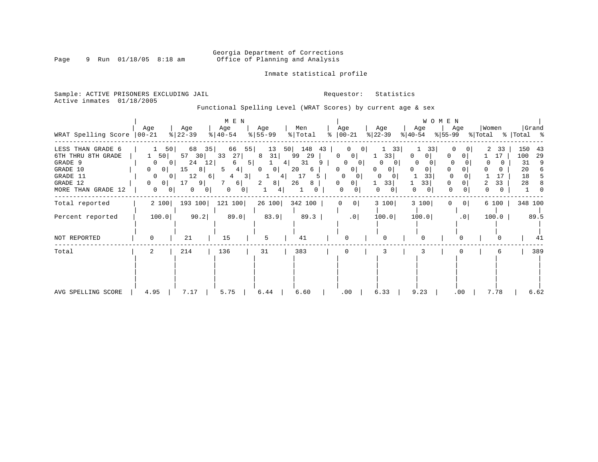# Georgia Department of Corrections<br>Page 9 Run 01/18/05 8:18 am 60ffice of Planning and Analysis Office of Planning and Analysis

Inmate statistical profile

Sample: ACTIVE PRISONERS EXCLUDING JAIL **Requestor:** Statistics Active inmates 01/18/2005

Functional Spelling Level (WRAT Scores) by current age & sex

| WRAT Spelling Score                                                                                             | Age<br>$ 00 - 21 $                                                                                                                  | Age<br>$ 22-39 $                                                                             | M E N<br>Age<br>$ 40-54 $                                                        | Age<br>$8 55-99$                                                       | Men<br>% Total                                                    | Age<br>$8   00 - 21$                                                                                                                                         | Age<br>$ 22-39 $                                                                      | WOMEN<br>Age<br>$ 40-54 $                      | Age<br>% 55−99                     | Women<br>% Total         | Grand<br>%   Total %                                     |
|-----------------------------------------------------------------------------------------------------------------|-------------------------------------------------------------------------------------------------------------------------------------|----------------------------------------------------------------------------------------------|----------------------------------------------------------------------------------|------------------------------------------------------------------------|-------------------------------------------------------------------|--------------------------------------------------------------------------------------------------------------------------------------------------------------|---------------------------------------------------------------------------------------|------------------------------------------------|------------------------------------|--------------------------|----------------------------------------------------------|
| LESS THAN GRADE 6<br>6TH THRU 8TH GRADE<br>GRADE 9<br>GRADE 10<br>GRADE 11<br>GRADE 12<br>MORE THAN GRADE<br>12 | 50<br>50<br>0<br>0 <sup>1</sup><br>$\mathbf{0}$<br>0 <sup>1</sup><br>$\mathbf{0}$<br>. O I<br>$\Omega$<br>0 <sup>1</sup><br>0<br>01 | 68<br>35<br>57<br>30<br>24<br>12<br>15<br>8 <br>12<br>6  <br>17<br>91<br>0<br>0 <sup>1</sup> | 66<br>55 <br>33<br>27<br>5 <br>4 <br>5<br>3 <sup>1</sup><br>4<br>6  <br>0<br>0 I | 13<br>50<br>31<br>8<br>4 <br> 0 <br>0<br>4<br>8 <sup>1</sup><br>2<br>4 | 148<br>43<br>99<br>29<br>31<br>9<br>20<br>6<br>17<br>5<br>26<br>8 | $\mathbf{0}$<br>0 <sup>1</sup><br>0<br>0 <sup>1</sup><br>0<br>0<br>0<br>0 <sup>1</sup><br>$\Omega$<br>$\Omega$<br>0<br>0 <sup>1</sup><br>0<br>0 <sup>1</sup> | 33<br>33<br>0<br>$\mathbf{0}$<br>0<br>$\Omega$<br>$\Omega$<br>33<br>0<br>$\mathbf{0}$ | 33<br>0<br>0<br>$\Omega$<br>0<br>33<br>33<br>0 | 0<br>$\Omega$<br>0<br>$\mathbf{0}$ | 33<br>17<br>33<br>2<br>0 | 150<br>43<br>100<br>29<br>31<br>9<br>20<br>6<br>18<br>28 |
| Total reported                                                                                                  | 2 100                                                                                                                               | 193 100                                                                                      | 121 100                                                                          | 26 100                                                                 | 342 100                                                           | $\mathbf{0}$<br>$\circ$                                                                                                                                      | 3 100                                                                                 | 3 100                                          | 0 <br>0                            | 6 100                    | 348 100                                                  |
| Percent reported                                                                                                | 100.0                                                                                                                               | 90.2                                                                                         | 89.0                                                                             | 83.9                                                                   | 89.3                                                              | .0                                                                                                                                                           | 100.0                                                                                 | 100.0                                          | .0                                 | 100.0                    | 89.5                                                     |
| NOT REPORTED                                                                                                    | $\Omega$                                                                                                                            | 21                                                                                           | 15                                                                               | 5                                                                      | 41                                                                | $\Omega$                                                                                                                                                     |                                                                                       | 0                                              |                                    |                          | 41                                                       |
| Total                                                                                                           | 2                                                                                                                                   | 214                                                                                          | 136                                                                              | 31                                                                     | 383                                                               | 0                                                                                                                                                            | 3                                                                                     |                                                |                                    | 6                        | 389                                                      |
| AVG SPELLING SCORE                                                                                              | 4.95                                                                                                                                | 7.17                                                                                         | 5.75                                                                             | 6.44                                                                   | 6.60                                                              | .00                                                                                                                                                          | 6.33                                                                                  | 9.23                                           | $.00 \,$                           | 7.78                     | 6.62                                                     |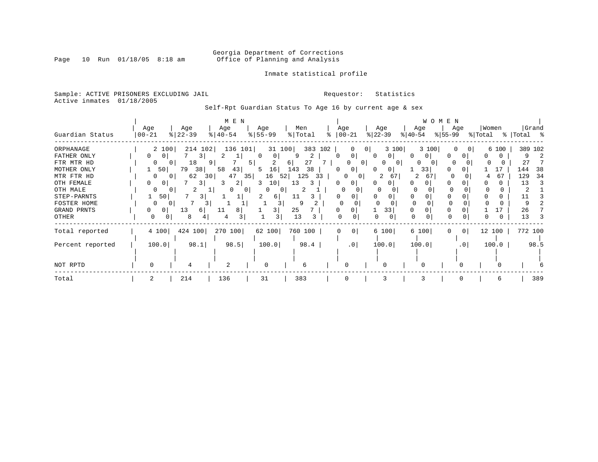# Georgia Department of Corrections<br>Page 10 Run 01/18/05 8:18 am 60ffice of Planning and Analysis Office of Planning and Analysis

Inmate statistical profile

Sample: ACTIVE PRISONERS EXCLUDING JAIL **Requestor:** Statistics Active inmates 01/18/2005

Self-Rpt Guardian Status To Age 16 by current age & sex

|                                     |                   |                      |                | M E N            |                  |                  |                |                 |          |                                  |           |                      |           |                         | W O M E N        |                          |                  |       |               |         |
|-------------------------------------|-------------------|----------------------|----------------|------------------|------------------|------------------|----------------|-----------------|----------|----------------------------------|-----------|----------------------|-----------|-------------------------|------------------|--------------------------|------------------|-------|---------------|---------|
| Guardian Status                     | Age<br>$ 00 - 21$ | Age<br>$8   22 - 39$ |                | Age<br>$ 40-54 $ |                  | Age<br>$8 55-99$ | Men<br>% Total |                 | Age      | $ 00-21$                         | $ 22-39 $ | Age                  | $ 40-54 $ | Age                     | Age<br>$ 55-99 $ |                          | Women<br>% Total |       | %   Total %   | Grand   |
| ORPHANAGE<br>FATHER ONLY            |                   | 2 100                | 214 102<br>3   | 136 101          | $\left( \right)$ | 31 100<br>0      | q              | 383<br>102<br>2 |          | $\Omega$<br>$\overline{0}$       | 0         | 3 100<br>$\Omega$    |           | 3 100<br>0 <sup>1</sup> | 0                | $\mathbf{0}$<br>$\Omega$ |                  | 6 100 |               | 389 102 |
| FTR MTR HD<br>MOTHER ONLY           | 0                 | 50 <br>79            | 18<br>9<br>38  | 58<br>43         | 5<br>5           | 16               | 61<br>143      | 27<br>38        |          | 0 <sup>1</sup><br>0 <sub>1</sub> | 0         | $\Omega$<br>$\Omega$ | O         | $\Omega$<br>33          | $\Omega$         |                          |                  | 17    | 27<br>144     | 38      |
| MTR FTR HD<br>OTH FEMALE            | 0                 | 0 I                  | 62<br>301<br>3 | 47<br>2          | 35               | 16<br>52<br>10   | 125<br>13      | 33<br>3         |          | $\mathbf{0}$<br>0                |           | 67<br>2<br>0         | 2         | 67                      | $\Omega$         |                          | 4                | 67    | 129<br>13     | 34<br>3 |
| OTH MALE<br>STEP-PARNTS             | <sup>0</sup>      | 50                   | 3.             |                  | $\Omega$         | 0<br>61          | 11             |                 | 0        |                                  |           |                      |           |                         | <sup>0</sup>     |                          |                  |       |               |         |
| FOSTER HOME<br>GRAND PRNTS<br>OTHER | <sup>0</sup><br>0 | 13<br>0 I<br>0       | 6 I<br>8       | 8<br>11          |                  | 3<br>3           | q<br>25<br>13  |                 | U        |                                  | U         | 33<br>$\Omega$       | $\Omega$  |                         | $\Omega$         |                          |                  | 0     | Q<br>26<br>13 |         |
| Total reported                      | 4 100             |                      | 424 100        | 270 100          |                  | 62 100           | 760 100        |                 | $\Omega$ | 0 <sup>1</sup>                   |           | 6 100                |           | 6 100                   | 0                | $\overline{0}$           | 12 100           |       | 772 100       |         |
| Percent reported                    | 100.0             |                      | 98.1           | 98.5             |                  | 100.0            |                | 98.4            |          | .0 <sub>1</sub>                  |           | 100.0                |           | 100.0                   |                  | .0 <sup>1</sup>          |                  | 100.0 |               | 98.5    |
|                                     |                   |                      |                |                  |                  |                  |                |                 |          |                                  |           |                      |           |                         |                  |                          |                  |       |               |         |
| NOT RPTD                            | $\Omega$          |                      |                | 2                |                  | O                | 6              |                 |          | U                                |           |                      |           |                         |                  |                          |                  |       |               |         |
| Total                               |                   | 214                  |                | 136              |                  | 31               | 383            |                 |          | $\Omega$                         |           | 3                    |           | κ                       |                  |                          |                  | 6     |               | 389     |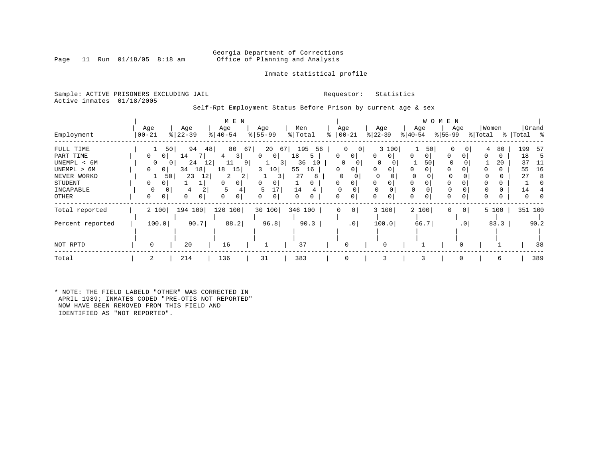### Georgia Department of Corrections<br>Page 11 Run 01/18/05 8:18 am 60ffice of Planning and Analysis Office of Planning and Analysis

Inmate statistical profile

### Sample: ACTIVE PRISONERS EXCLUDING JAIL **Requestor:** Statistics Active inmates 01/18/2005

Self-Rpt Employment Status Before Prison by current age & sex

|                  |                     |                | M E N                       |                     |               |                                |               |                  | W O M E N                     |                      |            |
|------------------|---------------------|----------------|-----------------------------|---------------------|---------------|--------------------------------|---------------|------------------|-------------------------------|----------------------|------------|
|                  | Age                 | Age            | Age                         | Age                 | Men           | Age                            | Age           | Age              | Age                           | Women                | Grand      |
| Employment       | $00 - 21$           | $ 22-39$       | $\frac{1}{6}$   40-54       | $8 55-99$           | % Total       | $ 00-21$                       | $ 22-39 $     | $ 40-54 $        | $ 55-99 $                     | % Total              | % Total %  |
| FULL TIME        |                     | 50 <br>94      | 67<br>48<br>80              | 20<br>67            | 195<br>56     | $\mathbf{0}$<br> 0             | 3 100         | 50               | 0<br>$\Omega$                 | 80<br>4              | 199<br>-57 |
| PART TIME        | 0<br>0 <sup>1</sup> | 14             | 3 <br>4                     | $\circ$<br>$\Omega$ | 18<br>5       | $\Omega$<br>0 <sup>1</sup>     | 0<br>$\Omega$ | $\Omega$<br>0    | 0<br>0                        | $\Omega$<br>$\Omega$ | 18<br>-5   |
| UNEMPL < 6M      | $\Omega$            | 24<br>0 I      | 12 <br>9 <sup>1</sup><br>11 | $\overline{3}$      | 36<br>10      | 0<br>$\Omega$                  | $\Omega$      | 50               | $\Omega$                      | 20                   | 37<br>11   |
| UNEMPL > 6M      | 0<br>0 <sup>1</sup> | 34<br>18       | 15<br>18                    | 3<br>10             | 55<br>16      | 0                              | $\Omega$      | $\Omega$         | 0                             | 0                    | 55<br>16   |
| NEVER WORKD      | 1                   | 23<br>12<br>50 | 2<br>2                      | 3 I                 | 27            | 0                              | 0<br>$\Omega$ | $\mathbf 0$<br>0 | $\Omega$                      |                      | 27<br>8    |
| STUDENT          | 0<br>0              |                | <sup>0</sup>                | 0<br>0              | $\Omega$      | 0                              | $\Omega$<br>0 | 0                | $\Omega$                      | O<br>0               |            |
| INCAPABLE        | 0                   | 0<br>4         | .5                          | 5                   | 14            |                                |               |                  | $\Omega$                      | 0                    | 14         |
| OTHER            | 0<br>0              | 0<br>0         | $\Omega$                    | 0<br>0              | $\Omega$<br>0 |                                | $\Omega$      | $\Omega$         | $\Omega$<br>0                 | 0<br>0               |            |
| Total reported   | 2 100               | 194<br>100     | 120<br>100                  | 30 100              | 346 100       | $\mathbf{0}$<br>0 <sup>1</sup> | 3 100         | 2 100            | $\mathbf 0$<br>0 <sup>1</sup> | 5 100                | 351 100    |
| Percent reported | 100.0               | 90.7           | 88.2                        | 96.8                | 90.3          | .0 <sup>1</sup>                | 100.0         | 66.7             | $\cdot$ 0                     | 83.3                 | 90.2       |
|                  |                     |                |                             |                     |               |                                |               |                  |                               |                      |            |
| NOT RPTD         | 0                   | 20             | 16                          |                     | 37            | 0                              | 0             |                  |                               |                      | 38         |
| Total            | 2                   | 214            | 136                         | 31                  | 383           | $\mathbf 0$                    | 3             |                  | $\Omega$                      | 6                    | 389        |

\* NOTE: THE FIELD LABELD "OTHER" WAS CORRECTED IN APRIL 1989; INMATES CODED "PRE-OTIS NOT REPORTED" NOW HAVE BEEN REMOVED FROM THIS FIELD AND IDENTIFIED AS "NOT REPORTED".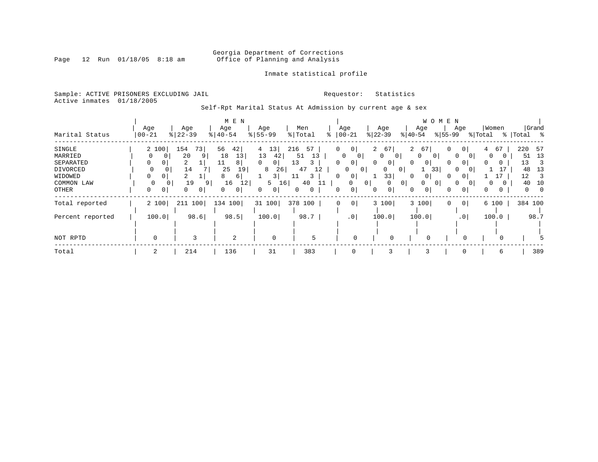# Georgia Department of Corrections<br>Page 12 Run 01/18/05 8:18 am 60ffice of Planning and Analysis Office of Planning and Analysis

Inmate statistical profile

Sample: ACTIVE PRISONERS EXCLUDING JAIL **Requestor:** Statistics Active inmates 01/18/2005

Self-Rpt Marital Status At Admission by current age & sex

|                  |                            |                     | M E N                |               |           |              |                          |                       |                | W O M E N                  |                     |          |             |  |
|------------------|----------------------------|---------------------|----------------------|---------------|-----------|--------------|--------------------------|-----------------------|----------------|----------------------------|---------------------|----------|-------------|--|
|                  | Age                        | Age                 | Age                  | Age           | Men       |              | Age                      | Age                   |                | Age                        | Age                 | Women    | Grand       |  |
| Marital Status   | $ 00-21$                   | $\frac{8}{22} - 39$ | $ 40-54 $            | $8 55-99$     | % Total   | °            | $ 00-21$                 | $ 22-39 $             | $ 40-54 $      |                            | $ 55-99 $           | % Total  | %   Total % |  |
| SINGLE           | 2 100                      | 154<br>73           | 42 <br>56            | 13 <br>4      | 216<br>57 | 0            | 0 <sup>1</sup>           | 67<br>$\overline{a}$  | $\overline{a}$ | 67                         | 0<br>0 <sup>1</sup> | 67<br>4  | 220<br>57   |  |
| MARRIED          |                            | 20<br>9             | 13<br>18             | 13<br>42      | 13<br>51  |              | 0<br>0 <sup>1</sup>      | $\mathbf{0}$<br>- 0 I |                | 0<br>0 <sup>1</sup>        | $\Omega$            | 0        | 13<br>51    |  |
| SEPARATED        | 0<br>0                     | 2                   | 11<br>8 <sup>1</sup> | 0<br>$\Omega$ | 13        | 0            | 0 <sup>1</sup>           | 0<br>$\Omega$         | $\Omega$       | $\overline{0}$             | 0<br>0              | $\Omega$ | 13<br>3     |  |
| DIVORCED         | $\mathbf{0}$               | 14                  | 25<br>19             | 8<br>26       | 47<br>12  |              | 0<br>0 <sup>1</sup>      | 0                     | 0 I            | 33                         | 0                   |          | 48<br>13    |  |
| WIDOWED          | 0                          | 2                   | 6  <br>8             | 3             | 3<br>11   | <sup>0</sup> | 0 <sup>1</sup>           | 33                    |                | $\Omega$                   | 0                   |          | 12<br>3     |  |
| COMMON LAW       | $\Omega$<br>0 <sup>1</sup> | 19<br>9             | 16<br>12             | 5<br>16       | 40<br>11  |              | $\mathbf{0}$<br>$\Omega$ | 0                     | 0 <sup>1</sup> | $\Omega$<br>0 <sup>1</sup> | $\Omega$            | 0        | 10<br>40    |  |
| OTHER            | 0<br>0                     | 0<br>0              | 0 <sup>1</sup>       | 0<br>0        | 0         | 0            | 0 <sup>1</sup>           | 0 <sup>1</sup><br>0   | 0              | $\overline{0}$             | 0<br>0              | 0        |             |  |
| Total reported   | 2 100                      | 211 100             | 134 100              | 31 100        | 378 100   | $\mathbf 0$  | $\circ$                  | 3 100                 |                | 3 100                      | 0<br> 0             | 6 100    | 384 100     |  |
| Percent reported | 100.0                      | 98.6                | 98.5                 | 100.0         | 98.7      |              | .0                       | 100.0                 |                | 100.0                      | .0 <sub>1</sub>     | 100.0    | 98.7        |  |
|                  |                            |                     |                      |               |           |              |                          |                       |                |                            |                     |          |             |  |
| NOT RPTD         | 0                          | 3                   | 2                    | $\mathbf 0$   | 5         |              | $\Omega$                 | 0                     |                |                            |                     |          |             |  |
| Total            | 2                          | 214                 | 136                  | 31            | 383       |              | 0                        | 3                     |                |                            | 0                   | 6        | 389         |  |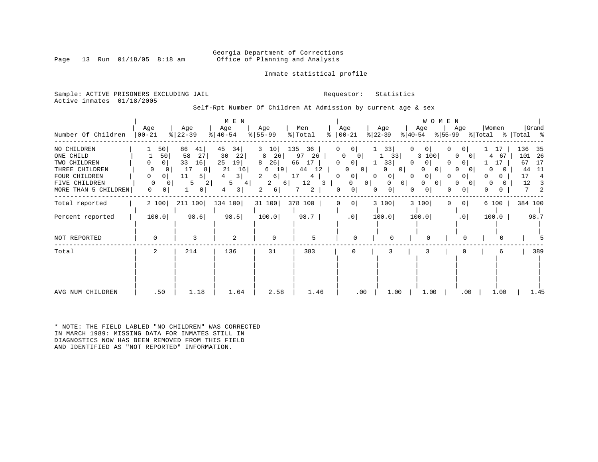### Georgia Department of Corrections<br>Page 13 Run 01/18/05 8:18 am Office of Planning and Analysis Office of Planning and Analysis

Inmate statistical profile

Sample: ACTIVE PRISONERS EXCLUDING JAIL **Requestor:** Statistics Active inmates 01/18/2005

Self-Rpt Number Of Children At Admission by current age & sex

| Number Of Children                                                                                                   | Age<br>$00 - 21$                                                       | Age<br>$8   22 - 39$                                                                           | M E N<br>Age<br>$ 40-54 $                                                     | Age<br>$8 55-99$                                                               | Men<br>% Total<br>နွ                                                     | Age<br>$ 00-21$                                                                                                                           | Age<br>$ 22-39 $                                                                                             | WOMEN<br>Age<br>$ 55-99 $<br>$ 40-54 $                                                                                          | Age                                                                                      | Women<br>% Total                                         | Grand<br>%   Total %                                                              |
|----------------------------------------------------------------------------------------------------------------------|------------------------------------------------------------------------|------------------------------------------------------------------------------------------------|-------------------------------------------------------------------------------|--------------------------------------------------------------------------------|--------------------------------------------------------------------------|-------------------------------------------------------------------------------------------------------------------------------------------|--------------------------------------------------------------------------------------------------------------|---------------------------------------------------------------------------------------------------------------------------------|------------------------------------------------------------------------------------------|----------------------------------------------------------|-----------------------------------------------------------------------------------|
| NO CHILDREN<br>ONE CHILD<br>TWO CHILDREN<br>THREE CHILDREN<br>FOUR CHILDREN<br>FIVE CHILDREN<br>MORE THAN 5 CHILDREN | 50 <br>50<br>0  <br>0<br>0<br>0<br>0<br>$\Omega$<br>0<br>$\Omega$<br>0 | 86<br>41 <br>58<br>27<br>33<br>16<br>17<br>8<br>11<br>5<br>5<br>$\overline{2}$<br>$\mathbf{0}$ | 45<br>34<br>30<br>22<br>25<br>19<br>21<br>16<br>3 I<br>4<br>5<br>4<br>3 <br>4 | 10<br>3<br>26<br>8<br>26<br>8<br>19<br>6<br>2<br>$6 \mid$<br>2<br>6 <br>6<br>2 | 135<br>36<br>26<br>97<br>66<br>17<br>12<br>44<br>17<br>4<br>12<br>3<br>2 | 0<br>0 <sup>1</sup><br>$\Omega$<br>$\circ$<br>0<br>0 <sup>1</sup><br>0<br>0 <sup>1</sup><br>0<br>$\circ$<br>0 <sup>1</sup><br>0<br>0<br>0 | 33 <br>33 <br>ı.<br>33<br>0<br>0 <sup>1</sup><br>$\overline{0}$<br>$\Omega$<br>0 <sup>1</sup><br>0<br>0<br>0 | $\overline{0}$<br>0<br>0<br>3 100<br>0<br>0<br>0<br>$\circ$<br>0<br>0<br>$\Omega$<br>0<br>$\circ$<br>0 <sup>1</sup><br>$\Omega$ | 0<br>$\Omega$<br>$\Omega$<br>01<br>$\Omega$<br>$\Omega$<br>0<br>0<br>0<br>0 <sup>1</sup> | 17<br>67<br>4<br>17<br>0<br>0<br>0<br>0<br>0<br>$\Omega$ | 136<br>35<br>101<br>- 26<br>67<br>17<br>44<br>-11<br>17<br>4<br>12<br>3<br>7<br>2 |
| Total reported                                                                                                       | 2 100                                                                  | 211 100                                                                                        | 134 100                                                                       | 31 100                                                                         | 378 100                                                                  | $\circ$<br>0                                                                                                                              | 3 100                                                                                                        | 3 100<br>$\Omega$                                                                                                               | 0 <sup>1</sup>                                                                           | 6 100                                                    | 384 100                                                                           |
| Percent reported                                                                                                     | 100.0                                                                  | 98.6                                                                                           | 98.5                                                                          | 100.0                                                                          | 98.7                                                                     | $.0$                                                                                                                                      | 100.0                                                                                                        | 100.0                                                                                                                           | .0                                                                                       | 100.0                                                    | 98.7                                                                              |
| NOT REPORTED                                                                                                         | $\mathbf 0$                                                            | 3                                                                                              | 2                                                                             | $\mathbf 0$                                                                    | 5                                                                        | $\Omega$                                                                                                                                  | $\Omega$                                                                                                     | $\Omega$                                                                                                                        | $\Omega$                                                                                 |                                                          |                                                                                   |
| Total                                                                                                                | 2                                                                      | 214                                                                                            | 136                                                                           | 31                                                                             | 383                                                                      | 0                                                                                                                                         | 3                                                                                                            | 3                                                                                                                               | 0                                                                                        | 6                                                        | 389                                                                               |
| AVG NUM CHILDREN                                                                                                     | .50                                                                    | 1.18                                                                                           | 1.64                                                                          | 2.58                                                                           | 1.46                                                                     | .00                                                                                                                                       | 1.00                                                                                                         | 1.00                                                                                                                            | $.00 \,$                                                                                 | 1.00                                                     | 1.45                                                                              |

\* NOTE: THE FIELD LABLED "NO CHILDREN" WAS CORRECTED IN MARCH 1989: MISSING DATA FOR INMATES STILL IN DIAGNOSTICS NOW HAS BEEN REMOVED FROM THIS FIELD AND IDENTIFIED AS "NOT REPORTED" INFORMATION.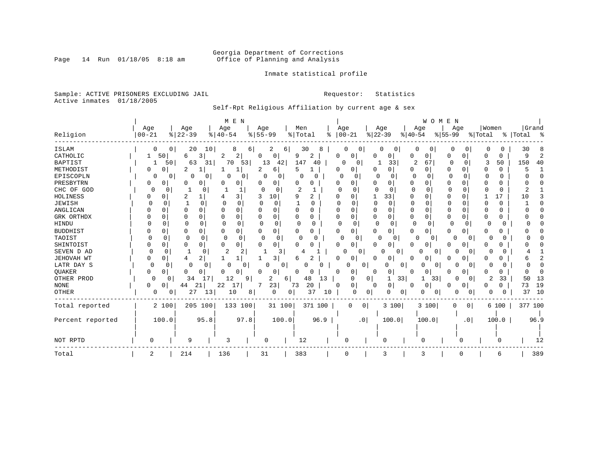# Georgia Department of Corrections<br>Page 14 Run 01/18/05 8:18 am 60ffice of Planning and Analysis Office of Planning and Analysis

Inmate statistical profile

Sample: ACTIVE PRISONERS EXCLUDING JAIL **Requestor:** Statistics Active inmates 01/18/2005

Self-Rpt Religious Affiliation by current age & sex

|                  |                          |                            | M E N                    |                         |               |                      |                           | WOMEN         |                      |              |             |
|------------------|--------------------------|----------------------------|--------------------------|-------------------------|---------------|----------------------|---------------------------|---------------|----------------------|--------------|-------------|
|                  | Age                      | Age                        | Age                      | Age                     | Men           | Age                  | Age                       | Age           | Age                  | Women        | Grand       |
| Religion         | $00 - 21$                | $8   22 - 39$              | $8   40 - 54$            | $8155 - 99$             | %   Total     | $ 00-21$<br>ႜ        | $ 22-39$                  | $8 40-54$     | $8155 - 99$          | % Total      | %   Total % |
| ISLAM            |                          | 20<br>10<br>0 <sup>1</sup> | 8                        | 61<br>2                 | 30<br>6       | 0                    | 0<br>0                    | 0             | 0                    | O            | 30          |
| CATHOLIC         | 50 <br>1                 | 6<br>3                     | 2<br>2                   | 0<br>0                  | 9<br>2        | 0<br>0               | 0<br>O                    | 0<br>0        | 0<br>0               | C<br>0       | 9           |
| <b>BAPTIST</b>   | 50                       | 63<br>31                   | 70<br>53                 | 13<br>42                | 147<br>40     | $\Omega$<br>0        | 33                        | 2<br>67       | 0<br>$\Omega$        | 3<br>50      | 150<br>40   |
| METHODIST        | 0<br>O                   | 2<br>-1                    | 1                        | 2<br>6                  | 5             | 0<br>0               | 0<br>0                    | 0<br>0        | 0<br>0               | 0<br>U       |             |
| EPISCOPLN        | 0<br>0                   | 0<br>0                     | 0<br>0                   | $\Omega$<br>0           | 0             | $\Omega$<br>0        | 0                         | $\Omega$<br>0 | n<br>∩               | <sup>0</sup> |             |
| PRESBYTRN        | 0<br>0                   | 0<br>0                     | 0<br>0                   | 0<br>O                  | 0             | 0                    | 0                         | 0<br>O        | O<br>U               | 0            |             |
| CHC OF GOD       | 0<br>0                   | O                          |                          | $\Omega$<br>$\Omega$    | 2             | U<br>O               | $\Omega$                  | $\mathbf 0$   | O                    | $\Omega$     |             |
| HOLINESS         | O                        | 2<br>$\mathbf{1}$          | 3                        | 10                      | 2<br>9        | U<br>O               | 33                        | 0<br>O        | $\Omega$<br>O        | 17           | 10          |
| <b>JEWISH</b>    | $\Omega$<br><sup>0</sup> | $\mathbf{1}$<br>$\Omega$   | $\cap$<br>∩              | U                       | O             |                      | $\Omega$<br>$\Omega$      | $\Omega$      | <sup>0</sup>         | $\Omega$     |             |
| ANGLICAN         | 0                        | O<br>$\Omega$              | $\Omega$<br>0            | $\Omega$                | 0<br>O        | O<br>$\Omega$        | $\Omega$<br>$\Omega$      | 0<br>U        | <sup>0</sup><br>U    | 0            |             |
| GRK ORTHDX       |                          | 0<br>0                     | 0<br>0                   | $\Omega$                | 0<br>0        | 0<br>0               | $\Omega$<br>0             | 0<br>0        | 0<br>0               | 0            |             |
| HINDU            | O                        | $\Omega$<br>$\Omega$       | $\Omega$<br><sup>0</sup> | $\Omega$<br>$\Omega$    | ∩<br>O        | $\Omega$<br>$\Omega$ | $\Omega$<br>$\Omega$      | $\Omega$<br>O | $\Omega$<br>$\Omega$ | O<br>Ω       |             |
| <b>BUDDHIST</b>  |                          | 0<br>0                     | 0<br>0                   | 0<br>O                  | 0<br>0        | 0<br><sup>0</sup>    | 0<br>0                    | 0<br>0        | 0<br>O               | 0<br>Ω       |             |
| TAOIST           |                          | 0<br>U                     | $\Omega$<br>$\Omega$     | $\Omega$<br>$\mathbf 0$ | U             | O<br>$\Omega$        | $\Omega$<br>0             | O<br>0        | O<br>0               | O            |             |
| SHINTOIST        | 0                        | 0<br>0                     | $\Omega$<br>0            | 0<br>$\Omega$           | 0<br>0        | 0<br>$\Omega$        | 0<br>$\Omega$             | 0<br>$\Omega$ | 0<br>0               | O<br>0       |             |
| SEVEN D AD       | $\Omega$<br>U            |                            | 2<br>2                   | 3                       |               |                      | $\Omega$<br>O<br>$\Omega$ |               |                      | U            |             |
| JEHOVAH WT       | U                        | 2<br>4                     |                          | 3                       | 2<br>6        | $\Omega$<br>0        | O<br>0                    | 0<br>0        | ∩                    | N            |             |
| LATR DAY S       | 0<br>O                   | 0                          | O<br>0                   | U                       | 0<br>0        |                      | 0<br>0                    | 0             |                      |              |             |
| QUAKER           | N<br>0                   | O<br>0                     | 0<br>0                   | <sup>0</sup><br>0       | 0<br>O        | <sup>0</sup><br>0    | 0<br>0                    | 0<br>Ω        | 0<br>n               | 0            |             |
| OTHER PROD       | $\Omega$<br>0            | 34<br>17                   | 12<br>9                  | 2                       | 48<br>13<br>6 | 0                    | 33<br>0 <sup>1</sup>      | 33<br>1       | O                    | 33<br>2      | 50<br>13    |
| <b>NONE</b>      | <sup>0</sup><br>0        | 21<br>44                   | 22<br>17                 | 23<br>7                 | 20<br>73      | 0<br>0               | 0<br>0                    | 0<br>0        | 0<br>0               | 0            | 19<br>73    |
| OTHER            | 0                        | 27<br>13<br>0              | 10                       | 0<br>8                  | 37<br>0       | 10<br>$\mathbf 0$    | 0<br>0<br>0               | 0<br>0        | 0                    | 0<br>O       | 37<br>10    |
| Total reported   | 2 100                    | 205 100                    | 133 100                  | 31 100                  | 371 100       | 0                    | 3 100<br> 0               | 3 100         | 0<br>0 <sup>1</sup>  | 6 100        | 377 100     |
|                  |                          |                            |                          |                         |               |                      |                           |               |                      |              |             |
| Percent reported | 100.0                    | 95.8                       | 97.8                     | 100.0                   | 96.9          |                      | 100.0<br>.0 <sub>1</sub>  | 100.0         | .0 <sub>1</sub>      | 100.0        | 96.9        |
|                  |                          |                            |                          |                         |               |                      |                           |               |                      |              |             |
|                  |                          |                            |                          |                         |               |                      |                           |               |                      |              |             |
| NOT RPTD         | $\Omega$                 | 9                          | 3                        | 0                       | 12            | 0                    | 0                         | n             | O                    | O            | 12          |
| Total            | 2                        | 214                        | 136                      | 31                      | 383           | $\Omega$             | 3                         | 3             | 0                    | 6            | 389         |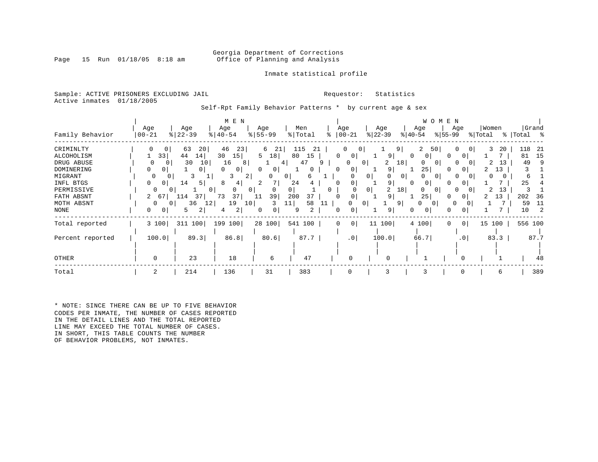### Georgia Department of Corrections<br>Page 15 Run 01/18/05 8:18 am Office of Planning and Analysis Office of Planning and Analysis

### Inmate statistical profile

Sample: ACTIVE PRISONERS EXCLUDING JAIL **Requestor:** Statistics Active inmates 01/18/2005

Self-Rpt Family Behavior Patterns \* by current age & sex

|                  |              |               | M E N                       |                     |              |           |                          |                     |                      | WOMEN                    |         |             |
|------------------|--------------|---------------|-----------------------------|---------------------|--------------|-----------|--------------------------|---------------------|----------------------|--------------------------|---------|-------------|
|                  | Age          | Age           | Age                         | Age                 | Men          | Age       | Age                      |                     | Age                  | Age                      | Women   | Grand       |
| Family Behavior  | $ 00 - 21$   | $8   22 - 39$ | $ 40-54 $                   | $8 55-99$           | % Total      | $ 00-21 $ | $ 22 - 39 $              |                     | $ 40-54 $            | $ 55-99 $                | % Total | %   Total % |
| CRIMINLTY        | 0<br>0       | 63<br>20      | 46<br>231                   | 6<br>-21            | 115<br>21    | 0         | 0                        | 9 <sup>1</sup>      | 2<br>50              | $\mathbf{0}$             | 3<br>20 | 118<br>-21  |
| ALCOHOLISM       | 33           | 44<br>14      | 30<br>15                    | 5<br>18             | 80<br>15     | $\Omega$  | 0                        | 9                   | 0<br>$\Omega$        | $\Omega$                 |         | 81<br>15    |
| DRUG ABUSE       | $\Omega$     | 30<br>10      | 16<br>8                     |                     | 47<br>4      | 9         | $\Omega$<br>$\Omega$     | 2<br>18             | $\Omega$<br>$\Omega$ | <sup>0</sup><br>$\Omega$ | 13      | 49<br>9     |
| DOMINERING       | 0<br>0       | 0             | $\Omega$<br>0               | $\Omega$<br>0       | 0            | 0         | 0                        | 9                   | 25                   | 01<br><sup>0</sup>       | 13      |             |
| MIGRANT          | O            | 3<br>0        | 3<br>$\overline{2}$         |                     | $\mathbf{0}$ |           | 0                        | 0 <sup>1</sup><br>0 | $\Omega$<br>$\Omega$ | 0                        |         | 6           |
| INFL BTGS        | $\mathbf{0}$ | 14<br>5 I     | 8<br>4                      |                     | 24           | O         |                          | 9                   | 0                    |                          |         | 25          |
| PERMISSIVE       | 0            |               | $\Omega$<br>0               | 0 <sup>1</sup><br>0 | 0            | 0         | 0 <sup>1</sup>           | 2<br>18             | $\Omega$             |                          | 2<br>13 |             |
| FATH ABSNT       | 2<br>67      | 37<br>.14     | 73<br>37                    | 39<br>11            | 200<br>37    |           | 0                        | 9                   | 25                   | 0                        | 13      | 202<br>36   |
| MOTH ABSNT       | 0            | 36            | 19<br>12<br>10 <sup>1</sup> | 3                   | 58<br>11     | 11        | 0 <sup>1</sup><br>O      | 9                   | 0<br>0 I             | 0                        |         | 59<br>11    |
| NONE             | 0<br>0       | 2<br>5.       | 2<br>4                      | 0<br>0              | 2<br>9       | 0         |                          | 9                   | 0<br>0               |                          |         | 10          |
| Total reported   | 3 100        | 311<br>100    | 199 100                     | 28 100              | 541 100      | 0         | 0 <sup>1</sup><br>11 100 |                     | 4 100                | $\circ$<br>$\Omega$      | 15 100  | 556 100     |
| Percent reported | 100.0        | 89.3          | 86.8                        | 80.6                | 87.7         |           | .0<br>100.0              |                     | 66.7                 | .0 <sub>1</sub>          | 83.3    | 87.7        |
| OTHER            | $\Omega$     | 23            | 18                          | 6                   | 47           |           |                          |                     |                      |                          |         | 48          |
|                  |              |               |                             |                     |              |           |                          |                     |                      |                          |         |             |
| Total            | 2            | 214           | 136                         | 31                  | 383          |           |                          | 3                   | 3                    | 0                        | 6       | 389         |

\* NOTE: SINCE THERE CAN BE UP TO FIVE BEHAVIOR CODES PER INMATE, THE NUMBER OF CASES REPORTED IN THE DETAIL LINES AND THE TOTAL REPORTED LINE MAY EXCEED THE TOTAL NUMBER OF CASES. IN SHORT, THIS TABLE COUNTS THE NUMBER OF BEHAVIOR PROBLEMS, NOT INMATES.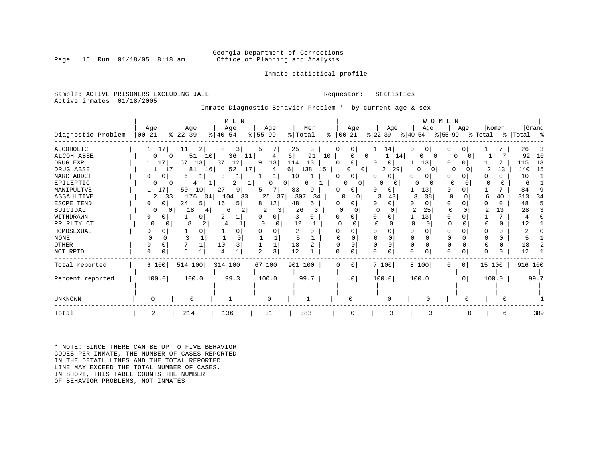### Georgia Department of Corrections<br>Page 16 Run 01/18/05 8:18 am 60ffice of Planning and Analysis Office of Planning and Analysis

### Inmate statistical profile

Sample: ACTIVE PRISONERS EXCLUDING JAIL **Requestor:** Statistics Active inmates 01/18/2005

Inmate Diagnostic Behavior Problem \* by current age & sex

|                    |           |                       | M E N       |           |                 |                            |                           |               | WOMEN               |              |             |
|--------------------|-----------|-----------------------|-------------|-----------|-----------------|----------------------------|---------------------------|---------------|---------------------|--------------|-------------|
|                    | Age       | Age                   | Age         | Age       | Men             | Age                        | Age                       | Age           | Age                 | Women        | Grand       |
| Diagnostic Problem | $00 - 21$ | $ 22-39$              | $8140 - 54$ | $8 55-99$ | % Total         | $ 00-21 $<br>ႜ             | $ 22-39 $                 | % 40-54       | %∣55-99             | % Total      | %   Total % |
| <b>ALCOHOLIC</b>   | 17        | 11                    | 3<br>8      | 5         | 25<br>3         | 0<br>0                     | 14                        | 0<br>01       |                     |              | 26<br>3     |
| <b>ALCOH ABSE</b>  |           | 10<br>51              | 36<br>11    | 4         | 6 <br>91        | 10                         | 0<br>14                   | 0 I<br>0      | O                   |              | 92<br>10    |
| DRUG EXP           | 17        | 67<br>13              | 37<br>12    | 13<br>9   | 114<br>13       | ∩                          | 0                         | 13            |                     |              | 13<br>115   |
| DRUG ABSE          | 17        | 16 <sup>1</sup><br>81 | 52<br>17    |           | 138<br>15<br>61 |                            | 29<br>0 <sup>1</sup><br>2 | 0<br>$\Omega$ |                     | 13           | 15<br>140   |
| NARC ADDCT         | 0<br>0 I  | 6                     | 3           |           | 10              | 0                          | $\Omega$                  |               |                     |              | 10          |
| EPILEPTIC          |           |                       | 2           | 0         | 0<br>6          | 0                          | 0                         |               |                     | <sup>0</sup> | 6           |
| MANIPULTVE         | 17        | 50<br>10              | 27<br>9     |           | 83<br>9         |                            | 0 I                       | 131           |                     |              | 84<br>-9    |
| ASSAULTIVE         | 2<br>33   | 176<br>341            | 104<br>33   | 25<br>37  | 307<br>34       | 0                          | 43                        | 38<br>3       |                     | 40           | 313<br>34   |
| ESCPE TEND         | 0<br>0 I  | 24<br>51              | 16<br>5.    | 12<br>8   | 48<br>5         |                            | 0                         | 0             |                     |              | 48          |
| SUICIDAL           | $\Omega$  | 18                    | 6           |           | 26              |                            |                           | 25            |                     | 13           | 28          |
| WITHDRAWN          |           | 0                     |             | 0         | 3               | O                          |                           | 13            |                     |              |             |
| PR RLTY CT         | 0<br>O    | 8                     |             |           | 12              |                            |                           | ∩             |                     | 0            | 12          |
| HOMOSEXUAL         |           |                       |             |           | 2               |                            | U.                        |               |                     |              |             |
| <b>NONE</b>        |           |                       | $\Omega$    |           | 5               |                            | $\Omega$                  | 0<br>∩        |                     | O            |             |
| <b>OTHER</b>       | $\Omega$  |                       | 3<br>10     |           | 18              |                            | O                         | 0<br>n        | O                   | 0            | 18          |
| NOT RPTD           | $\Omega$  | б                     |             | 3         | 12              | O                          | U                         | $\Omega$      |                     |              | 12          |
| Total reported     | 6 100     | 514 100               | 314 100     | 67 100    | 901 100         | 0 <sup>1</sup><br>$\Omega$ | 7100                      | 8 100         | 0 <sup>1</sup><br>0 | 15 100       | 916 100     |
| Percent reported   | 100.0     | 100.0                 | 99.3        | 100.0     | 99.7            | .0 <sub>1</sub>            | 100.0                     | 100.0         | .0 <sub>1</sub>     | 100.0        | 99.7        |
|                    |           |                       |             |           |                 |                            |                           |               |                     |              |             |
| UNKNOWN            |           |                       |             | 0         |                 |                            |                           |               |                     | O            |             |
| Total              | 2         | 214                   | 136         | 31        | 383             |                            |                           | Р             |                     | 6            | 389         |

\* NOTE: SINCE THERE CAN BE UP TO FIVE BEHAVIOR CODES PER INMATE, THE NUMBER OF CASES REPORTED IN THE DETAIL LINES AND THE TOTAL REPORTED LINE MAY EXCEED THE TOTAL NUMBER OF CASES. IN SHORT, THIS TABLE COUNTS THE NUMBER OF BEHAVIOR PROBLEMS, NOT INMATES.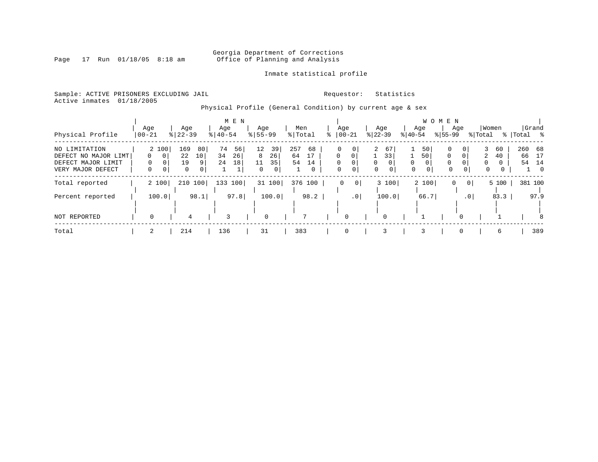# Georgia Department of Corrections<br>Page 17 Run 01/18/05 8:18 am 60ffice of Planning and Analysis Office of Planning and Analysis

Inmate statistical profile

Sample: ACTIVE PRISONERS EXCLUDING JAIL **Requestor:** Statistics Active inmates 01/18/2005

Physical Profile (General Condition) by current age & sex

|                      |                   |                            | M E N     |               |           |                      |                            |                  | W O M E N            |                      |             |
|----------------------|-------------------|----------------------------|-----------|---------------|-----------|----------------------|----------------------------|------------------|----------------------|----------------------|-------------|
|                      | Age               | Age                        | Age       | Age           | Men       | Age                  | Age                        | Age              | Age                  | Women                | Grand       |
| Physical Profile     | $00 - 21$         | $8   22 - 39$              | $8 40-54$ | $8 55-99$     | % Total   | $ 00-21$             | $ 22-39 $                  | $ 40-54 $        | $8155 - 99$          | % Total              | %   Total % |
| NO LIMITATION        | 2 100             | 169<br>80                  | 74<br>56  | 12<br>39      | 257<br>68 | 0                    | $\overline{2}$<br>67       | 50               | 0<br>0               | 3<br>60              | 260 68      |
| DEFECT NO MAJOR LIMT | $\mathbf{0}$<br>0 | 22<br>10                   | 34<br>26  | 8<br>26       | 64        | $\Omega$<br>$\Omega$ | 33                         | 50               | $\Omega$<br>0        | $\overline{2}$<br>40 | 17<br>66    |
| DEFECT MAJOR LIMIT   |                   | 19<br>9                    | 24<br>18  | 35<br>11      | 54<br>14  | $\Omega$<br>$\Omega$ | $\Omega$<br>0 <sub>1</sub> | $\Omega$         | $\Omega$<br>$\Omega$ | $\Omega$<br>$\Omega$ | 54<br>14    |
| VERY MAJOR DEFECT    | $\mathbf{0}$<br>0 | $\mathbf 0$<br>$\mathbf 0$ |           | $\Omega$<br>0 | 0         | $\Omega$<br>$\circ$  | 0<br>0                     | $\mathbf 0$<br>0 | $\mathbf 0$<br>0     | 0<br>0               | $\Omega$    |
| Total reported       | 2 100             | 210 100                    | 133 100   | 31 100        | 376 100   | $\overline{0}$<br>0  | 3 100                      | 2 100            | 0<br>0 <sup>1</sup>  | 5 100                | 381 100     |
|                      |                   |                            |           |               |           |                      |                            |                  |                      |                      |             |
| Percent reported     | 100.0             | 98.1                       | 97.8      | 100.0         | 98.2      | $\cdot$ 0            | 100.0                      | 66.7             | $\cdot$ 0            | 83.3                 | 97.9        |
|                      |                   |                            |           |               |           |                      |                            |                  |                      |                      |             |
| NOT REPORTED         | $\Omega$          | 4                          | 3         | $\mathbf 0$   | 7         | 0                    | 0                          |                  |                      |                      | 8           |
| Total                |                   | 214                        | 136       | 31            | 383       | 0                    | 3                          | 3                | $\Omega$             | 6                    | 389         |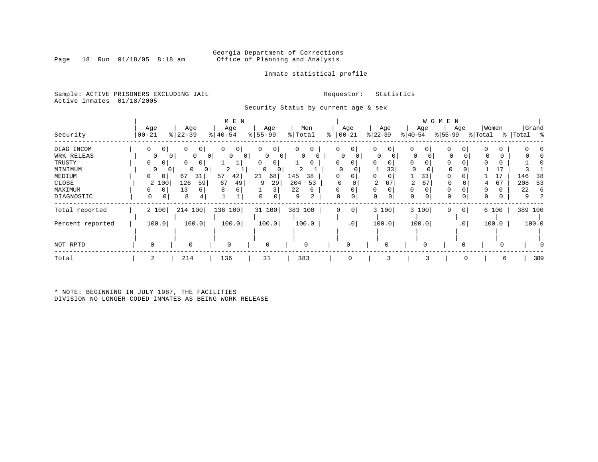### Georgia Department of Corrections<br>Page 18 Run 01/18/05 8:18 am 60ffice of Planning and Analysis Office of Planning and Analysis

### Inmate statistical profile

Sample: ACTIVE PRISONERS EXCLUDING JAIL **Requestor:** Statistics Active inmates 01/18/2005

Security Status by current age & sex

| Security                                                                                  | Age<br>$00 - 21$                                                        | Age<br>$\frac{1}{6}$   22-39                                                                                              | M E N<br>Age<br>$ 40-54$                                                           | Age<br>$8 55-99$                                       | Men<br>% Total                                                                         | Age<br>$ 00-21$<br>ి                                          | Age<br>$ 22-39 $                                           | Age<br>$ 40-54 $                                                           | W O M E N<br>Age<br>$ 55-99 $                      | Women<br>% Total                              | Grand<br>%   Total %                    |
|-------------------------------------------------------------------------------------------|-------------------------------------------------------------------------|---------------------------------------------------------------------------------------------------------------------------|------------------------------------------------------------------------------------|--------------------------------------------------------|----------------------------------------------------------------------------------------|---------------------------------------------------------------|------------------------------------------------------------|----------------------------------------------------------------------------|----------------------------------------------------|-----------------------------------------------|-----------------------------------------|
| DIAG INCOM<br>WRK RELEAS<br>TRUSTY<br>MINIMUM<br>MEDIUM<br>CLOSE<br>MAXIMUM<br>DIAGNOSTIC | 0<br>0<br>0<br>0<br>$\circ$<br>0<br>0<br>0<br>2 100<br>0<br>0<br>0<br>0 | 0<br>0<br>0<br>0 <sup>1</sup><br>$\overline{0}$<br>0<br>0<br>$\Omega$<br>0<br>01<br>31<br>67<br>126<br>59<br>13<br>6<br>8 | $\Omega$<br>0 <sup>1</sup><br>$\circ$<br>$\circ$<br>2<br>57<br>42<br>67<br>49<br>8 | 0<br>0<br>0<br>0<br>0<br>0<br>0<br>68<br>21<br>29<br>q | 0<br>0<br>$\Omega$<br>0<br>$\mathbf{0}$<br>145<br>38<br>53<br>204<br>22<br>6<br>9<br>2 | $\circ$<br>0<br>0<br>0<br>0<br>0<br>$\Omega$<br>$\Omega$<br>0 | 0<br>0<br>0<br>0<br>0<br>33<br>0<br>0<br>2<br>67<br>0<br>0 | 0<br>0<br>0<br>$\Omega$<br>0<br>$\Omega$<br>0<br>33<br>67<br>0<br>$\Omega$ | 0<br>0<br>0<br>0<br>0<br>$\Omega$<br>0<br>$\Omega$ | $\Omega$<br>0<br>0<br>17<br>67<br>4<br>0<br>0 | 146<br>38<br>53<br>208<br>22<br>-6<br>9 |
| Total reported<br>Percent reported                                                        | 2 100<br>100.0                                                          | 214 100<br>100.0                                                                                                          | 136 100<br>100.0                                                                   | 31 100<br>100.0                                        | 383 100<br>100.0                                                                       | $\mathbf 0$<br>0<br>.0 <sub>1</sub>                           | 3 100<br>100.0                                             | 3 100<br>100.0                                                             | 0 <sup>1</sup><br>0<br>.0 <sup>1</sup>             | 6 100<br>100.0                                | 389 100<br>100.0                        |
| NOT RPTD                                                                                  |                                                                         | 0                                                                                                                         | $\mathbf 0$                                                                        | $\mathbf 0$                                            | 0                                                                                      | $\Omega$                                                      | $\Omega$                                                   | 0                                                                          | 0                                                  |                                               |                                         |
| Total                                                                                     | 2                                                                       | 214                                                                                                                       | 136                                                                                | 31                                                     | 383                                                                                    | $\Omega$                                                      |                                                            |                                                                            |                                                    | 6                                             | 389                                     |

\* NOTE: BEGINNING IN JULY 1987, THE FACILITIES DIVISION NO LONGER CODED INMATES AS BEING WORK RELEASE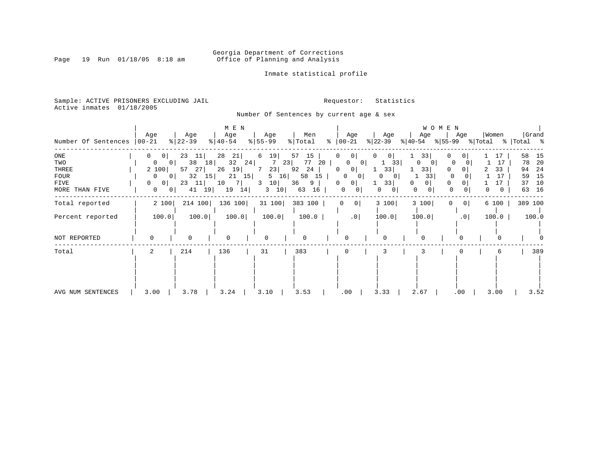Georgia Department of Corrections<br>Page 19 Run 01/18/05 8:18 am 60ffice of Planning and Analysis Office of Planning and Analysis

Inmate statistical profile

Sample: ACTIVE PRISONERS EXCLUDING JAIL Requestor: Statistics Active inmates 01/18/2005

Number Of Sentences by current age & sex

| Number Of Sentences                                   | Age<br>  00-21                                                                                                                                        | Age<br>$ 22-39 $                                                        | M E N<br>Age<br>$8   40 - 54$                                         | Age<br>$ 55-99 $                                                    | Men<br>% Total                                                      | Age<br>$\frac{1}{6}$   00 - 21                                                                                            | Age<br>$ 22-39 $                                             | W O M E N<br>Age<br>$ 40-54 $                             | Age<br>% 55-99 % Total                                          | Women                     | Grand<br>%  Total     %                                               |
|-------------------------------------------------------|-------------------------------------------------------------------------------------------------------------------------------------------------------|-------------------------------------------------------------------------|-----------------------------------------------------------------------|---------------------------------------------------------------------|---------------------------------------------------------------------|---------------------------------------------------------------------------------------------------------------------------|--------------------------------------------------------------|-----------------------------------------------------------|-----------------------------------------------------------------|---------------------------|-----------------------------------------------------------------------|
| ONE<br>TWO<br>THREE<br>FOUR<br>FIVE<br>MORE THAN FIVE | $\mathbf{0}$<br>0 <sup>1</sup><br>0<br>0 <sup>1</sup><br>2 100<br>0<br>0 <sub>1</sub><br>$\Omega$<br>0 <sup>1</sup><br>$\mathbf{0}$<br>0 <sup>1</sup> | 23<br> 11 <br>38<br>18<br>57<br>27<br>32<br>15 <br>11<br>23<br>19<br>41 | 28<br>21<br>32<br>24<br>19 <br>26<br>15<br>21<br>10<br>7 <br>19<br>14 | 6<br>19<br>23<br>7<br>23<br>7<br>16<br>5<br>10<br>3<br>$3 \quad 10$ | 57<br>15<br>77<br>20<br>92<br>24<br>58<br>15<br>36<br>9<br>16<br>63 | 0 <sup>1</sup><br>0<br>0<br>0 <sup>1</sup><br>0<br>0 <sup>1</sup><br>0<br>0<br>0<br>0 <sup>1</sup><br> 0 <br>$\mathbf{0}$ | 0<br>0 I<br>33<br>33<br>0<br>0<br>33 <br>0<br>$\overline{0}$ | 33<br>$\Omega$<br>$\mathbf{0}$<br>33<br>33<br>0<br>0<br>0 | 0<br>0<br>0<br>$\Omega$<br>$\Omega$<br>0<br>0<br>$\overline{0}$ | 17<br>17<br>33<br>17<br>0 | 58<br>15<br>20<br>78<br>-24<br>94<br>15<br>59<br>37<br>10<br>16<br>63 |
| Total reported                                        | 2 100                                                                                                                                                 | 214 100                                                                 | 136 100                                                               | 31 100                                                              | 383 100                                                             | 0 <sup>1</sup><br>0                                                                                                       | 3 100                                                        | 3 100                                                     | 0 <sup>1</sup><br>0                                             | 6 100                     | 389 100                                                               |
| Percent reported                                      | 100.0                                                                                                                                                 | 100.0                                                                   | 100.0                                                                 | 100.0                                                               | 100.0                                                               | .0                                                                                                                        | 100.0                                                        | 100.0                                                     | .0                                                              | 100.0                     | 100.0                                                                 |
| NOT REPORTED                                          | $\Omega$                                                                                                                                              | $\Omega$                                                                | $\Omega$                                                              | $\mathbf 0$                                                         | 0                                                                   | $\Omega$                                                                                                                  | $\cap$                                                       | <sup>n</sup>                                              |                                                                 |                           |                                                                       |
| Total                                                 | 2                                                                                                                                                     | 214                                                                     | 136                                                                   | 31                                                                  | 383                                                                 | 0                                                                                                                         | 3                                                            |                                                           |                                                                 | 6                         | 389                                                                   |
| AVG NUM SENTENCES                                     | 3.00                                                                                                                                                  | 3.78                                                                    | 3.24                                                                  | 3.10                                                                | 3.53                                                                | .00                                                                                                                       | 3.33                                                         | 2.67                                                      | .00                                                             | 3.00                      | 3.52                                                                  |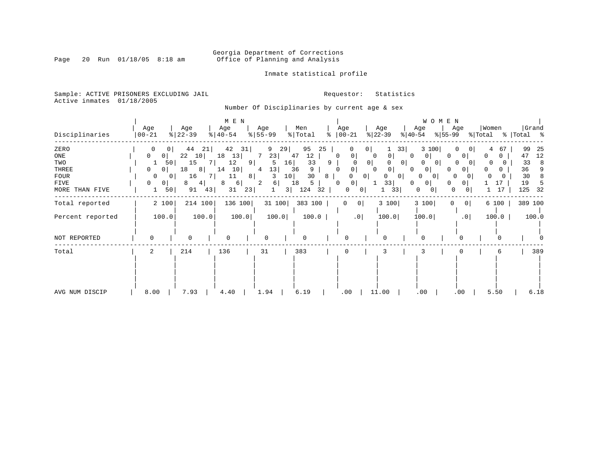# Georgia Department of Corrections<br>Page 20 Run 01/18/05 8:18 am 60ffice of Planning and Analysis Office of Planning and Analysis

### Inmate statistical profile

Sample: ACTIVE PRISONERS EXCLUDING JAIL **Requestor:** Statistics Active inmates 01/18/2005

Number Of Disciplinaries by current age & sex

|                  |                     |           | M E N                 |           |              |                 |                        | WOMEN                    |                                 |
|------------------|---------------------|-----------|-----------------------|-----------|--------------|-----------------|------------------------|--------------------------|---------------------------------|
|                  | Age                 | Age       | Age                   | Age       | Men          | Age             | Age                    | Age<br>Age               | Grand<br>Women                  |
| Disciplinaries   | $ 00 - 21$          | $ 22-39 $ | $\frac{1}{6}$   40-54 | $8 55-99$ | % Total<br>ႜ | $ 00-21$        | $ 22-39 $<br>$ 40-54 $ | $ 55-99 $                | % Total<br>%   Total %          |
| ZERO             |                     | 44<br>21  | 42<br>31              | 9<br>29   | 95<br>25     | 0<br>0          | 33                     | 3 100                    | 99<br>25<br>$\Omega$<br>4<br>67 |
| ONE              | 0<br>01             | 22<br>10  | 18<br>13              | 7<br>23   | 47<br>12     | 0<br>0          | 0<br>0<br>0            | 0<br>0                   | 12<br>47<br>0<br>Ü              |
| TWO              | 50 <br>Τ.           | 15        | 12<br>9               | 16<br>5   | 33<br>9      | 0 <sup>1</sup>  | 0 <sup>1</sup>         | 0<br>O                   | 33<br>8<br>$\sigma$             |
| THREE            | $\circ$<br>0        | 18<br>81  | 14<br>10              | 13 <br>4  | 36<br>9      | 0               | <sup>o</sup>           | 0<br>$\circ$             | 36<br>n                         |
| <b>FOUR</b>      | 0<br>$\overline{0}$ | 16        | 11<br>8               | 10<br>3   | 30<br>8      | $\circ$<br>0    | 0<br>0                 | 0<br>$\Omega$            | 8<br>30<br>0                    |
| FIVE             | $\mathbf{0}$<br>0   | 8<br>4    | 8<br>$6 \mid$         | 2<br>6    | 18<br>5      | $\Omega$<br>0   | 33<br>0                | 0<br>0                   | 17<br>19                        |
| MORE THAN FIVE   | 50<br>1             | 91<br>43  | 31<br>23              | 31        | 124<br>32    | 0<br>0          | 33                     | 0<br>0<br>01             | 125<br>17<br>32                 |
| Total reported   | 2 100               | 214 100   | 136 100               | 31 100    | 383 100      | 0 <br>0         | 3 100                  | 3 100<br> 0 <br>$\Omega$ | 389 100<br>6 100                |
| Percent reported | 100.0               | 100.0     | 100.0                 | 100.0     | 100.0        | .0 <sub>1</sub> | 100.0                  | 100.0<br>.0              | 100.0<br>100.0                  |
| NOT REPORTED     | $\Omega$            | 0         | $\Omega$              |           |              | $\Omega$        |                        |                          |                                 |
| Total            | 2                   | 214       | 136                   | 31        | 383          | 0               | 3                      |                          | 389<br>6                        |
|                  |                     |           |                       |           |              |                 |                        |                          |                                 |
| AVG NUM DISCIP   | 8.00                | 7.93      | 4.40                  | 1.94      | 6.19         | .00             | 11.00                  | .00<br>.00               | 5.50<br>6.18                    |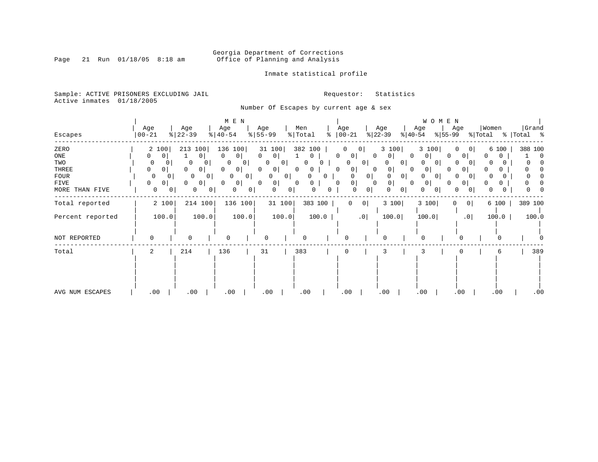# Georgia Department of Corrections<br>Page 21 Run 01/18/05 8:18 am 60ffice of Planning and Analysis Office of Planning and Analysis

### Inmate statistical profile

Sample: ACTIVE PRISONERS EXCLUDING JAIL **Requestor:** Statistics Active inmates 01/18/2005

Number Of Escapes by current age & sex

|                  |             |              |                            |                | M E N   |           |                     |                     |         |                   |                |           |              |                | W O M E N |                |          |          |             |         |
|------------------|-------------|--------------|----------------------------|----------------|---------|-----------|---------------------|---------------------|---------|-------------------|----------------|-----------|--------------|----------------|-----------|----------------|----------|----------|-------------|---------|
|                  | Age         |              | Age                        | Age            |         | Age       |                     | Men                 |         | Age               |                | Age       |              | Age            |           | Age            | Women    |          |             | Grand   |
| Escapes          | $00 - 21$   |              | $ 22-39$                   | $ 40-54 $      |         | $8 55-99$ |                     | $\frac{1}{2}$ Total | ႜ       | $ 00-21 $         |                | $ 22-39 $ | $ 40-54 $    |                | $ 55-99 $ |                | % Total  |          | %   Total % |         |
| ZERO             | 2 100       |              | 213 100                    | 136 100        |         | 31 100    |                     | 382 100             |         |                   | 0              | 3 100     |              | 3 100          |           | O<br>0 I       |          | 6 100    |             | 388 100 |
| ONE              | 0           | 0            | $\circ$                    | 0              | $\circ$ | $\Omega$  | $\circ$             | 0                   |         | 0<br>$\circ$      | 0              | U         | 0            | 0              | $\Omega$  | 0 <sup>1</sup> | 0        | 0        |             | 0       |
| TWO              | 0           | 0            | 0                          | 0              | 0 I     | 0         | 0                   | O                   |         | 0                 | 0 <sup>1</sup> |           | $\mathbf{0}$ | 0 <sup>1</sup> |           | O<br>0         | 0        |          |             |         |
| THREE            | 0           | 0            | $\Omega$<br>0              | 0              | 0 I     | $\Omega$  | $\circ$             | 0<br>$\Omega$       |         | 0<br>$\mathbf{0}$ | 0              | $\cup$    | $\Omega$     | 0              |           | $\circ$        |          |          |             |         |
| FOUR             | $\mathbf 0$ | 0            | $\Omega$<br>0 <sub>1</sub> | $\circ$        | 0       | $\Omega$  | $\mathbf{0}$        | O                   | 0.      | $\Omega$          | 0              | 0         | 0            | 0 <sup>1</sup> |           | $\Omega$<br>0  | $\Omega$ |          |             |         |
| FIVE             | 0           | 0            | $\circ$<br>$\Omega$        | $\Omega$       | 0       | $\Omega$  | 0                   | 0<br>$\Omega$       |         | 0<br>$\Omega$     | 0              | 0         | 0            | 0              |           | $\mathbf{0}$   |          | $\Omega$ |             |         |
| MORE THAN FIVE   | 0           | $\mathbf{0}$ | 0                          | $\overline{0}$ | 0<br>0  |           | 0<br>$\overline{0}$ | 0                   | 0       | 0                 | $\overline{0}$ |           | 0            | 0              |           | 0<br>0         | 0        |          |             |         |
| Total reported   | 2 100       |              | 214 100                    |                | 136 100 |           | 31 100              |                     | 383 100 | $\overline{0}$    | 0              | 3 100     |              | 3 100          | 0         | 0              |          | 6 100    |             | 389 100 |
| Percent reported | 100.0       |              | 100.0                      |                | 100.0   |           | 100.0               |                     | 100.0   |                   | .0             | 100.0     |              | 100.0          |           | .0             |          | 100.0    |             | 100.0   |
| NOT REPORTED     | $\Omega$    |              | 0                          | $\Omega$       |         | O         |                     |                     |         | $\Omega$          |                | $\Omega$  |              |                |           | $\Omega$       |          | O        |             |         |
| Total            | 2           |              | 214                        | 136            |         | 31        |                     | 383                 |         | 0                 |                | 3         |              |                |           |                |          | 6        |             | 389     |
|                  |             |              |                            |                |         |           |                     |                     |         |                   |                |           |              |                |           |                |          |          |             |         |
| AVG NUM ESCAPES  | .00         |              | .00                        | .00            |         | .00       |                     | .00                 |         | .00               |                | .00       |              | .00            |           | .00            |          | .00      |             | .00     |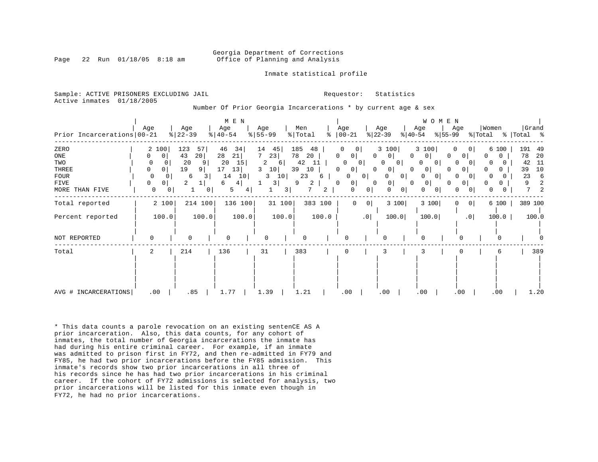#### Georgia Department of Corrections Page 22 Run 01/18/05 8:18 am Office of Planning and Analysis

Inmate statistical profile

Sample: ACTIVE PRISONERS EXCLUDING JAIL **Requestor:** Statistics Active inmates 01/18/2005

Number Of Prior Georgia Incarcerations \* by current age & sex

| Prior Incarcerations   00-21                                  | Age                                                                              | Age<br>$8   22 - 39$                                                     | M E N<br>Age<br>$\frac{1}{6}$   40-54                                         | Age<br>$8 55-99$                                                                      | Men<br>% Total<br>ႜ                                                     | Age<br>$ 00-21$                                                                                                                                      | Age<br>$ 22-39 $<br>$ 40-54 $                                                                                                          | WOMEN<br>Age<br>Age<br>$ 55-99 $                                                                                                                                          | Women<br>Grand<br>% Total %<br>% Total                                                                           |
|---------------------------------------------------------------|----------------------------------------------------------------------------------|--------------------------------------------------------------------------|-------------------------------------------------------------------------------|---------------------------------------------------------------------------------------|-------------------------------------------------------------------------|------------------------------------------------------------------------------------------------------------------------------------------------------|----------------------------------------------------------------------------------------------------------------------------------------|---------------------------------------------------------------------------------------------------------------------------------------------------------------------------|------------------------------------------------------------------------------------------------------------------|
| ZERO<br>ONE<br>TWO<br>THREE<br>FOUR<br>FIVE<br>MORE THAN FIVE | 2 100<br>$\mathbf 0$<br>0<br>0<br>0<br>0<br>$\Omega$<br>0 <sup>1</sup><br>0<br>0 | 123<br>57<br>43<br>20 <br>20<br>19<br>9 <sup>1</sup><br>6<br>3<br>2<br>0 | 46<br>34<br>28<br>21<br>20<br>15<br>17<br>13 <br>14<br>10<br>6<br>4<br>5<br>4 | 14<br>45 <br>$7^{\circ}$<br>23<br>2<br>6<br>10<br>3<br>10<br>3<br>3<br>$\overline{3}$ | 185<br>48<br>78<br>20<br>42<br>11<br>39<br>10<br>23<br>6<br>9<br>2<br>2 | $\mathbf 0$<br>$\circ$<br>0 <sup>1</sup><br>0<br>$\Omega$<br>0<br>0<br>0 <sup>1</sup><br>0<br>$\Omega$<br>0 <sup>1</sup><br>0<br>0 <sup>1</sup><br>0 | 3 100<br>0<br>0 <sup>1</sup><br>$\Omega$<br>$\overline{0}$<br>0<br>0 <sub>1</sub><br>0<br>O<br>0<br>0 <sup>1</sup><br>0<br>0<br>0<br>0 | 3 100<br>$\Omega$<br>$\circ$<br>$\mathbf{0}$<br>0<br>0 <sup>1</sup><br>O<br>$\Omega$<br>0<br>0<br>$\overline{0}$<br>O<br>0<br> 0 <br>0 <sub>1</sub><br>$\Omega$<br>0<br>0 | 191<br>49<br>6 100<br>20<br>78<br>0<br>0<br>-11<br>42<br>10<br>39<br>0<br>23<br>6<br>2<br>9<br>O.<br>7<br>2<br>0 |
| Total reported                                                | 2 100                                                                            | 214 100                                                                  | 136 100                                                                       | 31 100                                                                                | 383 100                                                                 | $\mathbf 0$<br>0 <sup>1</sup>                                                                                                                        | 3 100                                                                                                                                  | 3 100<br>0 <sup>1</sup><br>0                                                                                                                                              | 389 100<br>6 100                                                                                                 |
| Percent reported                                              | 100.0                                                                            | 100.0                                                                    | 100.0                                                                         | 100.0                                                                                 | 100.0                                                                   | .0                                                                                                                                                   | 100.0                                                                                                                                  | 100.0<br>.0 <sub>1</sub>                                                                                                                                                  | 100.0<br>100.0                                                                                                   |
| NOT REPORTED                                                  | $\Omega$                                                                         | $\mathbf 0$                                                              | $\Omega$                                                                      | $\Omega$                                                                              |                                                                         |                                                                                                                                                      | U                                                                                                                                      | U                                                                                                                                                                         |                                                                                                                  |
| Total                                                         | 2                                                                                | 214                                                                      | 136                                                                           | 31                                                                                    | 383                                                                     | 0                                                                                                                                                    | 3                                                                                                                                      |                                                                                                                                                                           | 389<br>6                                                                                                         |
| AVG # INCARCERATIONS                                          | .00                                                                              | .85                                                                      | 1.77                                                                          | 1.39                                                                                  | 1.21                                                                    | .00                                                                                                                                                  | .00                                                                                                                                    | .00<br>.00                                                                                                                                                                | .00<br>1.20                                                                                                      |

\* This data counts a parole revocation on an existing sentenCE AS A prior incarceration. Also, this data counts, for any cohort of inmates, the total number of Georgia incarcerations the inmate has had during his entire criminal career. For example, if an inmate was admitted to prison first in FY72, and then re-admitted in FY79 and FY85, he had two prior incarcerations before the FY85 admission. This inmate's records show two prior incarcerations in all three of his records since he has had two prior incarcerations in his criminal career. If the cohort of FY72 admissions is selected for analysis, two prior incarcerations will be listed for this inmate even though in FY72, he had no prior incarcerations.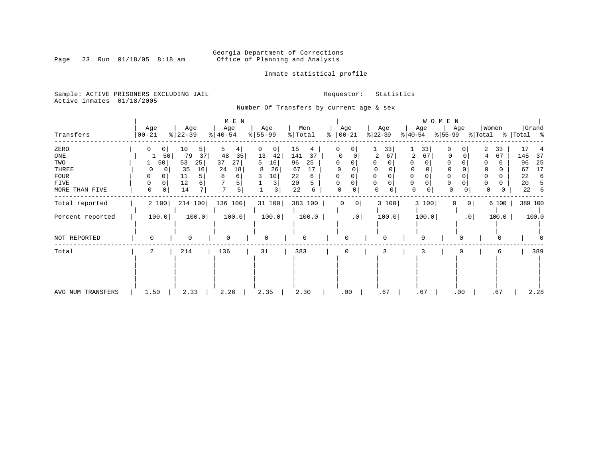# Georgia Department of Corrections<br>Page 23 Run 01/18/05 8:18 am 60ffice of Planning and Analysis Office of Planning and Analysis

Inmate statistical profile

Sample: ACTIVE PRISONERS EXCLUDING JAIL **Requestor:** Statistics Active inmates 01/18/2005

Number Of Transfers by current age & sex

| Transfers                                                            | Age<br>$00 - 21$                                                    | Age<br>$ 22-39 $                                                          | $M$ $\,$ E $\,$ N $\,$<br>Age<br>$ 40-54 $                | Age<br>$8 55-99$                                              | Men<br>% Total                                                           | Age<br>$ 00-21$<br>៖                                | Age<br>$ 22-39 $                                             | WOMEN<br>Age<br>$ 55-99 $<br>$ 40-54 $                                                     | Women<br>Age<br>% Total                                         | Grand<br>%   Total %                                                     |
|----------------------------------------------------------------------|---------------------------------------------------------------------|---------------------------------------------------------------------------|-----------------------------------------------------------|---------------------------------------------------------------|--------------------------------------------------------------------------|-----------------------------------------------------|--------------------------------------------------------------|--------------------------------------------------------------------------------------------|-----------------------------------------------------------------|--------------------------------------------------------------------------|
| ZERO<br>ONE<br>TWO<br>THREE<br><b>FOUR</b><br>FIVE<br>MORE THAN FIVE | 0 <sup>1</sup><br>$\mathbf{0}$<br>50<br>50<br>0<br>0<br>0<br>0<br>0 | 10<br>5 <br>79<br>37<br>53<br>25 <br>35<br>16<br>5<br>11<br>12<br>6<br>14 | 5<br>4<br>48<br>35<br>37<br>27<br>24<br>18<br>8<br>6<br>5 | 0<br>0<br>13<br>42<br>16<br>5<br>26<br>8<br>10<br>3<br>3<br>3 | 15<br>4<br>37<br>141<br>25<br>96<br>67<br>17<br>22<br>6<br>20<br>22<br>6 | 0 <sup>1</sup><br>0<br>0<br>0<br>$\Omega$<br>0<br>0 | 33<br>2<br>67<br>$\mathbf 0$<br>$\mathbf 0$<br>$\Omega$<br>0 | 33<br>0<br>67<br>2<br>0<br>0<br>$\mathbf 0$<br>$\Omega$<br>$\mathbf 0$<br>0<br>0<br>0<br>0 | 2<br>33<br>0<br>67<br>U<br>4<br>0<br>0<br>0<br>0<br>0<br>0<br>0 | 17<br>37<br>145<br>96<br>25<br>17<br>67<br>22<br>6<br>20<br>5<br>22<br>6 |
| Total reported<br>Percent reported                                   | 2 100<br>100.0                                                      | 214 100<br>100.0                                                          | 136 100<br>100.0                                          | 31 100<br>100.0                                               | 383 100<br>100.0                                                         | 0 <br>0<br>.0                                       | 3 100<br>100.0                                               | 3 100<br>100.0                                                                             | 6 100<br>0<br>$\overline{0}$<br>100.0<br>.0 <sub>1</sub>        | 389 100<br>100.0                                                         |
| NOT REPORTED                                                         | $\Omega$                                                            | $\Omega$                                                                  | $\Omega$                                                  | 0                                                             | 0                                                                        | $\Omega$                                            |                                                              | $\Omega$                                                                                   | $\Omega$                                                        |                                                                          |
| Total                                                                | 2                                                                   | 214                                                                       | 136                                                       | 31                                                            | 383                                                                      | 0                                                   | 3                                                            |                                                                                            | 6                                                               | 389                                                                      |
| AVG NUM TRANSFERS                                                    | 1.50                                                                | 2.33                                                                      | 2.26                                                      | 2.35                                                          | 2.30                                                                     | .00                                                 | .67                                                          | .67                                                                                        | .67<br>.00                                                      | 2.28                                                                     |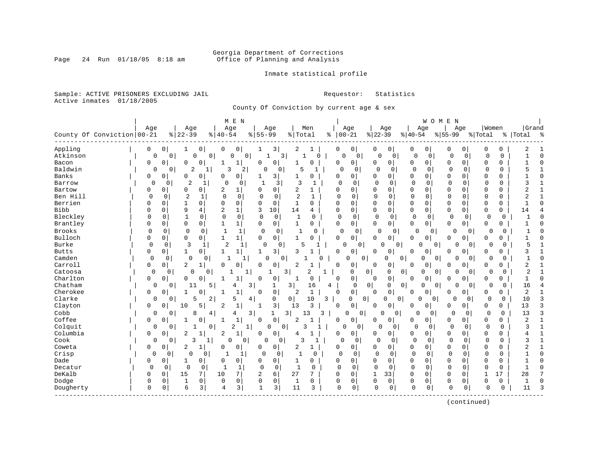# Georgia Department of Corrections<br>Page 24 Run 01/18/05 8:18 am 60ffice of Planning and Analysis Office of Planning and Analysis

Inmate statistical profile

Sample: ACTIVE PRISONERS EXCLUDING JAIL **Requestor:** Statistics Active inmates 01/18/2005

County Of Conviction by current age & sex

|               |                            |             |             |                |              | M E N                         |                         |                  |             |                |              |              |                         |                |                     |             | WOMEN          |              |                |              |             |                |                |
|---------------|----------------------------|-------------|-------------|----------------|--------------|-------------------------------|-------------------------|------------------|-------------|----------------|--------------|--------------|-------------------------|----------------|---------------------|-------------|----------------|--------------|----------------|--------------|-------------|----------------|----------------|
|               |                            | Age         |             | Age            |              | Age                           |                         | Age              |             |                | Men          |              | Age                     |                | Age                 |             | Age            |              | Age            | Women        |             | Grand          |                |
|               | County Of Conviction 00-21 |             |             | $ 22-39$       |              | $8140 - 54$                   |                         | $8 55-99$        |             | % Total        |              |              | $% 00-21$               | $ 22-39$       |                     | $8 40-54$   |                | $8 55-99$    |                | % Total      |             | %   Total      | ိ              |
|               |                            |             |             |                |              |                               |                         |                  |             |                |              |              |                         |                |                     |             |                |              |                |              |             |                |                |
| Appling       |                            | 0           | 0           | 1              | 0            | 0<br>0                        |                         | 3<br>1           |             | 2              | -1           | 0            | 0                       | 0              | 0                   | 0           | 0              | 0            | 0              | O            | 0           | 2              |                |
| Atkinson      |                            | 0           | $\mathbf 0$ | $\mathbf 0$    | 0            | 0                             | 0 <sup>1</sup>          | 1                | 3           |                | $\Omega$     |              | $\Omega$<br>0           | $\mathbf 0$    | 0                   | $\mathbf 0$ | 0              | $\mathbf{0}$ | $\mathbf 0$    | $\Omega$     | $\mathbf 0$ | $\mathbf{1}$   | $\Omega$       |
| Bacon         |                            | $\mathbf 0$ | 0           | 0              | 0            | $\mathbf 1$<br>1              |                         | $\mathbf 0$<br>0 |             | 1              | $\Omega$     | 0            | $\overline{0}$          | <sup>0</sup>   | $\overline{0}$      | 0           | 0              | 0            | 0              | $\Omega$     | 0           |                | $\cap$         |
| Baldwin       |                            | $\mathbf 0$ | 0           | $\overline{a}$ | 1            | 3                             | 2                       | $\Omega$         | 0           | 5              | 1            |              | $\Omega$<br>$\mathbf 0$ | $\Omega$       | 0                   | $\mathbf 0$ | 0              | 0            | 0              | 0            | $\Omega$    | 5              |                |
| Banks         |                            | 0           | 0           | 0              | 0            | 0<br>$\Omega$                 |                         |                  | 3           | 1              | $\Omega$     | 0            | 0                       | O              | $\Omega$            | 0           | 0              | $\Omega$     | $\Omega$       | $\Omega$     | 0           |                | C              |
| Barrow        |                            | $\Omega$    | 0           | $\overline{2}$ | $\mathbf{1}$ | $\Omega$                      | 0                       | $\mathbf{1}$     | 3           | 3              | $\mathbf{1}$ | $\Omega$     | $\Omega$                | $\Omega$       | $\Omega$            | $\Omega$    | $\Omega$       | $\Omega$     | $\Omega$       | $\Omega$     | $\Omega$    | 3              |                |
| Bartow        |                            | 0           | 0           | 0              | 0            | 2<br>1                        |                         | 0<br>0           |             | $\overline{2}$ | 1            | 0            | 0                       | 0              | $\Omega$            | 0           | $\Omega$       | $\Omega$     | $\Omega$       | 0            | 0           | 2              |                |
| Ben Hill      |                            | $\Omega$    | $\mathbf 0$ | 2              | $\mathbf{1}$ | $\Omega$<br>$\mathbf 0$       |                         | $\mathbf 0$      | $\mathbf 0$ | $\overline{a}$ | $\mathbf{1}$ | $\Omega$     | $\mathbf 0$             | $\Omega$       | $\Omega$            | $\Omega$    | 0              | $\Omega$     | $\Omega$       | $\mathbf{0}$ | 0           | 2              |                |
| Berrien       |                            | $\Omega$    | $\mathbf 0$ | 1              | $\mathbf 0$  | $\mathbf 0$<br>$\mathbf 0$    |                         | 0<br>0           |             | $\mathbf{1}$   | $\mathbf 0$  | $\Omega$     | 0                       | $\mathbf 0$    | $\Omega$            | 0           | 0              | $\mathbf{0}$ | 0              | 0            | 0           | $\mathbf{1}$   | $\bigcap$      |
| <b>Bibb</b>   |                            | $\Omega$    | 0           | 9              | 4            | $\mathbf 1$<br>$\overline{2}$ |                         | 3<br>10          |             | 14             | 4            | 0            | 0                       | 0              | $\mathbf 0$         | 0           | 0              | $\mathbf{0}$ | 0              | 0            | 0           | 14             |                |
| Bleckley      |                            | $\mathbf 0$ | 0           | $\mathbf{1}$   | $\mathbf 0$  | 0<br>0                        |                         | $\mathbf 0$      | 0           | $\mathbf 1$    | $\Omega$     | $\Omega$     | $\mathbf 0$             | $\Omega$       | 0                   | $\Omega$    | $\Omega$       | $\mathbf 0$  | 0              | 0            | 0           |                |                |
| Brantley      |                            | $\Omega$    | 0           | $\mathbf 0$    | 0            | $1\vert$<br>1                 |                         | 0                | 0           | $\mathbf 1$    | 0            | 0            | 0                       | $\Omega$       | $\mathbf{0}$        | 0           | 0              | $\mathbf 0$  | $\overline{0}$ | 0            | 0           | 1              |                |
| <b>Brooks</b> |                            | $\Omega$    | 0           | 0              | 0            | 1                             | $\mathbf{1}$            | 0                | $\mathbf 0$ | $\mathbf{1}$   | 0            |              | 0<br>$\mathbf 0$        | $\Omega$       | 0                   | O           | 0              | 0            | 0              | 0            | 0           | 1              |                |
| Bulloch       |                            | 0           | 0           | $\mathbf 0$    | 0            | 1<br>$\mathbf{1}$             |                         | 0                | $\circ$     | 1              | 0            | 0            | 0                       | 0              | $\overline{0}$      | 0           | 0              | 0            | $\overline{0}$ | 0            | 0           |                |                |
| Burke         |                            | 0           | 0           | 3              | 1            | 2                             | 1                       | $\Omega$         | 0           | 5              | 1            |              | O<br>0                  |                | 0<br>0 <sup>1</sup> | $\cap$      | 0 <sup>1</sup> | $\cap$       | $\overline{0}$ | 0            | $\Omega$    | 5              |                |
| <b>Butts</b>  |                            | 0           | 0           | 1              | 0            | 1<br>1                        |                         | 1                | 3           | 3              |              | 0            | 0                       | O              | 0                   | 0           | 0              | 0            | 0              | 0            | 0           | 3              |                |
| Camden        |                            | $\mathbf 0$ | $\mathbf 0$ | $\mathbf 0$    | $\Omega$     | $\mathbf{1}$                  | 1                       | 0                | 0           |                | U            |              | 0                       | 0              | 0<br>$\Omega$       |             | 0<br>0         | U            | 0              | 0            | $\Omega$    | 1              |                |
| Carroll       |                            | 0           | 0           | $\overline{a}$ | 1            | 0<br>0                        |                         | 0<br>$\mathbf 0$ |             | 2              |              | 0            | 0                       | 0              | 0                   | 0           | 0              | 0            | 0              | 0            | 0           | 2              |                |
| Catoosa       |                            | $\Omega$    | 0           | 0              | 0            |                               | 1                       |                  | 3           |                | 2<br>1       |              | 0                       | 0              | 0<br>$\mathbf 0$    |             | 0<br>0         | 0            | 0              | 0            | 0           | $\overline{2}$ |                |
| Charlton      |                            | $\mathbf 0$ | 0           | 0              | 0            | 1<br>1                        |                         | 0<br>0           |             | 1              | $\Omega$     | 0            | 0                       | $\Omega$       | $\mathbf 0$         | 0           | 0              | $\Omega$     | 0              | 0            | 0           | $\mathbf{1}$   | C              |
| Chatham       |                            | 0           | 0           | 11             | 5            | 4                             | 3                       | $\mathbf{1}$     |             | $\overline{3}$ | 16           | 4            | 0                       | 0              | 0<br>0              |             | $\Omega$<br>0  | $\Omega$     | 0              | 0            | $\mathbf 0$ | 16             |                |
| Cherokee      |                            | 0           | 0           | 1              | 0            | 1<br>1                        |                         | $\mathbf 0$<br>0 |             | 2              | $\mathbf{1}$ | 0            | $\mathbf{0}$            | $\Omega$       | $\mathbf 0$         | 0           | 0              | $\Omega$     | 0              | $\Omega$     | 0           | 2              |                |
| Clarke        |                            | 0           | 0           | 5              | 2            | 5                             | 4                       | 0                |             | 0              | 10           | 3            | 0                       | $\overline{0}$ | 0<br>0              | O           | 0              | 0            | $\Omega$       | 0            | 0           | 10             |                |
| Clayton       |                            | 0           | 0           | 10             | 5            | 2<br>1                        |                         | 1                | 3           | 13             | 3            | 0            | 0                       | 0              | 0                   | 0           | 0              | 0            | 0 <sup>1</sup> | 0            | 0           | 13             | 3              |
| Cobb          |                            | 0           | 0           | 8              | 4            | 4                             | $\overline{\mathbf{3}}$ | 1                | 3           |                | 13<br>3      |              | 0<br>0                  |                | $\mathbf 0$<br>0    | $\Omega$    | 0              | 0            | 0              | 0            | $\Omega$    | 13             | 3              |
| Coffee        |                            | $\Omega$    | 0           | $\mathbf{1}$   | 0            | $\mathbf 1$<br>1              |                         | $\mathbf 0$<br>0 |             | $\overline{2}$ | $\mathbf{1}$ | <sup>0</sup> | 0                       | <sup>0</sup>   | 0                   | 0           | 0              | $\mathbf{0}$ | $\overline{0}$ | 0            | 0           | $\overline{2}$ | $\overline{1}$ |
| Colquit       |                            | $\mathbf 0$ | 0           | 1              | 0            | 2                             | $\mathbf 1$             | $\Omega$         | 0           | ς              |              |              | O<br>0                  | 0              | 0                   | $\Omega$    | 0              | $\mathbf 0$  | 0              | 0            | 0           | 3              |                |
| Columbia      |                            | $\mathbf 0$ | $\Omega$    | $\overline{a}$ |              | 2<br>$\mathbf 1$              |                         | $\mathbf 0$<br>0 |             | 4              | 1            | 0            | 0                       | <sup>0</sup>   | 0                   | 0           | 0              | $\mathbf 0$  | 0              | 0            | 0           | 4              |                |
| Cook          |                            | 0           | $\mathbf 0$ | 3              | $\mathbf{1}$ | $\Omega$                      | $\Omega$                | O                | $\Omega$    | 3              | 1            |              | $\Omega$<br>$\Omega$    | O              | $\Omega$            | $\Omega$    | $\Omega$       | $\Omega$     | $\Omega$       | $\Omega$     | $\Omega$    | 3              |                |
| Coweta        |                            | 0           | 0           | 2              | 1            | 0<br>$\Omega$                 |                         | 0                | $\circ$     | 2              | 1            | 0            | 0                       | 0              | 0                   | 0           | 0              | $\mathbf 0$  | $\Omega$       | 0            | 0           | 2              |                |
| Crisp         |                            | $\Omega$    | 0           | $\mathbf 0$    | 0            | 1                             | 1                       | 0                | $\mathbf 0$ | $\mathbf{1}$   | $\mathbf 0$  | $\mathbf 0$  | 0                       | $\Omega$       | 0                   | $\mathsf 0$ | 0              | $\Omega$     | 0              | $\mathbf 0$  | $\Omega$    |                | C              |
| Dade          |                            | 0           | 0           | 1              | 0            | $\mathbf 0$<br>0              |                         | 0<br>$\mathbf 0$ |             | $\mathbf{1}$   | 0            | $\Omega$     | 0                       | $\mathbf 0$    | 0                   | 0           | 0              | $\Omega$     | $\mathbf 0$    | $\Omega$     | $\Omega$    | $\mathbf{1}$   | $\bigcap$      |
| Decatur       |                            | 0           | 0           | $\mathbf 0$    | 0            |                               | 1                       | 0                | 0           | 1              | 0            | 0            | 0                       | $\mathbf 0$    | 0                   | $\mathbf 0$ | $\Omega$       | $\Omega$     | 0              | 0            | $\mathbf 0$ |                | O              |
| DeKalb        |                            | $\Omega$    | $\mathbf 0$ | 15             | 7            | 7<br>10                       |                         | 2<br>6           |             | 27             | 7            | <sup>0</sup> | 0                       | $\mathbf{1}$   | 33                  | 0           | 0              | $\Omega$     | $\Omega$       | $\mathbf{1}$ | 17          | 28             |                |
| Dodge         |                            | 0           | $\mathbf 0$ | $\mathbf{1}$   | $\mathbf 0$  | $\mathbf 0$<br>0              |                         | 0                | $\mathbf 0$ | 1              | 0            | 0            | 0                       | 0              | 0                   | 0           | 0              | $\mathbf 0$  | $\mathbf 0$    | 0            | 0           | 1              | $\bigcap$      |
| Dougherty     |                            | $\mathbf 0$ | 0           | 6              | 3            | 3<br>4                        |                         | $\mathbf{1}$     | 3           | 11             | 3            | $\mathbf 0$  | 0                       | $\Omega$       | 0                   | $\Omega$    | 0              | $\mathbf 0$  | 0              | $\mathbf 0$  | 0           | 11             | Р              |
|               |                            |             |             |                |              |                               |                         |                  |             |                |              |              |                         |                |                     |             |                |              |                |              |             |                |                |
|               |                            |             |             |                |              |                               |                         |                  |             |                |              |              |                         |                |                     |             |                |              |                |              |             |                |                |

(continued)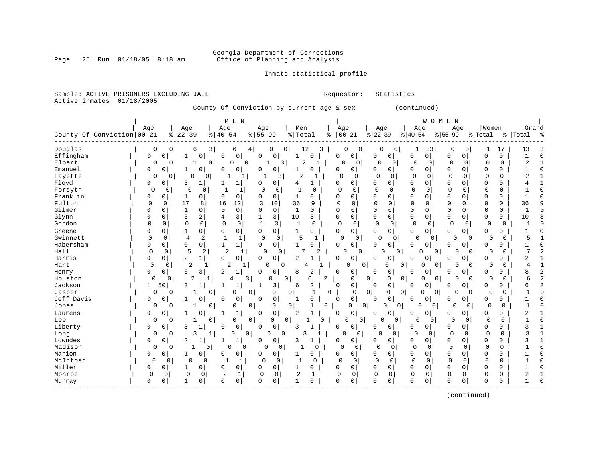# Georgia Department of Corrections<br>Page 25 Run 01/18/05 8:18 am 60ffice of Planning and Analysis Office of Planning and Analysis

Sample: ACTIVE PRISONERS EXCLUDING JAIL **Requestor:** Statistics

# Inmate statistical profile

| M E N<br><b>WOMEN</b><br>Women<br>Grand<br>Age<br>Men<br>Age<br>Age<br>Age<br>Age<br>Age<br>Age<br>Age<br>County Of Conviction   00-21<br>$8   22 - 39$<br>$8 55-99$<br>$ 00-21$<br>$ 22-39$<br>$8   40 - 54$<br>% Total<br>$ 40-54$<br>$8 55-99$<br>%   Total<br>ႜ<br>% Total<br>း<br>Douglas<br>12<br>0<br>$\Omega$<br>6<br>3<br>0<br>0<br>3<br>0<br>$\mathbf 0$<br>$\Omega$<br>0<br>1<br>33<br>$\Omega$<br>0<br>13<br>6<br>4<br>1<br>17<br>0<br>0<br>0 <sup>1</sup><br>0<br>Effingham<br>0<br>$\circ$<br>0<br>0<br>$\mathbf 0$<br>$\overline{0}$<br>0<br>C<br>0<br>0<br>0<br>0<br>$\mathbf{1}$<br>0<br>0<br>0<br>1<br>1<br>$\overline{2}$<br>$\overline{2}$<br>Elbert<br>0<br>3 <br>$\Omega$<br>$\Omega$<br>$\mathbf 0$<br>0<br>$\mathbf 0$<br>0<br>$\mathbf 0$<br>$\overline{1}$<br>0<br>$\circ$<br>$\Omega$<br>$\mathbf{1}$<br>0<br>$\mathbf 0$<br>0<br>1<br>0<br>-1<br>0<br>$\Omega$<br>$\Omega$<br>Emanuel<br>0<br>$\Omega$<br>$\Omega$<br>$\Omega$<br>0<br>0<br>$\Omega$<br>0<br>0<br>$\Omega$<br>0<br>$\Omega$<br>1<br>$\bigcap$<br>$\mathbf{1}$<br>$\Omega$<br>$\mathbf{1}$<br>$\Omega$<br>$\Omega$<br>2<br>0<br>$\mathbf 0$<br>$\overline{2}$<br>Fayette<br>0<br>0<br>$\Omega$<br>$\mathbf 0$<br>3<br>1<br>0<br>$\Omega$<br>0<br>0<br>0<br>$\Omega$<br>0<br>0<br>$\mathbf 0$<br>Floyd<br>0<br>3<br>$\Omega$<br>$\circ$<br>0<br>0<br>$\Omega$<br>$\Omega$<br>0<br>0<br>$\Omega$<br>0<br>$\Omega$<br>$\overline{1}$<br>$\mathbf 0$<br>$\mathbf{1}$<br>1<br>1<br>4<br>1<br>4<br>Forsyth<br>$\Omega$<br>0<br>-1<br>1<br>$\Omega$<br>0<br>1<br>0<br>0<br>0<br>$\Omega$<br>0<br>0<br>0<br>0<br>0<br>0<br>$\Omega$<br>0<br>0<br>0<br>Franklin<br>0<br>$\mathbf{1}$<br>$\Omega$<br>$\Omega$<br>0<br>$\Omega$<br>$\Omega$<br>0<br>$\Omega$<br>$\mathbf{1}$<br>0<br>0<br>1<br>0<br>0<br>0<br>$\mathbf 0$<br>0<br>0<br>0<br>0<br>$\sqrt{ }$<br>Fulton<br>17<br>12<br>36<br>$\Omega$<br>$\mathbf 0$<br>36<br>$\Omega$<br>0<br>8<br>16<br>3<br>10<br>9<br>$\Omega$<br>$\mathbf 0$<br>$\Omega$<br>$\mathbf 0$<br>$\mathbf 0$<br>$\Omega$<br>$\Omega$<br>$\mathbf 0$<br>9<br>Gilmer<br>0<br>$\mathbf{1}$<br>0<br>$\mathbf 0$<br>0<br>0<br>0 <sup>1</sup><br>$\mathbf{1}$<br>$\Omega$<br>0<br>0<br>$\mathbf 0$<br>0<br>$\mathbf 0$<br>$\mathbf 0$<br>$\mathbf{1}$<br>$\Omega$<br>0<br>$\Omega$<br>O<br>0<br>0<br>5<br>3<br>3<br>$\mathbf 0$<br>0<br>Glynn<br>$\overline{a}$<br>10<br>0<br>0<br>$\mathbf 0$<br>$\overline{0}$<br>0<br>10<br>0<br>0<br>4<br>3<br>0<br>0<br>0<br>3<br>1<br>Gordon<br>$\Omega$<br>$\mathbf 0$<br>$\Omega$<br>$\Omega$<br>$\Omega$<br>$\mathbf 0$<br>$\mathbf{1}$<br>3<br>$\mathbf{1}$<br>$\Omega$<br>$\mathbf 0$<br>$\Omega$<br>0<br>$\mathbf 0$<br>$\mathbf 0$<br>$\mathbf 0$<br>$\Omega$<br>0<br>0<br>$\Omega$<br>$\mathbf{1}$<br>ſ<br>0<br>0<br>0 <sup>1</sup><br>Greene<br>0<br>0<br>0<br>1<br>0<br>0<br>0<br>$\Omega$<br>$\overline{0}$<br>0<br>0 <sup>1</sup><br>0<br>0<br>0<br>0<br>0<br>1<br>1<br>C<br>5<br>Gwinnett<br>$\mathbf 0$<br>4<br>2<br>$\mathbf{1}$<br>$\mathbf 0$<br>$\mathbf 0$<br>5<br>$\Omega$<br>$\mathbf{1}$<br>0<br>1<br>1<br>0<br>$\Omega$<br>0<br>$\mathbf{0}$<br>0<br>0 <sup>1</sup><br>0<br>$\Omega$<br>∩<br>Habersham<br>$\mathbf 0$<br>0<br>$\mathbf{1}$<br>$\mathbf{1}$<br>$\Omega$<br>$\circ$<br>$\Omega$<br>0<br>0<br>$\Omega$<br>0<br>0<br>0<br>0<br>$\mathbf{1}$<br>O<br>$\Omega$<br>0<br>0<br>O<br>C<br>5<br>7<br>$\Omega$<br>$\overline{2}$<br>7<br>Hall<br>$\Omega$<br>2<br>1<br>$\Omega$<br>0<br>2<br>$\Omega$<br>$\Omega$<br>$\Omega$<br>$\overline{0}$<br>$\Omega$<br>$\Omega$<br>$\Omega$<br>$\Omega$<br>U<br>$\cap$<br>Harris<br>2<br>0<br>2<br>0<br>2<br>0<br>0<br>0<br>0<br>0 <sup>1</sup><br>0<br>0<br>0<br>0<br>0<br>0 <sup>1</sup><br>0<br>0<br>1<br>0<br>$\overline{c}$<br>$\overline{2}$<br>$\overline{1}$<br>$\mathbf 0$<br>$\mathbf 0$<br>$\mathbf 0$<br>$\mathbf 0$<br>$\overline{4}$<br>Hart<br>0<br>$\mathbf{0}$<br>$\Omega$<br>0<br>0<br>O<br>0<br>$\Omega$<br>0 <sup>1</sup><br>$\Omega$<br>1<br>1<br>-1<br>$\overline{2}$<br>$\overline{2}$<br>6<br>2<br>$\mathbf 0$<br>$\mathbf 0$<br>8<br>0<br>0<br>3<br>1<br>8<br>0<br>0<br>0<br>0<br>0<br>0<br>Henry<br><sup>0</sup><br>0<br>O<br>0<br>2<br>6<br>$\overline{2}$<br>$\overline{2}$<br>3<br>б<br>0 <sup>1</sup><br>$\mathbf 0$<br>0<br> 0 <br>$\mathbf 0$<br>Houston<br>$\Omega$<br>0<br>1<br>0<br>0<br>0<br>0<br>0<br>$\Omega$<br>$\Omega$<br>4<br>2<br>0<br>6<br>2<br>Jackson<br>$\mathbf 1$<br>3<br>6<br>0<br>0 <sup>1</sup><br>0<br>$\mathbf 0$<br>50<br>3<br>1<br>$\Omega$<br>$\Omega$<br>0<br>0<br>0<br>-1<br>0<br>0<br>0<br>$\mathbf 1$<br>$\overline{0}$<br>0<br>$\Omega$<br>Jasper<br>0<br>0<br>0<br>0<br>0<br>$\Omega$<br>0<br>0<br>$\mathbf{1}$<br>0<br>1<br>0<br>0<br>U<br>0<br>0<br>$\Omega$<br>Jeff Davis<br>0<br>0<br>$\Omega$<br>0<br>0<br>0<br>0<br>$\Omega$<br><sup>0</sup><br>$\Omega$<br>$\Omega$<br>1<br>$\Omega$<br>$\Omega$<br>0<br>$\Omega$<br>0<br>C<br>-1<br>0<br>0<br>0<br>0<br>0<br>0<br>0<br>0<br>0<br>0<br>0<br>0<br>$\Omega$<br>$\Omega$<br>$\Omega$<br>$\mathbf{1}$<br>Ω<br>Jones<br>1<br>1<br>0<br>$\Omega$<br>0<br>$\mathbf 0$<br>$\overline{2}$<br>0<br>0<br>0 <sup>1</sup><br>0<br>2<br>0<br>0<br>0<br>1<br>1<br>0<br>0<br>0<br>Laurens<br>-1<br>$\Omega$<br>$\Omega$<br>$\Omega$<br>0<br>Lee<br>0<br>0 <sup>1</sup><br>0<br>$\Omega$<br>$\mathbf 0$<br>$\Omega$<br>0<br>0<br>0<br>0<br>0<br>0<br>0<br>0<br>0 <sup>1</sup><br>0<br>0<br>0<br>$\mathbf{1}$<br>1<br>0<br>0<br>$\mathbf 0$<br>Liberty<br>3<br>$\mathbf{1}$<br>0<br>$\mathbf 0$<br>$\overline{0}$<br>0<br>$\mathbf 0$<br>3<br>0<br>$\Omega$<br>3<br>$\Omega$<br>$\Omega$<br>0<br>$\Omega$<br>0<br>0<br>0<br>-1<br>0<br>3<br>0<br>0<br>3<br>$\overline{0}$<br>3<br>0<br>0<br>$\Omega$<br>$\Omega$<br>0<br>0<br>0<br>0<br>-1<br>Long<br>1<br>0<br>0<br>0<br>0<br>Lowndes<br>0<br>$\mathbf 1$<br>0<br>3<br>0<br>0<br>$\mathbf 0$<br>$\overline{0}$<br>0<br>$\mathbf 0$<br>3<br>$\mathbf{1}$<br>0<br>2<br>$\Omega$<br>1<br>0<br>$\Omega$<br>0<br>0<br>1<br>Madison<br>0<br>$\Omega$<br>0<br>$\Omega$<br>$\Omega$<br>$\mathbf 0$<br>$\mathbf 0$<br>$\mathbf 0$<br>$\mathbf 0$<br>$\Omega$<br>0<br>0<br>0<br>O<br>0<br>0<br>0<br>0<br>0<br>Marion<br>$\mathbf 0$<br>$\mathbf 0$<br>0<br>0<br>0<br>0<br>0<br>0 <sup>1</sup><br>0<br>0<br>0<br>0<br>0<br>0<br>0<br>0<br>1<br>0<br>1<br>0<br>C<br>0<br>$\mathbf 0$<br>$\mathbf 0$<br>$\mathbf 0$<br>$\mathbf 0$<br>$\mathbf 0$<br>0<br>$\mathbf 0$<br>$\mathbf 0$<br>$\mathbf 0$<br>$\mathbf 0$<br>McIntosh<br>0<br>0<br>0<br>1<br>0<br>1<br>0<br>$\mathbf 0$<br>1<br>$\sqrt{ }$<br>$\Omega$<br>$\Omega$<br>Miller<br>0<br>0<br>$\Omega$<br>0<br>$\mathbf 0$<br>0 <sup>1</sup><br>$\mathbf{1}$<br>$\Omega$<br>0<br>$\mathbf 0$<br>$\mathbf 0$<br>0<br>0<br>0<br>0<br>1<br>0<br>$\mathbf{1}$<br>$\Omega$<br>ſ<br>2<br>2<br>0<br>Monroe<br>0<br>0<br>0<br>0<br>$\mathbf{1}$<br>0<br>0<br>0<br>0<br>0<br>0<br>0<br>0<br>0<br>0<br>2<br>1<br>0 | Active inmates | 01/18/2005 | County Of Conviction by current age & sex |  |  | (continued) |  |
|-----------------------------------------------------------------------------------------------------------------------------------------------------------------------------------------------------------------------------------------------------------------------------------------------------------------------------------------------------------------------------------------------------------------------------------------------------------------------------------------------------------------------------------------------------------------------------------------------------------------------------------------------------------------------------------------------------------------------------------------------------------------------------------------------------------------------------------------------------------------------------------------------------------------------------------------------------------------------------------------------------------------------------------------------------------------------------------------------------------------------------------------------------------------------------------------------------------------------------------------------------------------------------------------------------------------------------------------------------------------------------------------------------------------------------------------------------------------------------------------------------------------------------------------------------------------------------------------------------------------------------------------------------------------------------------------------------------------------------------------------------------------------------------------------------------------------------------------------------------------------------------------------------------------------------------------------------------------------------------------------------------------------------------------------------------------------------------------------------------------------------------------------------------------------------------------------------------------------------------------------------------------------------------------------------------------------------------------------------------------------------------------------------------------------------------------------------------------------------------------------------------------------------------------------------------------------------------------------------------------------------------------------------------------------------------------------------------------------------------------------------------------------------------------------------------------------------------------------------------------------------------------------------------------------------------------------------------------------------------------------------------------------------------------------------------------------------------------------------------------------------------------------------------------------------------------------------------------------------------------------------------------------------------------------------------------------------------------------------------------------------------------------------------------------------------------------------------------------------------------------------------------------------------------------------------------------------------------------------------------------------------------------------------------------------------------------------------------------------------------------------------------------------------------------------------------------------------------------------------------------------------------------------------------------------------------------------------------------------------------------------------------------------------------------------------------------------------------------------------------------------------------------------------------------------------------------------------------------------------------------------------------------------------------------------------------------------------------------------------------------------------------------------------------------------------------------------------------------------------------------------------------------------------------------------------------------------------------------------------------------------------------------------------------------------------------------------------------------------------------------------------------------------------------------------------------------------------------------------------------------------------------------------------------------------------------------------------------------------------------------------------------------------------------------------------------------------------------------------------------------------------------------------------------------------------------------------------------------------------------------------------------------------------------------------------------------------------------------------------------------------------------------------------------------------------------------------------------------------------------------------------------------------------------------------------------------------------------------------------------------------------------------------------------------------------------------------------------------------------------------------------------------------------------------------------------------------------------------------------------------------------------------------------------------------------------------------------------------------------------------------------------------------------------------------------------------------------------------------------------------------------------------------------------------------------------------------------------------------------------------------------------------------------------------------------------------------------------------------------------------------------------------------------------------------------------------------------------------------------------------------------------------------------------------------------------------------------------------------------------------------------------------------------------------------------------------------------------------------------------------------------------------------------------------------------------------------------------------------------------------------------------------------------------------|----------------|------------|-------------------------------------------|--|--|-------------|--|
|                                                                                                                                                                                                                                                                                                                                                                                                                                                                                                                                                                                                                                                                                                                                                                                                                                                                                                                                                                                                                                                                                                                                                                                                                                                                                                                                                                                                                                                                                                                                                                                                                                                                                                                                                                                                                                                                                                                                                                                                                                                                                                                                                                                                                                                                                                                                                                                                                                                                                                                                                                                                                                                                                                                                                                                                                                                                                                                                                                                                                                                                                                                                                                                                                                                                                                                                                                                                                                                                                                                                                                                                                                                                                                                                                                                                                                                                                                                                                                                                                                                                                                                                                                                                                                                                                                                                                                                                                                                                                                                                                                                                                                                                                                                                                                                                                                                                                                                                                                                                                                                                                                                                                                                                                                                                                                                                                                                                                                                                                                                                                                                                                                                                                                                                                                                                                                                                                                                                                                                                                                                                                                                                                                                                                                                                                                                                                                                                                                                                                                                                                                                                                                                                                                                                                                                                                                                                                                                       |                |            |                                           |  |  |             |  |
| 0<br>0<br>$\Omega$<br>$\mathbf{1}$<br>O<br>0<br>$\Omega$<br>$\mathbf 0$<br>$\Omega$<br>0<br>$\Omega$<br>O<br>0<br>$\mathbf{1}$<br>0<br>$\Omega$<br>$\mathbf{0}$<br>$\Omega$<br>$\Omega$<br>1<br>ſ<br>Murray                                                                                                                                                                                                                                                                                                                                                                                                                                                                                                                                                                                                                                                                                                                                                                                                                                                                                                                                                                                                                                                                                                                                                                                                                                                                                                                                                                                                                                                                                                                                                                                                                                                                                                                                                                                                                                                                                                                                                                                                                                                                                                                                                                                                                                                                                                                                                                                                                                                                                                                                                                                                                                                                                                                                                                                                                                                                                                                                                                                                                                                                                                                                                                                                                                                                                                                                                                                                                                                                                                                                                                                                                                                                                                                                                                                                                                                                                                                                                                                                                                                                                                                                                                                                                                                                                                                                                                                                                                                                                                                                                                                                                                                                                                                                                                                                                                                                                                                                                                                                                                                                                                                                                                                                                                                                                                                                                                                                                                                                                                                                                                                                                                                                                                                                                                                                                                                                                                                                                                                                                                                                                                                                                                                                                                                                                                                                                                                                                                                                                                                                                                                                                                                                                                           |                |            |                                           |  |  | $\Omega$    |  |

(continued)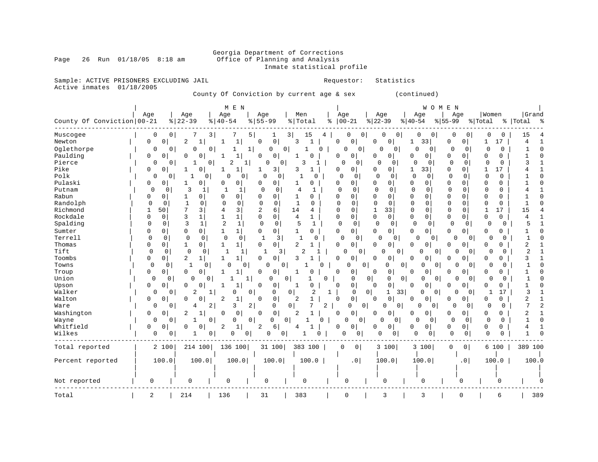# Georgia Department of Corrections<br>Page 26 Run 01/18/05 8:18 am 60ffice of Planning and Analysis Office of Planning and Analysis Inmate statistical profile

Sample: ACTIVE PRISONERS EXCLUDING JAIL **Requestor:** Statistics Active inmates 01/18/2005

County Of Conviction by current age & sex (continued)

|                            |                     |                     | M E N                        |                              |                                       |                      |                            |                            | WOMEN                         |                         |                         |
|----------------------------|---------------------|---------------------|------------------------------|------------------------------|---------------------------------------|----------------------|----------------------------|----------------------------|-------------------------------|-------------------------|-------------------------|
| County Of Conviction 00-21 | Age                 | Age<br>$ 22-39$     | Age<br>$8140 - 54$           | Age<br>$8155 - 99$           | Men<br>%   Total                      | Age<br>$ 00-21$<br>⊱ | Age<br>$ 22-39$            | Age<br>$8 40-54$           | Age<br>$8 55-99$              | Women<br>% Total        | Grand<br>%   Total<br>° |
| Muscogee                   | 0                   | 0<br>7              | 3                            | 5                            | 3 <br>15<br>4                         | 0<br>0               | 0<br>0                     | 0<br>0                     | 0<br>0                        | 0<br>0                  | 15                      |
| Newton                     | 0<br>0              | 2                   | $\mathbf{1}$<br>1            | $\mathbf 0$<br>$\mathbf 0$   | 3<br>$\mathbf{1}$                     | $\mathbf 0$<br>0     | $\Omega$<br>$\mathbf 0$    | 33<br>1                    | $\Omega$<br>0                 | 17<br>1                 | 4                       |
| Oglethorpe                 | 0                   | 0<br>0              | 0                            | 1<br><sup>0</sup>            | $\Omega$<br>$\Omega$                  | 0<br>0               | 0<br>O                     | C<br>0                     | $\Omega$<br>$\Omega$          | $\Omega$<br>0           |                         |
| Paulding                   | 0<br>0              | 0<br>0              | $\mathbf{1}$<br>1            | 0<br>0                       | 1<br>0                                | 0<br>0               | 0<br>0 <sup>1</sup>        | 0<br>$\overline{0}$        | $\mathbf 0$<br>$\overline{0}$ | 0<br>0                  |                         |
| Pierce                     | 0                   | 0<br>1              | 2<br>$\circ$                 | 0<br>0<br>11                 | 3                                     | $\Omega$<br>0        | $\Omega$<br>0              | $\mathbf 0$<br>0           | 0<br>0                        | 0<br>0                  | κ                       |
| Pike                       | 0<br>0              | 0                   | 1<br>1                       | $\overline{\mathbf{3}}$<br>1 | 3<br>$\mathbf{1}$                     | 0<br>0               | $\Omega$<br>0 <sup>1</sup> | 33<br>1                    | $\mathbf 0$<br>0              | 17<br>1                 |                         |
| Polk                       | 0                   | 0                   | 0<br>$\Omega$<br>0           | $\mathbf 0$<br>0             | 0                                     | 0<br>0               | 0<br>O                     | $\mathbf 0$<br>0           | 0<br>$\Omega$                 | 0<br>0                  |                         |
| Pulaski                    | 0<br>0              | 0<br>1              | 0<br>0                       | 0<br>0                       | 0<br>1                                | 0<br>0               | 0<br>$\Omega$              | 0<br>0                     | $\mathbf 0$<br>0              | $\mathbf 0$<br>0        |                         |
| Putnam                     | $\Omega$            | 3<br>0              | -1<br>$\mathbf{1}$<br>1      | $\Omega$<br>$\mathbf 0$      | 4<br>1                                | $\mathbf 0$<br>0     | $\cap$<br>$\Omega$         | $\mathbf 0$<br>0           | $\mathbf 0$<br>0              | O<br>0                  |                         |
| Rabun                      | 0<br>0              | 0<br>1              | $\Omega$<br>0                | $\Omega$<br>0                | $\mathbf{1}$<br>O                     | 0<br>0               | <sup>0</sup><br>$\Omega$   | $\Omega$<br>$\Omega$       | $\Omega$<br>$\Omega$          | 0<br>$\Omega$           |                         |
| Randolph                   | 0<br>0              | 1<br>0              | 0<br>0                       | $\Omega$<br>$\mathbf 0$      | $\mathbf{1}$<br>0                     | 0<br>0               | 0<br>0                     | 0<br>0                     | 0<br>0                        | 0<br>$\Omega$           |                         |
| Richmond                   | 50<br>$\mathbf{1}$  | 7<br>3              | 3<br>4                       | 2<br>6                       | 14<br>4                               | $\Omega$<br>0        | $\mathbf 1$<br>33          | 0<br>0                     | 0<br>$\Omega$                 | $\mathbf{1}$<br>17      | 15                      |
| Rockdale                   | 0<br>$\Omega$       | 3<br>1              | 1<br>1                       | 0<br>0                       | 4<br>1                                | 0<br>0               | $\Omega$<br>$\mathbf{0}$   | 0<br>0                     | $\Omega$<br>0                 | $\Omega$<br>0           | 4                       |
| Spalding                   | $\Omega$<br>0       | 3<br>1              | 2<br>$\mathbf{1}$            | $\mathbf 0$<br>0             | 5<br>1                                | 0<br>0               | $\Omega$<br>0              | $\mathbf 0$<br>0           | 0<br>0                        | $\Omega$<br>0           | 5                       |
| Sumter                     | 0<br>0              | 0<br>0              | 1 <br>1                      | 0<br>$\circ$                 | 1<br>0                                | 0<br>0               | 0<br>$\overline{0}$        | 0<br>0                     | 0<br>$\overline{0}$           | 0<br>0                  |                         |
| Terrell                    | 0<br>$\mathbf 0$    | 0                   | $\mathbf 0$<br>0<br>0        | $\mathbf{1}$<br>3            | $\mathbf{1}$<br>O                     | 0<br>$\overline{0}$  | $\Omega$<br>0              | O<br>$\circ$               | 0<br>0 <sup>1</sup>           | $\mathbf 0$<br>$\Omega$ | $\mathbf{1}$            |
| Thomas                     | 0<br>0              | $\overline{0}$<br>1 | $\mathbf{1}$<br>$\mathbf{1}$ | $\mathbf 0$<br>$\mathbf 0$   | $\overline{2}$                        | $\Omega$<br>0        | <sup>0</sup><br>0          | $\mathbf 0$<br>0           | $\Omega$<br>$\overline{0}$    | 0<br>O                  | 2                       |
| Tift                       | 0<br>0              | $\mathbf 0$         | 0<br>1<br>1                  | 1<br>3                       | 2                                     | O<br>$\mathbf{0}$    | $\Omega$<br>0              | U<br>0                     | $\Omega$<br>$\overline{0}$    | 0<br>$\Omega$           | 2                       |
| Toombs                     | 0<br>0              | 2<br>1              | 1<br>$\mathbf{1}$            | 0<br>0                       | 3                                     | 0<br>0               | 0<br>0                     | 0<br>0                     | $\overline{0}$<br>0           | 0<br>0                  | 3                       |
| Towns                      | $\mathbf 0$         | $\mathbf{1}$<br>0   | 0<br>0<br>O                  | 0<br>0                       | U                                     | $\Omega$             | 0<br>$\Omega$              | 0<br>0<br>0                | $\overline{0}$<br>$\Omega$    | 0<br>$\Omega$           | $\mathbf{1}$            |
| Troup                      | 0<br>0              | $\Omega$<br>0       | 1                            | 0<br>0                       | 0                                     | 0<br>0               | 0<br>$\Omega$              | 0<br>0                     | 0<br>O                        | 0<br>0                  |                         |
| Union                      | 0                   | 0<br>0              | $\mathbf 0$<br>-1            | 1<br>0                       | 0<br>1<br>O                           | 0                    | 0 <br>0<br>$\mathbf 0$     | 0<br>0                     | $\overline{0}$<br>N           | 0<br>$\Omega$           | -1                      |
| Upson                      | 0<br>0              | 0<br>$\Omega$       | 1                            | $\Omega$<br>0                | 0<br>1                                | 0<br>0               | $\mathsf{O}\xspace$<br>0   | 0<br>0                     | $\overline{0}$<br>$\Omega$    | 0<br>0                  |                         |
| Walker                     | 0                   | 2<br>$\mathbf 0$    | 1<br>0                       | 0<br>0                       | 0 I<br>2                              | $\mathbf 0$<br>1     | $\circ$<br>33<br>1         | $\Omega$<br>0 <sup>1</sup> | 0<br>$\mathbf{0}$             | 17<br>$\mathbf{1}$      | 3                       |
| Walton                     | 0<br>0              | 0<br>$\Omega$       | 2<br>1                       | 0<br>$\Omega$                | 2<br>$\mathbf{1}$                     | 0<br>0               | $\mathsf 0$<br>0           | 0<br>0                     | $\overline{0}$<br>0           | 0<br>0                  | 2                       |
| Ware                       | 0                   | 0<br>4              | 2<br>3                       | 2<br>$\mathbf 0$             | 7<br>$\overline{a}$<br>$\overline{0}$ | $\mathbf 0$          | 0 <br>0<br>0               | $\Omega$<br>0              | 0<br>0                        | $\Omega$<br>0           | 7                       |
| Washington                 | 0<br>$\overline{0}$ | 2<br>1              | 0<br>0                       | 0<br>0                       | 2                                     | 0<br>0               | 0 <sup>1</sup><br>$\Omega$ | 0<br>0                     | $\overline{0}$<br>0           | 0<br>0                  | 2                       |
| Wayne                      | 0                   | $\mathbf{0}$<br>1   | 0<br>0                       | 0<br>0                       | 0 <sup>1</sup><br>$\Omega$            | 0<br>$\mathbf{0}$    | 0<br>$\mathbf{0}$          | $\Omega$<br>0              | 0<br>0                        | 0<br>$\Omega$           | $\mathbf{1}$            |
| Whitfield                  | 0<br>0              | 0                   | $\mathbf{1}$<br>2            | 6<br>2                       | 4                                     | 0<br>0               | 0 <sup>1</sup><br>U        | 0<br>0                     | 0<br>$\overline{0}$           | 0<br>0                  | 4                       |
| Wilkes                     | 0                   | 0<br>1              | 0                            | 0<br>0<br>0                  |                                       | 0<br>0               | $\mathbf 0$<br>0           | 0<br>0                     | 0<br>0                        | $\mathbf 0$<br>0        |                         |
| Total reported             | 2 100               | 214 100             | 136 100                      | 31 100                       | 383 100                               | 0<br> 0              | 3 100                      | 3 100                      | $\mathbf 0$<br>0 <sup>1</sup> | 6 100                   | 389 100                 |
| Percent reported           | 100.0               | 100.0               | 100.0                        | 100.0                        | 100.0                                 | .0 <sub>1</sub>      | 100.0                      | 100.0                      | .0 <sub>1</sub>               | 100.0                   | 100.0                   |
|                            |                     |                     |                              |                              |                                       |                      |                            |                            |                               |                         |                         |
| Not reported               | 0                   | 0                   | $\mathsf{O}\xspace$          | $\mathsf{O}\xspace$          | 0                                     | 0                    | 0                          | $\mathbf 0$                | 0                             | U                       |                         |
|                            |                     |                     |                              |                              |                                       |                      |                            |                            |                               |                         |                         |
| Total                      | $\overline{a}$      | 214                 | 136                          | 31                           | 383                                   | $\mathbf 0$          | 3                          | 3                          | 0                             | 6                       | 389                     |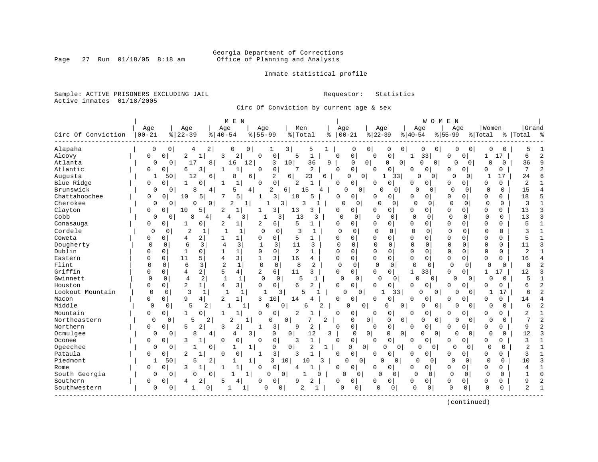# Georgia Department of Corrections<br>Page 27 Run 01/18/05 8:18 am 60ffice of Planning and Analysis Office of Planning and Analysis

Inmate statistical profile

Sample: ACTIVE PRISONERS EXCLUDING JAIL **Requestor:** Statistics Active inmates 01/18/2005

Circ Of Conviction by current age & sex

|                    |             |                            | M E N                                          |                            |                                |                  |                            |                               | W O M                         | E N                                |                         |                                |
|--------------------|-------------|----------------------------|------------------------------------------------|----------------------------|--------------------------------|------------------|----------------------------|-------------------------------|-------------------------------|------------------------------------|-------------------------|--------------------------------|
|                    | Age         | Age                        | Age                                            | Age                        | Men                            | Age              |                            | Age                           | Age                           | Age                                | Women                   | Grand                          |
| Circ Of Conviction | $00 - 21$   | $8   22 - 39$              | $\frac{8}{40} - 54$                            | $8 55-99$                  | % Total                        | $ 00-21$<br>နွ   |                            | $ 22-39$                      | $ 40-54$                      | $ 55-99$                           | % Total                 | %   Total<br>ႜ                 |
| Alapaha            | 0           | 0<br>4                     | 2<br>0                                         | 0<br>1                     | 3<br>5                         | $\mathbf 1$      | 0<br>0                     | 0                             | 0                             | 0<br>0<br>0                        | 0                       | 5                              |
| Alcovy             | 0           | 2<br>$\Omega$              | 2<br>$\mathbf{1}$<br>κ                         | 0<br>U                     | $\mathbf{1}$<br>5              | U                | 0                          | 0<br>$\Omega$                 | 33<br>1                       | 0<br>$\Omega$                      | 17<br>1                 | $\overline{a}$<br>6            |
| Atlanta            | $\Omega$    | 17<br>0                    | 8<br>16                                        | 12<br>3                    | 10<br>36                       | 9                | $\overline{0}$<br>0        | 0<br>$\overline{0}$           | $\Omega$<br>$\overline{0}$    | 0<br>0                             | $\Omega$<br>0           | $\mathsf{Q}$<br>36             |
| Atlantic           | U           | $\Omega$<br>б              | 3<br>1<br>-1                                   | 0<br>$\Omega$              | $\overline{2}$                 | $\Omega$         | $\Omega$                   | 0<br>∩                        | 0<br><sup>0</sup>             | 0<br>O                             | $\Omega$<br>0           | 7<br>$\overline{\mathbf{c}}$   |
| Augusta            | -1          | 50<br>12                   | 8<br>6                                         | 2<br>6                     | 23<br>6                        | 6                | 0<br>$\overline{0}$        | 33<br>1                       | O<br>$\Omega$                 | $\Omega$<br>$\Omega$               | 17<br>1                 | 6<br>24                        |
| Blue Ridge         | $\Omega$    | $\Omega$<br>1              | U<br>1<br>-1                                   | 0<br>$\Omega$              | 2                              | $\Omega$         | $\Omega$                   | 0<br>n                        | $\Omega$<br>0                 | O<br>$\Omega$                      | $\Omega$<br>$\Omega$    | $\overline{2}$                 |
| Brunswick          | $\Omega$    | 8<br>0                     | 5<br>4                                         | 2<br>4                     | 6<br>15                        | 4                | $\mathbf 0$<br>U           | <sup>0</sup><br>$\Omega$      | $\cap$<br>$\Omega$            | $\Omega$<br>$\Omega$               | $\Omega$<br>$\Omega$    | 15<br>4                        |
| Chattahoochee      | 0           | 0<br>10                    | 5<br>5                                         | 3<br>1                     | 18<br>5                        | 0                | 0                          | 0<br>0                        | 0<br>0                        | 0<br>0                             | 0<br>$\Omega$           | 5<br>18                        |
| Cherokee           | $\Omega$    | $\Omega$<br>0              | 2<br>$\mathbf 0$                               | $\mathbf{1}$<br>1          | $\overline{3}$<br>3            | $\Omega$<br>1    | $\Omega$                   | $\Omega$<br>$\Omega$          | $\Omega$<br>$\Omega$          | $\Omega$<br>$\mathbf 0$            | $\Omega$<br>$\Omega$    | $\mathbf{1}$<br>3              |
| Clayton            | O           | $\overline{0}$<br>10       | 5 <sup>1</sup><br>$\overline{c}$<br>1          | 3                          | 13<br>3                        | 0                | 0                          | 0<br>$\Omega$                 | $\mathbf 0$<br>0              | 0<br>$\Omega$                      | $\Omega$<br>$\Omega$    | 3<br>13                        |
| Cobb               | $\Omega$    | 8<br>0                     | 4<br>4                                         | 3<br>1                     | 3<br>13                        | 3<br>$\mathbf 0$ | $\mathbf 0$                | $\mathcal{C}$<br>$\mathbf 0$  | $\overline{0}$<br>$\mathbf 0$ | $\Omega$<br>0                      | $\mathbf 0$<br>0        | 13<br>3                        |
| Conasauga          | U           | $\Omega$                   | $\overline{c}$<br>0<br>$1\vert$                | $\overline{2}$<br>6        | 5                              | 0                | 0                          | $\Omega$<br>0                 | 0<br>0                        | $\Omega$<br>O                      | $\Omega$<br>$\Omega$    | 5<br>1                         |
| Cordele            | 0           | $\mathfrak{D}$<br>$\Omega$ | 1<br>1<br>-1                                   | $\Omega$<br>$\Omega$       | 3<br>1                         | $\Omega$         | $\Omega$                   | $\Omega$<br>O                 | $\Omega$<br>$\Omega$          | $\Omega$<br>$\Omega$               | $\mathbf 0$<br>$\Omega$ | 3                              |
| Coweta             |             | $\Omega$<br>4              | 2<br>1                                         | 0<br>U                     | 5<br>1                         | 0                | $\Omega$                   | $\Omega$<br>0                 | $\Omega$<br>$\mathbf 0$       | 0<br>$\Omega$                      | $\Omega$<br>$\Omega$    | 5                              |
| Dougherty          | $\Omega$    | 6<br>$\Omega$              | 3<br>3<br>4                                    | $\mathbf{1}$<br>3          | 11<br>3                        | 0                | $\Omega$                   | $\Omega$<br>$\Omega$          | $\Omega$<br>$\mathbf 0$       | $\Omega$<br>$\Omega$               | $\Omega$<br>$\Omega$    | 3<br>11                        |
| Dublin             |             | $\mathbf{1}$<br>0          | $\mathbf{1}$<br>$\Omega$<br>$\mathbf{1}$       | $\Omega$<br>0              | $\overline{2}$<br>$\mathbf{1}$ | $\Omega$         | $\Omega$                   | $\Omega$<br>0                 | $\Omega$<br>$\mathbf 0$       | 0<br>0                             | $\Omega$<br>$\Omega$    | $\overline{2}$<br>$\mathbf{1}$ |
| Eastern            |             | $\mathbf 0$<br>11          | $\overline{\mathsf{3}}$<br>5<br>$\overline{4}$ | 3<br>$\mathbf{1}$          | 16<br>4                        | $\Omega$         | $\Omega$                   | $\mathbf 0$<br>0              | 0<br>$\Omega$                 | 0<br>$\Omega$                      | $\Omega$<br>$\Omega$    | 16<br>4                        |
| Flint              | U           | 6<br>$\Omega$              | 3<br>$\overline{2}$<br>1                       | $\mathbf 0$<br>$\mathbf 0$ | 8<br>2                         | $\Omega$         | $\mathbf 0$                | $\Omega$<br>$\Omega$          | $\mathbf 0$<br>0              | $\Omega$<br>$\mathbf 0$            | $\Omega$<br>$\Omega$    | 8                              |
| Griffin            |             | $\mathbf 0$<br>4           | 4 <br>21<br>5                                  | 6<br>2                     | 11<br>3                        | 0                | $\overline{0}$             | $\mathbf 0$<br>$\overline{0}$ | $\mathbf{1}$<br>331           | 0<br>$\overline{0}$                | 17<br>1                 | 12<br>3                        |
| Gwinnett           | $\Omega$    | 0<br>4                     | 2<br>$\mathbf{1}$<br>$\mathbf{1}$              | $\mathbf 0$<br>0           | 5                              | 1<br>0           | 0                          | O<br>$\overline{0}$           | 0<br>0                        | $\Omega$<br>$\circ$                | 0<br>$\Omega$           | 5                              |
| Houston            | U           | 2<br>0                     | $\overline{3}$<br>4<br>$1\vert$                | $\mathbf{0}$<br>$\Omega$   | 6<br>2                         | <sup>0</sup>     | 0                          | 0<br>$\Omega$                 | $\Omega$<br>$\mathbf 0$       | 0<br>O                             | 0<br>$\Omega$           | 2<br>6                         |
| Lookout Mountain   | $\Omega$    | 3<br>$\Omega$              | 1                                              | 1                          | 3                              | $\Omega$         | 0                          | 33                            | Ω<br>0                        | 0<br>$\overline{0}$                | 17                      | $\overline{a}$<br>6            |
| Macon              | U           | $\Omega$<br>9              | 2<br>$1\vert$<br>4                             | 3<br>10                    | 14                             | U                | $\Omega$                   | $\Omega$<br>0                 | $\Omega$<br>0                 | $\Omega$<br>O                      | $\Omega$<br>$\Omega$    | 14<br>4                        |
| Middle             | 0           | 5<br>0                     | 2                                              | 0<br>1                     | 0<br>6                         |                  | $\Omega$<br>0              | 0<br>0                        | 0                             | 0<br>0<br>$\overline{0}$           | 0<br>$\Omega$           | $\overline{c}$<br>6            |
| Mountain           | O           | $\Omega$                   | 0                                              | 0<br>0                     | 2                              | 0                | $\mathbf 0$                | 0<br>$\Omega$                 | $\Omega$<br>0                 | $\Omega$<br>0                      | $\Omega$<br>$\Omega$    | 2                              |
| Northeastern       | $\mathbf 0$ | 5<br>0                     | 2<br>2                                         | $\mathbf{1}$<br>$\Omega$   | 0                              | $\overline{2}$   | 0<br>$\mathbf 0$           | $\Omega$<br>0                 | 0                             | $\mathbf 0$<br>0<br>$\overline{0}$ | $\Omega$<br>$\Omega$    | $\overline{2}$<br>7            |
| Northern           | 0           | 0<br>5                     | 2<br>2<br>κ                                    | 3<br>1                     | 2<br>9                         | <sup>0</sup>     | 0                          | 0<br>$\Omega$                 | 0<br><sup>0</sup>             | $\mathbf 0$<br>N                   | 0<br>0                  | 2<br>9                         |
| Ocmulgee           | $\Omega$    | R<br>0                     | 4<br>4                                         | 3<br>0                     | 0<br>12                        | 3                | 0 <sup>1</sup><br>$\Omega$ | 0<br>0                        | 0<br>0                        | $\Omega$<br>$\mathbf 0$            | $\Omega$<br>$\Omega$    | $\mathbf{3}$<br>12             |
| Oconee             | 0           | 3<br>0                     | $\Omega$<br>$\Omega$                           | 0<br>0                     | $\mathbf{1}$<br>3              | U                | 0                          | 0<br>$\Omega$                 | 0<br>$\Omega$                 | $\Omega$<br>O                      | $\Omega$<br>$\Omega$    | ζ                              |
| Ogeechee           | $\Omega$    | 0                          | 0<br>1                                         | 1<br>0                     | $\mathbf 0$<br>$\overline{2}$  | 1                | 0<br>0                     | U<br>0                        | 0<br>$\overline{0}$           | $\Omega$<br>0                      | $\cap$<br>0             | 2                              |
| Pataula            | 0           | 0<br>2                     | 1<br>0<br>$\Omega$                             | 3 <br>$\mathbf{1}$         | κ                              | <sup>0</sup>     | 0                          | 0<br>$\Omega$                 | 0<br>0                        | 0 <sup>1</sup><br>0                | $\Omega$<br>0           | 3                              |
| Piedmont           | 1           | 50<br>5                    | $\overline{2}$                                 | 3<br>$\mathbf{1}$          | 10<br>10                       | 3                | O<br>0                     | 0<br>0                        | $\Omega$<br>$\Omega$          | $\Omega$<br>0                      | 0<br>$\Omega$           | 3<br>10                        |
| Rome               | U           | $\overline{0}$<br>3        |                                                | 0<br>$\Omega$              |                                | O                | $\Omega$                   | 0<br><sup>0</sup>             | 0<br>0                        | 0<br>$\mathbf{0}$                  | 0<br>0                  | 4                              |
| South Georgia      | $\Omega$    | $\Omega$<br>U              | $\Omega$                                       | $1\vert$<br>$\Omega$       | $\Omega$<br>1                  | $\Omega$<br>U    | U                          | U<br>$\Omega$                 | C<br>$\Omega$                 | $\Omega$<br>0                      | $\Omega$<br>$\mathbf 0$ | $\cap$                         |
| Southern           | 0           | 0<br>4                     | 2<br>4<br>5                                    | 0<br>O                     | 2<br>q                         | O                | $\Omega$                   | 0<br>$\Omega$                 | 0<br>0                        | 0<br>0                             | 0<br>0                  | 9                              |
| Southwestern       | $\mathbf 0$ | 0                          | 0<br>1                                         | $\Omega$<br>1              | 0<br>2                         | 0<br>1           | 0                          | 0<br>0                        | $\Omega$<br>0                 | $\mathbf 0$<br>0                   | $\Omega$<br>0           | $\overline{2}$<br>$\mathbf{1}$ |
|                    |             |                            |                                                |                            |                                |                  |                            |                               |                               |                                    |                         |                                |

(continued)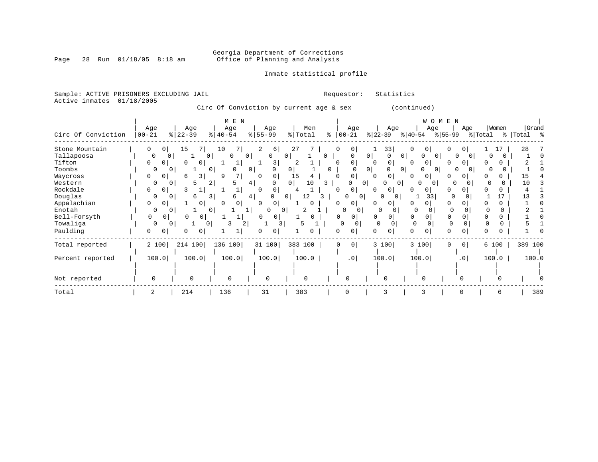# Georgia Department of Corrections<br>Page 28 Run 01/18/05 8:18 am 60ffice of Planning and Analysis Office of Planning and Analysis

Inmate statistical profile

Sample: ACTIVE PRISONERS EXCLUDING JAIL **Requestor:** Statistics Active inmates 01/18/2005 Circ Of Conviction by current age & sex (continued)

| Circ Of Conviction | Age<br>$ 00 - 21$ | Age<br>$ 22-39 $         | M E N<br>Age<br>$8   40 - 54$ | Age<br>$8 55-99$         | Men<br>$\frac{1}{2}$ Total | Age<br>$8   00 - 21$          | Age<br>$ 22-39 $                      | <b>WOMEN</b><br>Age<br>$8 40-54$ | Age<br>$ 55-99 $    | Women<br>% Total<br>ႜၟ | Grand<br>Total % |
|--------------------|-------------------|--------------------------|-------------------------------|--------------------------|----------------------------|-------------------------------|---------------------------------------|----------------------------------|---------------------|------------------------|------------------|
| Stone Mountain     | 0<br>0            | 7<br>15                  | 10                            | 2<br>6                   | 27                         | 0<br>0 <sup>1</sup>           | 33                                    | 0<br>0                           |                     | 17                     | 28               |
| Tallapoosa         | $\Omega$          | 0 <sup>1</sup><br>0<br>ı | $\Omega$                      | $\Omega$<br>$\mathbf{0}$ | 0                          | 0<br>$\Omega$                 | $\circ$<br>0<br>$\Omega$              | O<br>$\Omega$                    | $\Omega$            |                        |                  |
| Tifton             | $\Omega$          | $\Omega$<br>0            | 1                             | 3                        |                            | 0<br>$\Omega$                 | $\circ$                               | 0 <sup>1</sup><br>0              | 0 l<br>U            |                        |                  |
| Toombs             | O                 | $\Omega$                 | $\Omega$<br>$\Omega$          | $\Omega$<br>$\Omega$     | $\overline{0}$             | 0<br><sup>0</sup>             | 0 <sup>1</sup><br>$\overline{0}$<br>0 | $\Omega$                         | $\Omega$            | 0                      |                  |
| Waycross           | $\Omega$          | 6<br>3                   | q                             | $\mathbf 0$<br>$\Omega$  | 15                         | 0                             | $\Omega$                              | 0<br>0 <sup>1</sup>              | $\Omega$            |                        | 15               |
| Western            | 0                 | $\mathbf 0$<br>5         | $\overline{2}$                | 4  <br>$\Omega$          | $\overline{0}$<br>10       | 3<br>0                        | 0 <sup>1</sup><br>0                   | $\Omega$<br>$\Omega$             | 0                   |                        | 10               |
| Rockdale           | 0                 |                          |                               | 0                        | 4                          | 0                             | 0 <sup>1</sup>                        | U<br>0                           |                     |                        |                  |
| Douglas            | $\Omega$          | $\Omega$<br>6            | 3<br>6                        | 4  <br>0                 | 12<br>$\overline{0}$       | 0 <sup>1</sup>                | O<br>$\Omega$                         | 33                               |                     | 17                     | 13               |
| Appalachian        | 0<br>$\Omega$     | 0                        | 0                             | $\Omega$<br><sup>0</sup> | <sup>o</sup>               | $\circ$                       | $\Omega$                              |                                  |                     |                        |                  |
| Enotah             | $\Omega$          | $\Omega$                 | $\Omega$                      | 0<br>$\Omega$<br>11      | 2                          | $\Omega$<br>$\Omega$          | $\Omega$                              |                                  | $\Omega$            | U                      |                  |
| Bell-Forsyth       | 0<br>0            | 0<br>0                   |                               | 0<br>0                   | 0                          | 0<br>0                        | $\Omega$<br>0                         | $\mathbf 0$                      | 0<br>0              |                        |                  |
| Towaliga           | 0                 | 0<br>0                   | 2                             | 3                        |                            | 0<br>$\Omega$                 | $\Omega$                              | $\mathbf 0$<br>U                 | $\mathbf 0$         |                        |                  |
| Paulding           | 0                 | 0                        |                               | 0                        |                            | U<br>0                        | 0                                     | 0                                | O                   |                        |                  |
| Total reported     | 2 100             | 214 100                  | 136 100                       | 31 100                   | 383 100                    | $\overline{0}$<br>$\mathbf 0$ | 3 100                                 | 3 100                            | $\circ$<br>$\Omega$ | 6 100                  | 389 100          |
| Percent reported   | 100.0             | 100.0                    | 100.0                         | 100.0                    | 100.0                      | .0 <sub>1</sub>               | 100.0                                 | 100.0                            | .0 <sub>1</sub>     | 100.0                  | 100.0            |
| Not reported       | 0                 | <sup>0</sup>             | $\Omega$                      | $\Omega$                 | $\Omega$                   |                               | 0                                     | $\Omega$                         |                     |                        |                  |
| Total              | 2                 | 214                      | 136                           | 31                       | 383                        | $\Omega$                      | 3                                     | 3                                |                     |                        | 389              |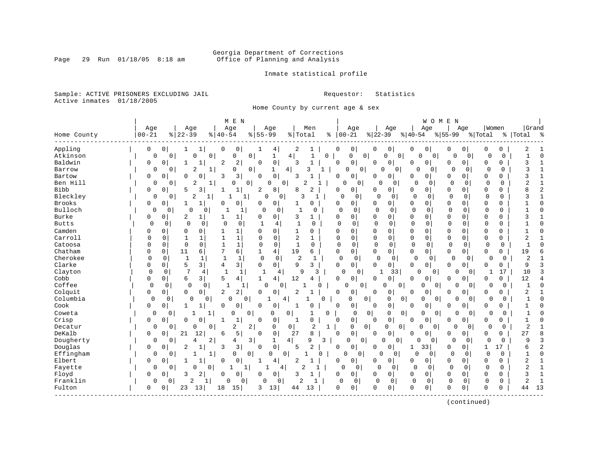# Georgia Department of Corrections<br>Page 29 Run 01/18/05 8:18 am 60ffice of Planning and Analysis Office of Planning and Analysis

Inmate statistical profile

Sample: ACTIVE PRISONERS EXCLUDING JAIL **Requestor:** Statistics Active inmates 01/18/2005

Home County by current age & sex

|              |              |                            | M E N                             |                            |                |                |                            |                                       |                            | WOMEN                           |                            |                            |
|--------------|--------------|----------------------------|-----------------------------------|----------------------------|----------------|----------------|----------------------------|---------------------------------------|----------------------------|---------------------------------|----------------------------|----------------------------|
|              | Age          | Age                        | Age                               | Age                        | Men            |                | Age                        | Age                                   | Age                        | Age                             | Women                      | Grand                      |
| Home County  | $ 00 - 21$   | $ 22-39$                   | $8   40 - 54$                     | $8 55-99$                  | % Total        |                | $8   00 - 21$              | $ 22-39$                              | $ 40-54$                   | $\frac{1}{6}$   55-99           | % Total                    | %   Total<br>း             |
| Appling      | 0            | 0<br>1                     | 0<br>1<br>0                       | 4                          | 2              | 1              | 0<br>0                     | 0<br>0                                | 0<br>0                     | 0<br>0                          | 0<br>0                     | 2                          |
| Atkinson     | 0            | 0<br>0                     | $\mathbf 0$<br>0                  | $\mathbf 0$<br>1           | 4              | 0              | $\Omega$                   | 0 <sup>1</sup><br>0<br>0              | $\Omega$<br>$\overline{0}$ | $\Omega$<br>$\Omega$            | U<br><sup>0</sup>          | $\mathbf{1}$<br>$\bigcap$  |
| Baldwin      | 0            | 0<br>1                     | 2<br>1<br>2                       | 0<br>$\Omega$              | 3              |                | $\Omega$<br>0              | 0<br>0                                | 0<br>0                     | 0<br>0                          | $\Omega$<br>0              | 3                          |
| Barrow       | $\Omega$     | 2<br>$\Omega$              | 1<br>0                            | 0<br>1                     | ζ<br>4         |                | $\Omega$<br>0              | 0<br>0                                | $\cap$<br>0                | 0<br>$\Omega$                   | $\Omega$<br>$\Omega$       | 3                          |
| Bartow       | O            | 0<br>O                     | 3<br>$\Omega$<br>3                | $\mathbf 0$<br>$\Omega$    | 3              |                | 0<br>$\Omega$              | 0<br><sup>0</sup>                     | 0<br>0                     | $\Omega$<br>0                   | $\Omega$<br>0              |                            |
| Ben Hill     | 0            | 2<br>0                     | 1<br>O                            | 0<br>0                     | 0<br>2         |                | 0<br>0                     | $\Omega$<br>$\Omega$                  | $\Omega$<br>0              | $\Omega$<br>$\Omega$            | 0<br>$\Omega$              | 2                          |
| Bibb         | $\Omega$     | $\mathbf 0$<br>5           | 3<br>$\mathbf{1}$<br>1            | 8<br>2                     | 8              | $\overline{2}$ | $\overline{0}$<br>$\Omega$ | 0<br>0                                | 0<br>$\Omega$              | $\Omega$<br>$\Omega$            | $\Omega$<br>0              | 2                          |
| Bleckley     | 0            | 0<br>2                     | 1                                 | 1<br>$\Omega$              | 0<br>3         | 1              | 0<br>0                     | $\Omega$<br>0                         | $\mathbf 0$<br>0           | $\mathbf 0$<br>$\Omega$         | $\mathbf 0$<br>$\mathbf 0$ | 3                          |
| Brooks       | 0            | 0<br>1                     | $\mathbf{1}$<br>$\mathbf 0$<br>0  | 0<br>0                     |                | 0              | $\mathbf 0$<br>0           | $\mathbf 0$<br>0                      | 0<br>$\mathbf 0$           | $\Omega$<br>0                   | $\mathbf 0$<br>0           | $\Omega$                   |
| Bulloch      | 0            | 0<br>$\Omega$              | 0                                 | $\Omega$<br>1              | 0<br>1         | 0              | 0<br>$\mathbf 0$           | 0<br>$\mathbf{0}$                     | $\mathbf 0$<br>0           | $\Omega$<br>0                   | 0<br>0                     | $\cap$                     |
| <b>Burke</b> | 0            | 2<br>0                     | 1<br>1                            | 0<br>0                     | 3              | 1              | $\Omega$<br>0              | 0<br>0                                | 0<br>0                     | $\Omega$<br>0                   | 0<br>0                     |                            |
| <b>Butts</b> | <sup>0</sup> | 0<br>$\Omega$              | 0<br>$\Omega$<br>0                | 1<br>4                     | $\mathbf 1$    | 0              | $\Omega$<br>$\Omega$       | 0<br>0                                | 0<br>0                     | 0<br>0                          | 0<br>0                     | $\cap$                     |
| Camden       | N            | 0<br>0                     | 0<br>1<br>1                       | 0<br>0                     | 1              | 0              | 0<br>0                     | $\mathbf 0$<br>0                      | 0<br>0                     | $\Omega$<br>0                   | $\mathbf 0$<br>0           |                            |
| Carroll      | O            | 0<br>$\mathbf{1}$          | 1<br>$\mathbf{1}$<br>$\mathbf{1}$ | $\mathbf 0$<br>$\Omega$    | 2              | $\mathbf{1}$   | 0<br>0                     | 0<br>$\mathbf 0$                      | $\mathbf 0$<br>0           | 0<br>0                          | $\mathbf 0$<br>0           | 2                          |
| Catoosa      | 0            | $\mathbf 0$<br>0           | $\Omega$<br>$\mathbf{1}$<br>1     | $\mathbf{0}$<br>0          | $\mathbf{1}$   | 0              | 0<br>0                     | 0<br>0                                | $\mathbf 0$<br>$\mathbf 0$ | 0<br>0                          | 0<br>0                     | $\mathbf{1}$               |
| Chatham      | 0            | 11<br>0                    | 7<br>6<br>6                       | $\mathbf{1}$<br>4          | 19             | 6              | $\mathbf 0$<br>0           | $\mathbf 0$<br>0                      | 0<br>0                     | $\mathbf 0$<br>0                | 0<br>$\Omega$              | 19                         |
| Cherokee     | $\Omega$     | $\mathbf{1}$<br>0          | 1<br>1<br>1                       | $\mathbf 0$<br>0           | $\overline{2}$ |                | $\mathbf 0$<br>0           | 0<br><sup>0</sup>                     | 0<br>0                     | 0<br>0                          | 0<br>0                     | 2                          |
| Clarke       | 0            | 5<br>0                     | 3  <br>3<br>4                     | 0<br>$\Omega$              | 9              | 3              | 0<br>$\Omega$              | $\Omega$<br>0                         | 0<br>0                     | $\Omega$<br>0                   | $\Omega$<br>0              | 9                          |
| Clayton      | 0            | 7<br>0                     | 4                                 | $\mathbf{1}$<br>1          | 9<br>4         | 3              | $\Omega$<br>0              | 33<br>1                               | 0<br>0                     | 0<br>0                          | 17                         | 10                         |
| Cobb         | 0            | 0 <sub>1</sub><br>6        | $\overline{\mathbf{3}}$<br>5<br>4 | $\mathbf 1$<br>4           | 12             | 4              | 0<br>0                     | 0<br>0                                | 0<br>0                     | 0<br>0                          | 0<br>$\Omega$              | 12                         |
| Coffee       | $\Omega$     | $\mathbf 0$<br>$\mathbf 0$ | 0<br>1                            | $\mathbf{1}$<br>$\Omega$   | 0              | 0              | 0<br>0                     | 0 <sup>1</sup><br>O                   | $\Omega$                   | 0 <sup>1</sup><br>O<br>$\Omega$ | 0<br>0                     | $\sqrt{ }$<br>-1           |
| Colquit      | $\Omega$     | $\Omega$<br>0              | 2<br>2<br>0                       | $\mathbf 0$<br>$\Omega$    | 2              |                | 0<br>$\Omega$              | 0<br>$\Omega$                         | 0<br>0                     | O<br><sup>0</sup>               | U<br>Ω                     | $\overline{2}$             |
| Columbia     | $\mathbf 0$  | 0<br>0                     | 0<br>$\Omega$                     | $\mathbf 0$<br>1           | 4              | Ω              | $\Omega$                   | 0<br>0                                | 0<br>$\Omega$              | 0 <sup>1</sup><br>0<br>$\Omega$ | 0<br>0                     | $\sqrt{ }$<br>$\mathbf{1}$ |
| Cook         | 0            | 0<br>1                     | $\Omega$<br>0<br>1                | $\Omega$<br>0              |                | 0              | $\Omega$<br>0              | 0<br>$\Omega$                         | 0<br>0                     | 0<br>$\Omega$                   | $\Omega$<br>0              |                            |
| Coweta       | 0            | 0                          | 1<br>0                            | 0<br>0                     | 0              | 0              | $\mathbf 0$                | $\overline{0}$<br>0                   | 0<br>$\Omega$              | $\overline{0}$<br>O<br>$\Omega$ | 0<br>0                     | 1                          |
| Crisp        | 0            | $\mathbf 0$<br>0           | 0<br>1<br>1                       | $\mathbf 0$<br>0           |                | 0              | $\mathbf 0$<br>$\mathbf 0$ | 0<br>0                                | 0<br>0                     | 0<br>0                          | $\Omega$<br>0              |                            |
| Decatur      | $\Omega$     | 0<br>$\Omega$              | 2<br>0                            | $\overline{2}$<br>0        | 0              | 2<br>1         | $\Omega$                   | 0 <sup>1</sup><br>0<br>0 <sup>1</sup> | 0<br>0                     | $\Omega$<br>$\Omega$            | $\Omega$<br>0              | $\overline{2}$             |
| DeKalb       | 0            | 12<br>21<br>$\mathbf 0$    | 5<br>6                            | $\mathsf 0$<br>$\Omega$    | 27             | 8              | 0<br>$\mathbf 0$           | 0<br>$\Omega$                         | 0<br>$\Omega$              | 0<br>0                          | 0<br>$\Omega$              | 27                         |
| Dougherty    | O            | $\Omega$<br>4              | 2<br>4                            | 3 <br>1                    | 4              | 9<br>3         | $\overline{0}$<br>0        | $\Omega$<br>$\Omega$                  | 0<br>$\Omega$              | $\Omega$<br>$\Omega$            | $\Omega$<br>$\Omega$       | 9                          |
| Douglas      | 0            | 0<br>2                     | 3<br>$\mathbf{1}$<br>3            | $\mathbf 0$<br>$\mathbf 0$ | 5              | 2              | 0<br>0                     | 0<br>0                                | 33<br>1                    | 0<br>0                          | $\mathbf{1}$<br>17         | 2<br>6                     |
| Effingham    | 0            | 0                          | 1<br>0                            | 0 <sub>1</sub><br>0        | $\mathbf 0$    | 0              | 0<br>$\cap$                | 0<br>0                                | $\mathbf 0$<br>0           | 0<br>0                          | 0<br>0                     |                            |
| Elbert       | 0            | 0<br>$\mathbf{1}$          | 0<br>$\mathbf{1}$<br>0            | $\mathbf{1}$<br>4          | 2              | 1              | 0<br>0                     | 0<br>0                                | 0<br>0                     | 0<br>0                          | 0<br>0                     | 2                          |
| Fayette      | 0            | $\Omega$<br>0              | 0 <sup>1</sup>                    | 1                          | 2<br>4         |                | 0<br>0                     | $\circ$<br>0                          | 0<br>0                     | 0<br>0                          | 0<br>0                     | 2                          |
| Floyd        | 0            | 3<br>0                     | 2<br>0<br>$\Omega$                | 0<br>0                     | 3              | $\mathbf{1}$   | 0<br>0                     | 0<br>0                                | 0<br>0                     | 0<br>0                          | 0<br>$\Omega$              | 3                          |
| Franklin     | $\Omega$     | 2<br>0 <sup>1</sup>        | U<br>1                            | 0<br>0                     | 0<br>2         | $\mathbf{1}$   | 0<br>$\mathbf 0$           | 0<br>$\Omega$                         | 0<br>0                     | 0<br>0                          | 0<br>0                     | 2                          |
| Fulton       | 0            | 13<br>23<br>$\mathbf{0}$   | 18<br>15                          | 3<br>13                    | 13<br>44       |                | 0<br>0                     | 0<br>0                                | $\mathbf 0$<br>0           | $\Omega$<br>0                   | $\mathbf 0$<br>0           | 13<br>44                   |

(continued)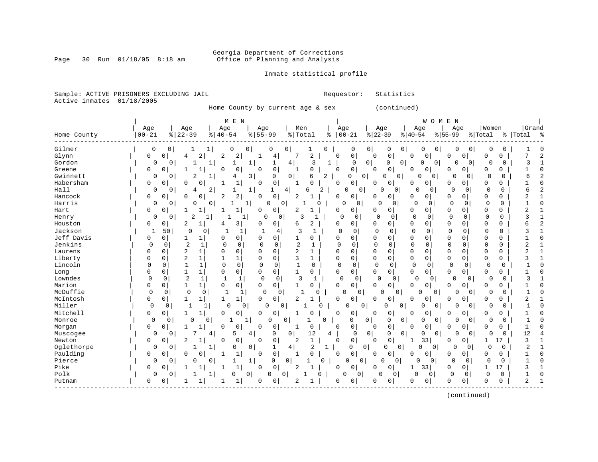### Georgia Department of Corrections<br>Page 30 Run 01/18/05 8:18 am 60ffice of Planning and Analysis Office of Planning and Analysis

Inmate statistical profile

#### Sample: ACTIVE PRISONERS EXCLUDING JAIL **Requestor:** Statistics Active inmates 01/18/2005

Home County by current age & sex (continued)

|             |              |                                  | M E N                                        |                            |                                |                |                            |                            |                            | WOMEN                      |                                  |                                |
|-------------|--------------|----------------------------------|----------------------------------------------|----------------------------|--------------------------------|----------------|----------------------------|----------------------------|----------------------------|----------------------------|----------------------------------|--------------------------------|
|             | Age          | Age                              | Age                                          | Age                        | Men                            |                | Age                        | Age                        | Age                        | Age                        | Women                            | Grand                          |
| Home County | $00 - 21$    | $ 22-39$                         | $8   40 - 54$                                | $8 55-99$                  | % Total                        | ႜ              | $00 - 21$                  | $ 22-39$                   | $ 40-54$                   | $ 55-99$                   | % Total                          | %   Total<br>್ಠಿ               |
| Gilmer      | 0            | 0                                | 1<br>0                                       | 0<br>0                     | 0<br>1                         | $\mathbf 0$    | 0                          | 0 <sup>1</sup><br>0        | 0<br>0                     | 0 <sup>1</sup><br>0        | 0<br>0<br>0                      | ſ                              |
| Glynn       | 0            | $\mathbf 0$<br>4                 | 2<br>2<br>2                                  | 4<br>1                     | 7<br>2                         |                | 0<br>$\Omega$              | $\mathbf 0$<br>$\Omega$    | $\mathbf 0$<br>0           | 0<br><sup>0</sup>          | $\mathbf 0$<br>0                 | 7<br>2                         |
| Gordon      | 0            | 0                                | 1                                            | 1<br>1                     | 4<br>3                         | 1              | $\Omega$                   | 0 <br>$\mathbf 0$          | $\mathbf{0}$<br>0          | 0<br>0                     | 0<br>$\Omega$<br>0               | 3                              |
| Greene      | 0            | $\mathbf{1}$<br>0                | $\Omega$<br>0                                | 0<br>$\Omega$              | 0                              |                | $\mathbf 0$<br>$\Omega$    | 0<br>0                     | 0<br>0                     | 0<br>0                     | 0<br>$\Omega$                    | $\cap$                         |
| Gwinnett    | $\Omega$     | 2<br>$\Omega$                    | 1<br>4                                       | 3<br>0                     | 6<br>$\mathbf{0}$              | $\overline{2}$ | 0<br>$\Omega$              | 0<br>O                     | $\Omega$                   | $\Omega$<br>0              | $\Omega$<br>$\Omega$<br>$\Omega$ | 6                              |
| Habersham   | 0            | 0<br>O                           | $\mathbf{1}$<br>$\Omega$<br>-1               | $\mathbf 0$<br>$\Omega$    | C<br>$\mathbf{1}$              |                | 0<br>$\Omega$              | 0<br><sup>0</sup>          | $\Omega$<br>0              | 0<br>0                     | $\Omega$<br>0                    |                                |
| Hall        | 0            | 4<br>$\Omega$                    | 2                                            | 1<br>1                     | 4<br>6                         | 2              | 0<br>0                     | 0<br>U                     | U                          | 0<br>0                     | $\Omega$<br>0<br>0               | 6                              |
| Hancock     | 0            | $\mathbf 0$<br>$\mathbf 0$       | 2<br>$\Omega$<br>$\overline{2}$              | $\mathbf 0$<br>$\mathbf 0$ | 2                              |                | 0<br>$\Omega$              | 0<br>0                     | 0<br>$\Omega$              | 0<br>0                     | 0<br>$\Omega$                    | 2                              |
| Harris      | $\Omega$     | $\Omega$<br>0                    | $\Omega$<br>1                                | $\Omega$<br>1              | $\Omega$<br>1                  | U              | $\cap$<br>0                | $\Omega$<br>$\Omega$       | $\Omega$                   | $\Omega$<br>0              | $\Omega$<br>$\Omega$<br>$\Omega$ |                                |
| Hart        | 0            | 0<br>$\mathbf{1}$<br>1           | 1                                            | 0<br>0                     | 2<br>$\mathbf{1}$              |                | 0<br>0                     | $\mathbf 0$<br>0           | 0<br>$\mathbf 0$           | $\Omega$<br>0              | $\Omega$<br>0                    | 2                              |
| Henry       | $\Omega$     | 2<br>0                           | $\mathbf{1}$<br>1                            | 0<br>1                     | 0<br>3<br>1                    |                | $\mathbf 0$<br>$\mathbf 0$ | 0<br>$\Omega$              | $\mathbf 0$<br>0           | $\mathbf 0$<br>$\Omega$    | $\Omega$<br>$\Omega$             | 3                              |
| Houston     | 0            | 2<br>0                           | $\mathbf{1}$<br>3<br>4                       | 0<br>$\Omega$              | 2<br>6                         |                | 0<br>$\Omega$              | 0<br>0                     | 0<br>0                     | 0<br>0                     | $\Omega$<br>0                    | $\overline{\mathbf{c}}$        |
| Jackson     | $\mathbf{1}$ | 50<br>0                          | $\mathbf{1}$<br>0                            | 1<br>4                     | 3<br>$\mathbf{1}$              |                | 0<br>0                     | $\Omega$<br>0              | $\mathbf 0$<br>$\mathbf 0$ | $\Omega$<br>O              | 0<br>0                           |                                |
| Jeff Davis  | 0            | 0<br>1                           | 0<br>1<br>$\Omega$                           | $\Omega$<br>0              | $\mathbf{1}$<br>0              |                | $\Omega$<br>$\Omega$       | $\Omega$<br>$\Omega$       | $\Omega$<br>$\mathbf 0$    | $\Omega$<br>$\Omega$       | $\Omega$<br>$\Omega$             | $\cap$                         |
| Jenkins     | $\Omega$     | $\overline{2}$<br>0              | $\mathbf 0$<br>1<br>0                        | $\mathbf 0$<br>0           | $\overline{c}$                 |                | $\cap$<br>$\mathbf 0$      | $\mathbf 0$<br>$\mathbf 0$ | $\mathbf 0$<br>0           | 0<br>$\Omega$              | 0<br>0                           | 2                              |
| Laurens     | U            | $\overline{2}$<br>$\mathbf 0$    | 0<br>$\mathbf{1}$<br>$\Omega$                | 0<br>$\Omega$              | 2<br>$\mathbf 1$               |                | $\Omega$<br>0              | $\mathbf 0$<br>$\mathbf 0$ | 0<br>$\mathbf 0$           | $\mathbf 0$<br>0           | $\mathbf 0$<br>0                 | 2                              |
| Liberty     | 0            | 2<br>$\mathbf 0$                 | $\mathbf{1}$<br>$\mathbf{1}$<br>$\mathbf{1}$ | 0<br>$\Omega$              | 3<br>$\mathbf 1$               |                | $\Omega$<br>0              | 0<br>$\mathbf 0$           | 0<br>$\mathbf 0$           | $\mathbf 0$<br>$\Omega$    | $\mathbf 0$<br>0                 |                                |
| Lincoln     | $\Omega$     | $\Omega$<br>$\mathbf{1}$         | $\Omega$<br>$\Omega$<br>$\mathbf{1}$         | $\Omega$<br>$\Omega$       | $\mathbf{1}$<br>0              |                | $\Omega$<br>$\mathbf 0$    | $\Omega$<br>$\Omega$       | $\Omega$<br>$\Omega$       | $\Omega$                   | $\Omega$<br>$\Omega$<br>$\Omega$ |                                |
| Long        | 0            | 0<br>1                           | 0<br>$\mathbf{1}$<br>0                       | $\mathbf 0$<br>$\Omega$    | 1<br>0                         |                | $\overline{0}$<br>0        | $\Omega$<br>$\mathbf 0$    | 0<br>0                     | $\Omega$<br>0              | 0<br>0                           |                                |
| Lowndes     | $\Omega$     | $\overline{2}$<br>$\mathbf 0$    | $\mathbf{1}$<br>$\mathbf{1}$<br>$\mathbf{1}$ | $\mathbf 0$<br>0           | 3<br>1                         |                | $\mathbf 0$<br>$\mathbf 0$ | 0<br>$\Omega$              | $\mathbf 0$                | $\Omega$<br>0              | $\mathbf 0$<br>0<br>0            | 3                              |
| Marion      | $\Omega$     | $\mathbf{1}$<br>0                | $\mathbf{1}$<br>$\mathbf 0$<br>0             | $\mathbf 0$<br>0           | 1<br>0                         |                | $\overline{0}$<br>$\Omega$ | 0<br>0                     | 0<br>0                     | 0<br>0                     | $\Omega$<br>0                    |                                |
| McDuffie    | $\mathbf 0$  | 0<br>0                           | $\mathbf{1}$<br>0                            | $\mathbf 0$<br>1<br>0      |                                | $\Omega$       | $\mathbf 0$<br>0           | $\Omega$<br>0              | $\cap$                     | 0<br>O                     | 0<br>$\Omega$<br>O               |                                |
| McIntosh    | 0            | 0<br>1<br>1                      | 1<br>1                                       | 0<br>$\Omega$              | $\overline{2}$                 |                | 0<br>$\mathbf 0$           | 0<br>$\Omega$              | 0<br>0                     | O<br>0                     | $\Omega$<br>0                    | 2                              |
| Miller      | 0            | $\Omega$<br>$\mathbf{1}$         | 1<br>0                                       | $\Omega$<br>0              | $\Omega$                       | 0              | $\Omega$<br>0              | 0                          | $\Omega$<br>$\cap$         | 0 <sup>1</sup><br>O        | 0<br>O<br>$\Omega$               |                                |
| Mitchell    | 0            | $\mathbf 0$<br>$\mathbf{1}$<br>1 | 0<br>0                                       | $\Omega$<br>0              | C                              |                | $\mathbf 0$<br>0           | 0<br>$\Omega$              | $\mathbf 0$<br>0           | 0<br>0                     | $\Omega$<br>U                    |                                |
| Monroe      | $\Omega$     | 0<br>$\Omega$                    | $\Omega$<br>$\mathbf{1}$                     | $1\vert$<br>$\Omega$       | $\Omega$                       | $\Omega$       | $\Omega$                   | $\circ$<br>0               | 0<br>$\Omega$              | $\circ$<br>O               | $\Omega$<br>$\Omega$<br>$\Omega$ | $\mathbf{1}$                   |
| Morgan      | 0            | 0<br>1<br>$\mathbf{1}$           | 0<br>0                                       | $\Omega$<br>0              | $\Omega$<br>1                  |                | 0<br>$\Omega$              | 0<br>0                     | 0<br>0                     | 0<br>0                     | 0<br>0                           | 1                              |
| Muscogee    | $\Omega$     | $\Omega$                         | 4<br>5                                       | 0<br>$\overline{4}$        | $\mathbf 0$<br>12              | 4              | $\mathbf 0$                | $\overline{0}$<br>0        | 0<br>0                     | 0 <sup>1</sup><br>$\Omega$ | 0<br>$\Omega$<br>$\Omega$        | 12                             |
| Newton      | 0            | 2<br>0                           | $\mathbf{1}$<br>0<br>0                       | $\mathsf 0$<br>$\mathbf 0$ | $\mathbf{1}$<br>$\overline{2}$ |                | $\mathbf 0$<br>0           | 0<br>0                     | 33<br>1                    | 0<br>$\overline{0}$        | 1<br>17                          | 3                              |
| Oglethorpe  | 0            | 0<br>1                           | $\mathbf{1}$<br>0                            | 0<br>1                     | 2<br>4                         | 1              | $\Omega$                   | 0<br>0                     | 0<br>$\Omega$              | 0<br>0 <sup>1</sup>        | $\Omega$<br>0<br>0               | $\overline{2}$<br>$\mathbf{1}$ |
| Paulding    | 0            | 0<br>O                           | $\mathbf 0$<br>$\mathbf{1}$<br>1             | $\mathsf 0$<br>$\Omega$    | $\Omega$                       |                | 0<br>$\Omega$              | 0<br><sup>0</sup>          | 0<br>0                     | $\Omega$<br>0              | 0<br>O                           | $\cap$                         |
| Pierce      | $\Omega$     | O<br>$\Omega$                    | 0                                            | 1<br>$\Omega$              | 0<br>1                         | $\Omega$       | $\Omega$<br>0              | 0<br>0                     | O                          | 0<br>$\Omega$              | $\Omega$<br>$\Omega$<br>$\Omega$ | $\cap$                         |
| Pike        | 0            | 0<br>1                           | $\mathbf 1$<br>1<br>1                        | $\mathbf 0$<br>$\Omega$    | 2<br>1                         |                | 0<br>0                     | $\mathbf 0$<br>$\Omega$    | 33<br>1                    | $\Omega$<br>0              | 17<br>$\mathbf{1}$               | 3                              |
| Polk        | $\Omega$     | 0                                | 1<br>O                                       | 0<br>0                     | 0                              | O              | $\overline{0}$<br>0        | $\Omega$<br>0              | $\Omega$                   | 0<br>0                     | $\mathbf 0$<br>0<br>$\mathbf 0$  |                                |
| Putnam      | 0            | 0<br>$\mathbf{1}$                | 1                                            | 0<br><sup>0</sup>          | 2                              |                | 0<br>$\Omega$              | 0<br><sup>0</sup>          | 0<br>0                     | 0<br>0                     | 0<br>0                           | 2                              |
|             |              |                                  |                                              |                            |                                |                |                            |                            |                            |                            |                                  |                                |

(continued)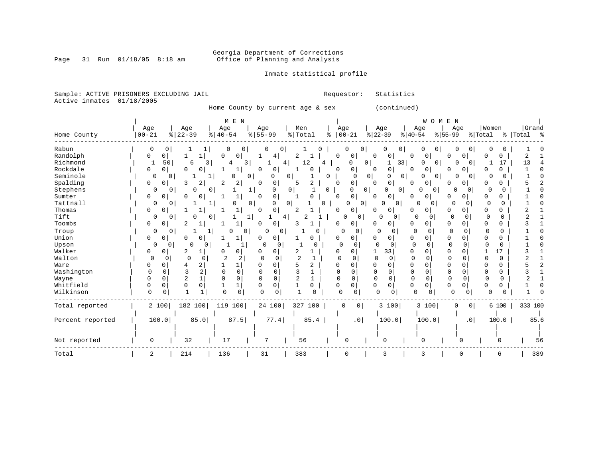# Georgia Department of Corrections<br>Page 31 Run 01/18/05 8:18 am 60ffice of Planning and Analysis Office of Planning and Analysis

### Inmate statistical profile

Sample: ACTIVE PRISONERS EXCLUDING JAIL **Requestor:** Statistics Active inmates 01/18/2005

Home County by current age & sex (continued)

|                  |                      |                           | M E N                            |                                 |                   |                         |                       | WOMEN                        |                      |                          |             |
|------------------|----------------------|---------------------------|----------------------------------|---------------------------------|-------------------|-------------------------|-----------------------|------------------------------|----------------------|--------------------------|-------------|
|                  | Age                  | Age                       | Age                              | Age                             | Men               | Age                     | Age                   | Age                          | Age                  | Women                    | Grand       |
| Home County      | $00 - 21$            | $ 22-39$                  | $8   40 - 54$                    | $8 55-99$                       | %   Total<br>ႜ    | $ 00-21$                | $\frac{1}{6}$   22-39 | $ 40-54$<br>$8 55-99$        |                      | % Total                  | %   Total % |
| Rabun            | 0                    |                           |                                  |                                 |                   | 0                       |                       | 0                            |                      |                          |             |
| Randolph         | 0<br>0               |                           | 0<br>$\Omega$                    | 4                               | 2                 | $\Omega$<br>0           | $\Omega$<br>0         | O<br>0<br>0                  |                      | $\Omega$                 | 2           |
| Richmond         | 50                   | 6<br>3                    | 3                                | 4                               | 12<br>4           | 0<br>O                  | 33<br>1               | $\Omega$<br>0                | $\Omega$             | 17                       | 13          |
| Rockdale         | 0<br>0               | O<br>0                    | 1                                | 0<br>0                          | 0                 | 0<br>0                  | 0<br>0                | $\overline{0}$<br>0<br>O     | 0                    | O<br>O.                  | n           |
| Seminole         | $\Omega$             | 0                         |                                  | 0<br>0<br>0                     | 0                 | 0<br>0 <sup>1</sup>     | 0<br>0                | 0<br>0                       | 0<br>$\Omega$        | U<br>O                   |             |
| Spalding         | 0<br>0               | 3<br>2                    | 2<br>2                           | $\Omega$<br>0                   | 2<br>5            | $\mathbf 0$<br>$\Omega$ | 0<br>$\Omega$         | 0<br>$\overline{0}$<br>O     | 0                    | O                        |             |
| Stephens         | 0                    | 0<br>0                    | 0                                | 0<br>1                          | 0<br>0            | 0<br>O                  | 0<br>0                | 0<br>0                       | $\Omega$<br>$\Omega$ |                          |             |
| Sumter           | 0<br>0               | O<br>$\Omega$             | 1                                | 0<br>$\Omega$                   | 0                 | 0<br>$\Omega$           | 0<br>0                | $\overline{0}$<br>0<br>0     | 0                    | ∩<br>0                   |             |
| Tattnall         | 0                    | 0                         | 0                                | 0 <sup>1</sup><br>0<br>$\Omega$ | 0                 | $\overline{0}$<br>0     | O<br>$\Omega$         | 0<br>0                       | $\Omega$<br>$\Omega$ | $\Omega$<br>O            |             |
| Thomas           | 0<br>$\Omega$        |                           |                                  | 0<br>$\Omega$                   | 2                 | 0<br><sup>0</sup>       | 0<br>U                | O<br>0<br>0                  | 0                    | 0                        |             |
| Tift             | 0                    | 0<br>U                    | 0                                | 4                               |                   | 0                       | O<br>0                | $\Omega$<br>$\Omega$         | 0<br>0               | 0<br>$\Omega$            |             |
| Toombs           | 0<br>0               | 2                         |                                  | 0                               |                   | 0                       | 0                     | 0<br>0<br>0                  | 0                    | 0<br>$\Omega$            |             |
| Troup            | 0                    | 0                         | 0<br>0                           | 0<br>0                          | 0                 | $\Omega$<br>0           | 0<br>0                | 0<br>$\Omega$                | $\Omega$<br>$\Omega$ | $\Omega$<br>$\Omega$     |             |
| Union            | 0<br>0               | 0<br>0                    | 1                                | 0<br>0                          | 0                 | 0                       | 0<br>0                | 0<br>0<br>0                  | 0                    |                          |             |
| Upson            | 0                    | $\Omega$<br>0<br>$\Omega$ |                                  | 0<br>$\Omega$                   | U                 | 0                       | $\Omega$<br>$\Omega$  | $\mathbf 0$<br><sup>0</sup>  | $\Omega$<br>O        | <sup>0</sup><br>$\Omega$ |             |
| Walker           | 0<br>$\Omega$        | 2<br>1                    | 0<br>O                           | $\Omega$<br>O                   | 2                 | $\Omega$<br>$\Omega$    | 33<br>-1              | 0<br>O<br>$\Omega$           |                      | 17                       |             |
| Walton           | $\Omega$<br>$\Omega$ | $\Omega$<br>∩             | $\overline{c}$<br>$\overline{2}$ | $\Omega$<br>$\cap$              | $\overline{2}$    | $\Omega$                | $\Omega$<br>$\Omega$  | $\Omega$<br>U                | $\Omega$<br>$\cap$   | U<br>0                   |             |
| Ware             | 0<br>0               | 2<br>4                    |                                  | O<br>0                          | 5<br>2            | <sup>0</sup><br>O       | $\Omega$<br>0         | $\mathbf 0$<br>0<br>$\Omega$ | 0                    | 0<br>C                   |             |
| Washington       | ∩<br>O               | 3<br>2                    | $\mathbf 0$<br>$\cap$            | 0<br>$\Omega$                   | ζ                 | $\Omega$<br>U           | $\mathbf 0$           | $\mathbf 0$<br>$\Omega$      | 0<br>0               | $\Omega$<br>0            |             |
| Wayne            | O<br>$\Omega$        | 2                         | $\Omega$<br>$\Omega$             | O<br>0                          | 2                 | $\cap$<br>U             | $\Omega$<br>$\Omega$  | 0<br>$\Omega$                | $\Omega$<br>$\Omega$ | $\Omega$<br>$\Omega$     |             |
| Whitfield        | O<br>$\Omega$        | $\Omega$<br>$\Omega$      | 1                                | 0<br>$\Omega$                   | $\mathbf{1}$<br>0 | $\Omega$<br>0           | 0<br>0                | $\mathbf 0$<br>0<br>0        | 0                    | $\Omega$<br>0            |             |
| Wilkinson        | $\Omega$<br>0        | 1                         | $\Omega$<br>$\mathbf 0$          | ∩<br>0                          |                   | $\Omega$<br>0           | <sup>0</sup><br>0     | $\Omega$<br>0                | $\Omega$             | U<br>U                   |             |
| Total reported   | 2 100                | 182 100                   | 119<br>100                       | 24 100                          | 327<br>100        | $\overline{0}$<br>0     | 3 100                 | 3<br>100                     | 0 <br>0              | 6 100                    | 333 100     |
| Percent reported | 100.0                | 85.0                      | 87.5                             | 77.4                            | 85.4              | .0 <sub>1</sub>         | 100.0                 | 100.0                        | .0 <sub>1</sub>      | 100.0                    | 85.6        |
|                  |                      |                           |                                  |                                 |                   |                         |                       |                              |                      |                          |             |
| Not reported     | $\Omega$             | 32                        | 17                               | 7                               | 56                | $\Omega$                | $\Omega$              | $\cap$                       | ∩                    | U                        | 56          |
| Total            | 2                    | 214                       | 136                              | 31                              | 383               | $\Omega$                | 3                     | 3                            |                      | 6                        | 389         |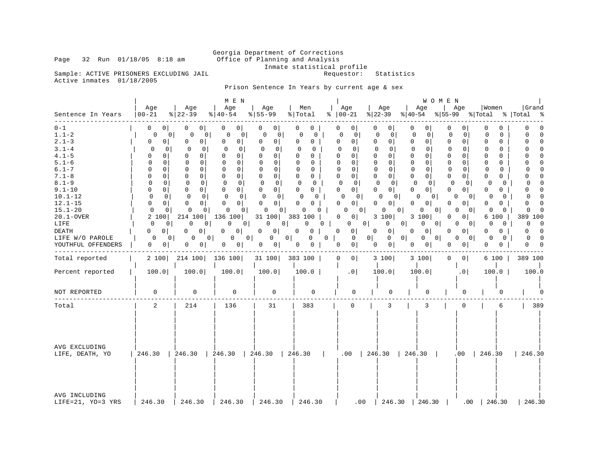# Georgia Department of Corrections<br>Page 32 Run 01/18/05 8:18 am 60ffice of Planning and Analysis Office of Planning and Analysis Inmate statistical profile<br>Requestor: Statistics

Sample: ACTIVE PRISONERS EXCLUDING JAIL Active inmates 01/18/2005

Prison Sentence In Years by current age & sex

| Sentence In Years                                                                                                                                                                                                                                            | Age<br>$ 00 - 21 $                                                                                                                                                                                                                                                                                                                                                                                            | Age<br>$ 22-39 $                                                                                                                                                                                                                                                                                                                                                                                                | M E N<br>Age<br>$8   40 - 54$                                                                                                                                                                                                                                                                                                                                                                                             | Age<br>$ 55 - 99 $                                                                                                                                                                                                                                                                                                                                                                                                                 | Men<br>% Total                                                                                                                                                                                                                                                                                                                                                                                | Age<br>$\approx$   00-21                                                                                                                                                                                                                                                                                                                                                                                          | Age<br>% 22−39                                                                                                                                                                                                                                                                                                                                                                                               | Age                                                                                                                                                                                                                                                           | W O M E N<br>$ 40-54 \t  55-99 \t  Total \t  Total$                                                                                                                                                                                                                                                          | Age                                                                                                                                                                                                                                                                   | Women                                                                                                                                                                                                                                                                                                                                                                                                           | Grand<br>း ေ                                                                                                                                                                                                                                                                                                                                                                                                 |
|--------------------------------------------------------------------------------------------------------------------------------------------------------------------------------------------------------------------------------------------------------------|---------------------------------------------------------------------------------------------------------------------------------------------------------------------------------------------------------------------------------------------------------------------------------------------------------------------------------------------------------------------------------------------------------------|-----------------------------------------------------------------------------------------------------------------------------------------------------------------------------------------------------------------------------------------------------------------------------------------------------------------------------------------------------------------------------------------------------------------|---------------------------------------------------------------------------------------------------------------------------------------------------------------------------------------------------------------------------------------------------------------------------------------------------------------------------------------------------------------------------------------------------------------------------|------------------------------------------------------------------------------------------------------------------------------------------------------------------------------------------------------------------------------------------------------------------------------------------------------------------------------------------------------------------------------------------------------------------------------------|-----------------------------------------------------------------------------------------------------------------------------------------------------------------------------------------------------------------------------------------------------------------------------------------------------------------------------------------------------------------------------------------------|-------------------------------------------------------------------------------------------------------------------------------------------------------------------------------------------------------------------------------------------------------------------------------------------------------------------------------------------------------------------------------------------------------------------|--------------------------------------------------------------------------------------------------------------------------------------------------------------------------------------------------------------------------------------------------------------------------------------------------------------------------------------------------------------------------------------------------------------|---------------------------------------------------------------------------------------------------------------------------------------------------------------------------------------------------------------------------------------------------------------|--------------------------------------------------------------------------------------------------------------------------------------------------------------------------------------------------------------------------------------------------------------------------------------------------------------|-----------------------------------------------------------------------------------------------------------------------------------------------------------------------------------------------------------------------------------------------------------------------|-----------------------------------------------------------------------------------------------------------------------------------------------------------------------------------------------------------------------------------------------------------------------------------------------------------------------------------------------------------------------------------------------------------------|--------------------------------------------------------------------------------------------------------------------------------------------------------------------------------------------------------------------------------------------------------------------------------------------------------------------------------------------------------------------------------------------------------------|
| $0 - 1$<br>$1.1 - 2$<br>$2.1 - 3$<br>$3.1 - 4$<br>$4.1 - 5$<br>$5.1 - 6$<br>$6.1 - 7$<br>$7.1 - 8$<br>$8.1 - 9$<br>$9.1 - 10$<br>$10.1 - 12$<br>$12.1 - 15$<br>$15.1 - 20$<br>$20.1 - OVER$<br>LIFE<br><b>DEATH</b><br>LIFE W/O PAROLE<br>YOUTHFUL OFFENDERS | $\Omega$<br>0 <sup>1</sup><br>$\mathbf 0$<br>0<br>0<br>0 <sup>1</sup><br>0<br>$\Omega$<br>$\Omega$<br>$\Omega$<br>$\cap$<br>$\Omega$<br>$\Omega$<br>$\Omega$<br>$\Omega$<br>$\Omega$<br>$\Omega$<br>$\Omega$<br>$\Omega$<br>$\Omega$<br>$\Omega$<br>$\Omega$<br>$\Omega$<br>$\Omega$<br>$\Omega$<br>$\Omega$<br>2 100<br>$\Omega$<br>0<br>$\Omega$<br>0<br>$\Omega$<br>$\Omega$<br>$\Omega$<br>0 <sup>1</sup> | 0<br>0 <sup>1</sup><br>0 <sup>1</sup><br>0<br>0<br>0 <sup>1</sup><br>$\Omega$<br>$\mathbf 0$<br>0<br>$\Omega$<br>$\Omega$<br>$\Omega$<br>$\Omega$<br>$\Omega$<br>$\mathbf 0$<br>$\Omega$<br>$\Omega$<br>$\Omega$<br>$\Omega$<br>$\Omega$<br>$\Omega$<br>$\Omega$<br>0<br>$\Omega$<br>0<br>$\Omega$<br>214 100<br>$\Omega$<br>0<br>0 <sup>1</sup><br>$\Omega$<br>0<br>$\Omega$<br>$\mathbf{0}$<br>$\overline{0}$ | $\overline{0}$<br>0<br>0<br>0<br>$\Omega$<br>0 <sup>1</sup><br>0<br>$\Omega$<br>$\Omega$<br>$\Omega$<br>$\Omega$<br>$\cap$<br>$\Omega$<br>$\Omega$<br>$\overline{0}$<br>0<br>$\Omega$<br>$\Omega$<br>$\Omega$<br>$\Omega$<br>$\mathbf 0$<br>$\Omega$<br>$\Omega$<br>$\overline{0}$<br>0<br>$\Omega$<br>136 100<br>$\Omega$<br>$\Omega$<br>$\Omega$<br>0 <sup>1</sup><br>$\overline{0}$<br>$\Omega$<br>0 <sup>1</sup><br>0 | $\Omega$<br>0<br>$\circ$<br>$\mathbf 0$<br>$\Omega$<br>0 <sup>1</sup><br>$\Omega$<br>$\Omega$<br>$\Omega$<br>$\Omega$<br>$\Omega$<br>$\Omega$<br>$\Omega$<br>$\Omega$<br>$\Omega$<br>$\overline{0}$<br>$\Omega$<br>$\Omega$<br>$\Omega$<br>$\Omega$<br>$\Omega$<br>$\Omega$<br>$\Omega$<br>$\Omega$<br>$\Omega$<br>$\Omega$<br>31 100<br>$\Omega$<br>0 <sup>1</sup><br>0<br>$\Omega$<br>0 <sup>1</sup><br>0<br>0 <sup>1</sup><br>0 | $\mathbf{0}$<br>0<br>$\Omega$<br>0<br>$\Omega$<br>$\Omega$<br>$\Omega$<br>$\Omega$<br>$\Omega$<br>$\Omega$<br>$\Omega$<br>$\Omega$<br>$\Omega$<br>$\Omega$<br>$\Omega$<br>0<br>$\Omega$<br>$\Omega$<br>$\Omega$<br>$\Omega$<br>$\Omega$<br>$\Omega$<br>$\Omega$<br>0<br>$\Omega$<br>$\Omega$<br>383 100<br>$\Omega$<br>$\Omega$<br>$\Omega$<br>$\Omega$<br>0<br>0<br>$\mathbf{0}$<br>$\Omega$ | 0<br>0<br>0<br>0<br>$\Omega$<br>$\overline{0}$<br>$\Omega$<br>$\Omega$<br>U<br>$\Omega$<br>$\Omega$<br>$\Omega$<br>$\Omega$<br>$\Omega$<br>0 <sup>1</sup><br>$\Omega$<br>$\Omega$<br>$\circ$<br>$\Omega$<br>0 <sup>1</sup><br>$\Omega$<br>$\Omega$<br>0 <sup>1</sup><br>$\Omega$<br>0<br>$\Omega$<br>0 <sup>1</sup><br>$\Omega$<br>$\Omega$<br>$\Omega$<br>$\circ$<br>0<br>$\Omega$<br>0 <sup>1</sup><br>$\Omega$ | $\Omega$<br>0<br>$\mathbf{0}$<br>$\Omega$<br>$\Omega$<br>$\Omega$<br>$\Omega$<br>$\Omega$<br>$\Omega$<br>$\Omega$<br>$\Omega$<br>$\Omega$<br>$\Omega$<br>$\Omega$<br>$\Omega$<br>0<br>$\Omega$<br>$\Omega$<br>$\Omega$<br>$\Omega$<br>$\Omega$<br>$\Omega$<br>$\Omega$<br>0 <sup>1</sup><br>0<br>3 100<br>$\Omega$<br>$\Omega$<br>$\overline{0}$<br>0 <sup>1</sup><br>$\Omega$<br>0 <sup>1</sup><br>$\Omega$ | 0<br>$\mathbf 0$<br>$\Omega$<br>$\Omega$<br>$\Omega$<br>$\Omega$<br>$\Omega$<br>0<br>$\Omega$<br>$\Omega$<br>$\Omega$<br>$\Omega$<br>0 <sup>1</sup><br>$\Omega$<br>3 100<br>$\Omega$<br>$\Omega$<br>$\Omega$<br>$\mathbf 0$<br>$\overline{0}$<br>$\mathbf{0}$ | 0<br>0<br>0<br>0<br>$\overline{0}$<br>0<br>$\Omega$<br>n<br>$\Omega$<br>O<br>$\Omega$<br>O<br>$\Omega$<br>$\Omega$<br>$\Omega$<br>$\Omega$<br>$\Omega$<br>$\Omega$<br>$\Omega$<br>0<br>$\Omega$<br>$\Omega$<br>0<br>$\overline{0}$<br>0<br>0<br>0 <sup>1</sup><br>0<br>$\overline{0}$<br>0 <sup>1</sup><br>0 | $\mathbf{0}$<br>$\Omega$<br>$\Omega$<br>$\Omega$<br>$\Omega$<br>$\Omega$<br>$\Omega$<br>$\Omega$<br>$\Omega$<br>$\Omega$<br>$\Omega$<br>$\Omega$<br>$\Omega$<br>0<br>. O I<br>0 <sup>1</sup><br>$\Omega$<br>0 I<br>$\Omega$<br>$\Omega$<br>$\Omega$<br>0 <sup>1</sup> | $\Omega$<br>$\Omega$<br>$\Omega$<br>$\Omega$<br>$\Omega$<br>$\Omega$<br>$\Omega$<br>$\Omega$<br>$\Omega$<br>$\Omega$<br>$\Omega$<br>$\Omega$<br>$\Omega$<br>$\Omega$<br>$\Omega$<br>$\Omega$<br>$\Omega$<br>$\Omega$<br>$\Omega$<br>$\Omega$<br>U<br>$\Omega$<br>$\Omega$<br>$\Omega$<br>0<br>$\Omega$<br>6 100<br>$\Omega$<br>$\Omega$<br>$\Omega$<br>$\Omega$<br>$\Omega$<br>$\Omega$<br>$\Omega$<br>$\Omega$ | $\cap$<br>$\Omega$<br>$\Omega$<br>$\Omega$<br>$\Omega$<br>$\Omega$<br>$\Omega$<br>$\Omega$<br>$\Omega$<br>$\Omega$<br>$\cap$<br>$\cap$<br>$\Omega$<br>$\Omega$<br>$\Omega$<br>$\Omega$<br>$\Omega$<br>$\Omega$<br>$\Omega$<br>$\Omega$<br>$\Omega$<br>$\cap$<br>$\cap$<br>$\Omega$<br>$\Omega$<br>$\Omega$<br>389<br>100<br>$\Omega$<br>$\Omega$<br>$\Omega$<br>$\Omega$<br>$\Omega$<br>$\Omega$<br>$\Omega$ |
| Total reported                                                                                                                                                                                                                                               |                                                                                                                                                                                                                                                                                                                                                                                                               | 2 100 214 100                                                                                                                                                                                                                                                                                                                                                                                                   | 136 100                                                                                                                                                                                                                                                                                                                                                                                                                   | 31 100                                                                                                                                                                                                                                                                                                                                                                                                                             | 383 100                                                                                                                                                                                                                                                                                                                                                                                       | $\Omega$<br>0 <sup>1</sup>                                                                                                                                                                                                                                                                                                                                                                                        | 3 100                                                                                                                                                                                                                                                                                                                                                                                                        | 3 100                                                                                                                                                                                                                                                         | $\Omega$                                                                                                                                                                                                                                                                                                     | 0 <sup>1</sup>                                                                                                                                                                                                                                                        | 6 100                                                                                                                                                                                                                                                                                                                                                                                                           | 389 100                                                                                                                                                                                                                                                                                                                                                                                                      |
| Percent reported                                                                                                                                                                                                                                             | 100.0                                                                                                                                                                                                                                                                                                                                                                                                         | 100.0                                                                                                                                                                                                                                                                                                                                                                                                           | 100.0                                                                                                                                                                                                                                                                                                                                                                                                                     | 100.0                                                                                                                                                                                                                                                                                                                                                                                                                              | 100.0                                                                                                                                                                                                                                                                                                                                                                                         | .0 <sub>1</sub>                                                                                                                                                                                                                                                                                                                                                                                                   | 100.0                                                                                                                                                                                                                                                                                                                                                                                                        | 100.0                                                                                                                                                                                                                                                         |                                                                                                                                                                                                                                                                                                              | .0 <sub>1</sub>                                                                                                                                                                                                                                                       | 100.0                                                                                                                                                                                                                                                                                                                                                                                                           | 100.0                                                                                                                                                                                                                                                                                                                                                                                                        |
| NOT REPORTED                                                                                                                                                                                                                                                 | $\Omega$                                                                                                                                                                                                                                                                                                                                                                                                      | $\Omega$                                                                                                                                                                                                                                                                                                                                                                                                        | $\Omega$                                                                                                                                                                                                                                                                                                                                                                                                                  | $\Omega$                                                                                                                                                                                                                                                                                                                                                                                                                           | $\Omega$                                                                                                                                                                                                                                                                                                                                                                                      | $\Omega$                                                                                                                                                                                                                                                                                                                                                                                                          | $\Omega$                                                                                                                                                                                                                                                                                                                                                                                                     |                                                                                                                                                                                                                                                               | 0                                                                                                                                                                                                                                                                                                            |                                                                                                                                                                                                                                                                       |                                                                                                                                                                                                                                                                                                                                                                                                                 |                                                                                                                                                                                                                                                                                                                                                                                                              |
| Total                                                                                                                                                                                                                                                        | 2                                                                                                                                                                                                                                                                                                                                                                                                             | 214                                                                                                                                                                                                                                                                                                                                                                                                             | 136                                                                                                                                                                                                                                                                                                                                                                                                                       | 31                                                                                                                                                                                                                                                                                                                                                                                                                                 | 383                                                                                                                                                                                                                                                                                                                                                                                           | $\Omega$                                                                                                                                                                                                                                                                                                                                                                                                          | 3                                                                                                                                                                                                                                                                                                                                                                                                            |                                                                                                                                                                                                                                                               | 3                                                                                                                                                                                                                                                                                                            | $\Omega$                                                                                                                                                                                                                                                              | 6                                                                                                                                                                                                                                                                                                                                                                                                               | 389                                                                                                                                                                                                                                                                                                                                                                                                          |
| AVG EXCLUDING<br>LIFE, DEATH, YO                                                                                                                                                                                                                             |                                                                                                                                                                                                                                                                                                                                                                                                               |                                                                                                                                                                                                                                                                                                                                                                                                                 |                                                                                                                                                                                                                                                                                                                                                                                                                           |                                                                                                                                                                                                                                                                                                                                                                                                                                    | 246.30   246.30   246.30   246.30   246.30   $\cdot$ .00   246.30   246.30                                                                                                                                                                                                                                                                                                                    |                                                                                                                                                                                                                                                                                                                                                                                                                   |                                                                                                                                                                                                                                                                                                                                                                                                              |                                                                                                                                                                                                                                                               |                                                                                                                                                                                                                                                                                                              | .00                                                                                                                                                                                                                                                                   | $\vert 246.30 \vert$                                                                                                                                                                                                                                                                                                                                                                                            | 246.30                                                                                                                                                                                                                                                                                                                                                                                                       |

 | | | | | | | | | | | | | | | | | | | | | | | | | | | | | | | | | AVG INCLUDING  $|\hspace{.1cm} | \hspace{.1cm} |\hspace{.1cm} | \hspace{.1cm} |\hspace{.1cm} | \hspace{.1cm} |\hspace{.1cm} | \hspace{.1cm} |\hspace{.1cm} |\hspace{.1cm} |\hspace{.1cm} |\hspace{.1cm} |\hspace{.1cm} |\hspace{.1cm} |\hspace{.1cm} |\hspace{.1cm} |\hspace{.1cm} |\hspace{.1cm} |\hspace{.1cm} |\hspace{.1cm} |\hspace{.1cm} |\hspace{.1cm} |\hspace{.1cm} |\hspace{.1cm} |\hspace{.1cm} |\hs$ LIFE=21, YO=3 YRS | 246.30 | 246.30 | 246.30 | 246.30 | 246.30 | .00 | 246.30 | 246.30 | .00 | 246.30 | 246.30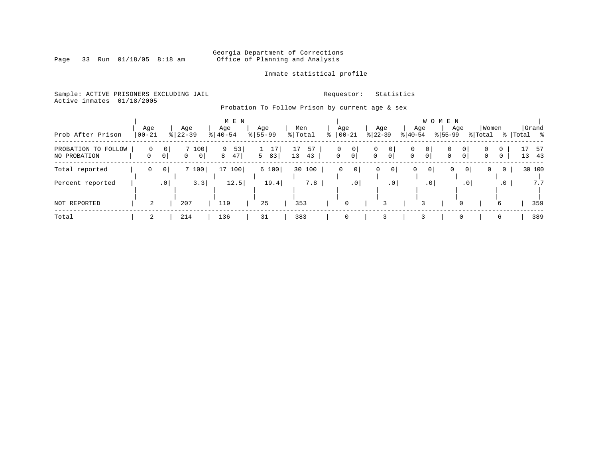# Georgia Department of Corrections<br>Page 33 Run 01/18/05 8:18 am 60ffice of Planning and Analysis Office of Planning and Analysis

Inmate statistical profile

Sample: ACTIVE PRISONERS EXCLUDING JAIL **Requestor:** Statistics Active inmates 01/18/2005

Probation To Follow Prison by current age & sex

|                                     |                   |                     |                                           | M E N              |                  |                      |                          |                     |                     |                     |           |                  | WOMEN     |                |                          |                            |           |                |       |
|-------------------------------------|-------------------|---------------------|-------------------------------------------|--------------------|------------------|----------------------|--------------------------|---------------------|---------------------|---------------------|-----------|------------------|-----------|----------------|--------------------------|----------------------------|-----------|----------------|-------|
| Prob After Prison                   | Age<br>$ 00 - 21$ |                     | Age<br>$8 22-39$                          | Age<br>$8140 - 54$ | Age<br>$8 55-99$ | Men<br>% Total       | Age                      | $ 00 - 21$          | $ 22 - 39 $         | Age                 | $ 40-54 $ | Age              | $ 55-99 $ | Age            | Women<br>% Total         |                            | %   Total | Grand          | း - ေ |
| PROBATION TO FOLLOW<br>NO PROBATION | $\Omega$<br>0     | 0<br>0 <sup>1</sup> | 7 100<br>$\overline{0}$<br>$\overline{0}$ | 53<br>9<br>47<br>8 | 5<br>83          | 57<br>17<br>13<br>43 | $\Omega$<br>$\mathbf{0}$ | 0<br>0 <sup>1</sup> | 0<br>$\overline{0}$ | 0<br>0 <sup>1</sup> | 0<br>0    | 0<br>$\mathbf 0$ | 0<br>0    | 0<br>0         | $\Omega$<br>$\mathbf{0}$ | $\Omega$<br>$\overline{0}$ |           | 17 57<br>13 43 |       |
| Total reported                      | 0                 | 0                   | 7100                                      | 17 100             | 6 100            | 30 100               | $\Omega$                 | 0 <sup>1</sup>      | 0                   | 0                   | 0         | 0 <sup>1</sup>   |           | 0 <sup>1</sup> | 0                        | 0                          |           | 30 100         |       |
| Percent reported                    |                   | .0 <sub>1</sub>     | 3.3                                       | 12.5               | 19.4             | 7.8                  |                          | $\cdot$ 0           |                     | $.0$                |           | .0 <sup>1</sup>  |           | $\cdot$ 0      |                          | $\cdot$ 0                  |           |                | 7.7   |
| NOT REPORTED                        | 2                 |                     | 207                                       | 119                | 25               | 353                  |                          | 0                   |                     |                     |           |                  |           |                |                          | 6                          |           |                | 359   |
| Total                               | 2                 |                     | 214                                       | 136                | 31               | 383                  |                          | 0                   |                     |                     |           |                  |           |                |                          | 6                          |           |                | 389   |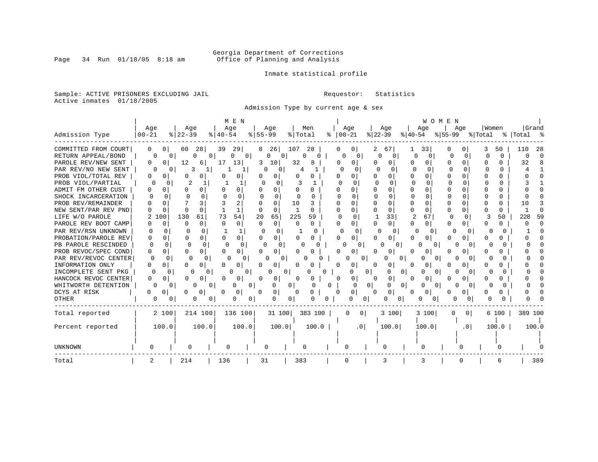# Georgia Department of Corrections<br>Page 34 Run 01/18/05 8:18 am 60ffice of Planning and Analysis Office of Planning and Analysis

Inmate statistical profile

Sample: ACTIVE PRISONERS EXCLUDING JAIL **Requestor:** Statistics Active inmates 01/18/2005

Admission Type by current age & sex

|                      |                    |                           | M E N                    |                         |                    |                 |                          |                   | WOMEN                      |               |             |
|----------------------|--------------------|---------------------------|--------------------------|-------------------------|--------------------|-----------------|--------------------------|-------------------|----------------------------|---------------|-------------|
|                      | Age                | Age                       | Age                      | Age                     | Men                | Age             | Age                      | Age               | Age                        | Women         | Grand       |
| Admission Type       | $00 - 21$          | $ 22-39$                  | $8140 - 54$              | $8 55-99$               | % Total<br>°≈      | $00 - 21$       | $ 22-39 $                | $ 40-54 $         | $ 55-99$                   | % Total       | %   Total % |
| COMMITTED FROM COURT | 0<br>0             | 60<br>28                  | 39<br>29                 | 8<br>26                 | 107<br>-28         | 0               | 2.<br>67                 | 33                | $\left( \right)$           | 50            | 28<br>110   |
| RETURN APPEAL/BOND   | $\Omega$           | $\Omega$<br>$\Omega$<br>O | 0 <sup>1</sup><br>O      | $\Omega$<br>$\Omega$    | U                  | ∩<br>0          | $\Omega$<br><sup>n</sup> | $\Omega$<br>U     | U<br>$\Omega$              | $\Omega$<br>U | U<br>C      |
| PAROLE REV/NEW SENT  | 0                  | 12<br>6                   | 17<br>13                 | 10<br>3                 | 32<br>8            | 0               | 0                        |                   | U<br>0                     | O.            | 32          |
| PAR REV/NO NEW SENT  |                    | 3                         |                          | 0<br>0                  |                    | U               | O                        |                   |                            | ∩             |             |
| PROB VIOL/TOTAL REV  | 0                  | 0                         | 0                        | 0                       | <sup>0</sup>       | 0               | <sup>0</sup>             | U                 | $\Omega$                   |               |             |
| PROB VIOL/PARTIAL    |                    |                           |                          | 0                       |                    | U               |                          | n                 | $\Omega$<br>0              | U             |             |
| ADMIT FM OTHER CUST  | 0                  | 0                         | 0                        |                         |                    | N               |                          |                   |                            |               |             |
| SHOCK INCARCERATION  | <sup>0</sup>       |                           | $\Omega$                 | 0<br>n                  | n<br>U             | ∩               | $\Omega$                 | U                 | <sup>0</sup><br>0          | U             |             |
| PROB REV/REMAINDER   |                    |                           | 2                        | $\Omega$                | 10                 | 0               | $\Omega$                 | U<br>n            | ∩                          | 0             | 10          |
| NEW SENT/PAR REV PND | <sup>0</sup>       | $\Omega$<br>n             | $\mathbf{1}$             | U<br>$\Omega$           | $\mathbf{1}$<br>0  | 0<br>U          | $\Omega$                 | 0<br>0            | $\Omega$                   | 0             |             |
| LIFE W/O PAROLE      | 100<br>2           | 130<br>61                 | 73<br>54                 | 20<br>65                | 225<br>59          | U<br>0          | 33                       | 2<br>67           | O<br><sup>0</sup>          | 3<br>50       | 228<br>59   |
| PAROLE REV BOOT CAMP | 0                  | $\Omega$<br>0             | $\Omega$<br>0            | $\Omega$<br>$\mathbf 0$ | 0<br>0             | 0               | $\Omega$                 | 0<br>0            | ∩<br>0                     | 0             |             |
| PAR REV/RSN UNKNOWN  | U<br>0             | $\Omega$                  | 1                        | $\Omega$<br>∩           | <sup>0</sup>       | $\Omega$<br>n   | O<br>0                   | 0<br>C            | ∩<br>O                     | O             |             |
| PROBATION/PAROLE REV | 0<br>U             | 0<br>O                    | $\Omega$<br><sup>0</sup> | U<br>$\Omega$           | U<br>0             | 0               | 0                        | O.<br>0           | 0                          | 0             |             |
| PB PAROLE RESCINDED  | $\Omega$<br>$\cap$ | $\Omega$<br>$\Omega$      | $\Omega$<br>∩            | n                       |                    | 0               | U<br>0                   | 0<br>$\Box$       |                            | U             |             |
| PROB REVOC/SPEC COND | <sup>0</sup>       | 0<br>0                    | 0                        | U<br>n                  |                    |                 | U                        | Ω                 |                            |               |             |
| PAR REV/REVOC CENTER | U<br>U             | <sup>0</sup>              | O                        | U                       |                    |                 | 0<br>0                   | O                 |                            |               |             |
| INFORMATION ONLY     | Ω                  | 0                         | 0                        |                         |                    | Ω<br>0          | 0                        |                   |                            |               |             |
| INCOMPLETE SENT PKG  | 0                  | 0                         | 0                        |                         | O<br>0             |                 | 0<br>0<br>0              | 0                 |                            |               |             |
| HANCOCK REVOC CENTER | 0                  | 0                         | 0                        | 0                       |                    | 0               | 0                        | 0                 |                            |               |             |
| WHITWORTH DETENTION  |                    | 0<br>0<br>O               | $\overline{0}$<br>0      | 0                       | 0<br>$\Omega$<br>0 | $\Omega$        | 0 <sup>1</sup><br>0<br>0 | $\Omega$          | 0                          | O             |             |
| DCYS AT RISK         | 0                  | 0<br>O                    | 0                        | 0<br>n                  | 0<br>0             | 0<br>$\Omega$   | 0<br><sup>0</sup>        | $\mathbf{0}$<br>Ω | 0                          | 0             |             |
| OTHER                | 0                  | O<br>0<br>0               | 0<br>$\overline{0}$      | O                       | 0<br>0.            | 0               | 0<br>0<br>0              | 0<br>0            | 0<br>0                     |               |             |
| Total reported       | 2 100              | 214 100                   | 136 100                  | 31 100                  | 383 100            | $\Omega$        | 3 100<br>0 <sup>1</sup>  | 3 100             | $\Omega$<br>0 <sup>1</sup> | 6 100         | 389 100     |
|                      |                    |                           |                          |                         |                    |                 |                          |                   |                            |               |             |
| Percent reported     | 100.0              | 100.0                     | 100.0                    | 100.0                   | 100.0              | .0 <sub>1</sub> | 100.0                    | 100.0             | .0 <sub>1</sub>            | 100.0         | 100.0       |
|                      |                    |                           |                          |                         |                    |                 |                          |                   |                            |               |             |
| <b>UNKNOWN</b>       |                    |                           | 0                        | 0                       |                    |                 | O                        |                   |                            |               |             |
| Total                | 2                  | 214                       | 136                      | 31                      | 383                | 0               | 3                        |                   |                            | 6             | 389         |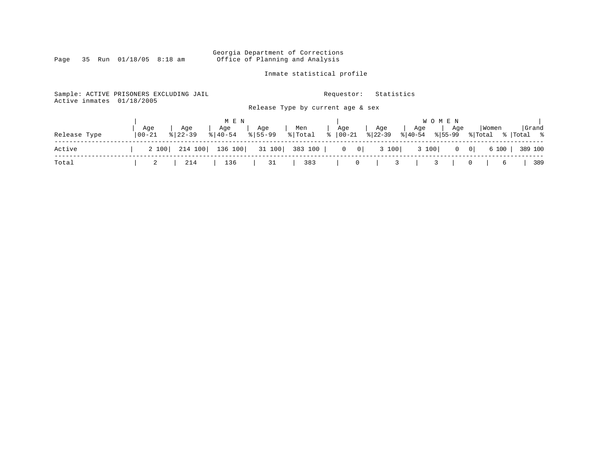Georgia Department of Corrections Page 35 Run 01/18/05 8:18 am Office of Planning and Analysis

Inmate statistical profile

Sample: ACTIVE PRISONERS EXCLUDING JAIL **Requestor:** Statistics Active inmates 01/18/2005 Release Type by current age & sex | M E N | W O M E N | | Age | Age | Age | Age | Men | Age | Age | Age | Age |Women |Grand Release Type |00-21 %|22-39 %|40-54 %|55-99 %|Total % |00-21 %|22-39 %|40-54 %|55-99 %|Total % |Total % ------------------------------------------------------------------------------------------------------------------------------------ Active | 2 100| 214 100| 136 100| 31 100| 383 100 | 0 0| 3 100| 3 100| 0 0| 6 100 | 389 100 ------------------------------------------------------------------------------------------------------------------------------------ Total | 2 | 214 | 136 | 31 | 383 | 0 | 3 | 3 | 0 | 6 | 389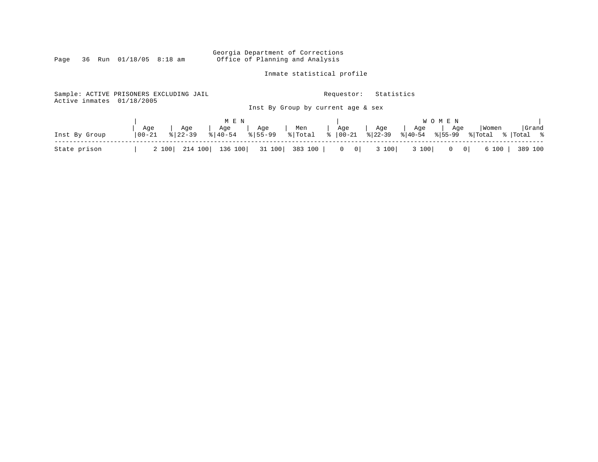Georgia Department of Corrections<br>Page 36 Run 01/18/05 8:18 am Office of Planning and Analysis Office of Planning and Analysis

Inmate statistical profile

| Sample: ACTIVE PRISONERS EXCLUDING JAIL<br>Active inmates | 01/18/2005 |                |                                |                        | Requestor:                                     | Statistics |       |              |         |            |
|-----------------------------------------------------------|------------|----------------|--------------------------------|------------------------|------------------------------------------------|------------|-------|--------------|---------|------------|
|                                                           |            |                |                                |                        | Inst By Group by current age & sex             |            |       |              |         |            |
|                                                           |            |                | M E N                          |                        |                                                |            |       | W O M E N    |         |            |
|                                                           | Age        | Age<br>% 22-39 | Age   Age  <br>% 40-54 % 55-99 |                        | Men   Age   Age<br>  % Total %  00-21 %  22-39 |            |       |              | Women   | Grand      |
| Inst By Group                                             | $100 - 21$ |                |                                |                        |                                                |            |       |              | % Total | %  Total % |
| State prison                                              | 2 100      | 214 100        |                                | 136 100 31 100 383 100 | $\begin{array}{ccc} & 0 & 0 \end{array}$       | 3 100      | 3 100 | $0 \qquad 0$ | 6 100   | 389 100    |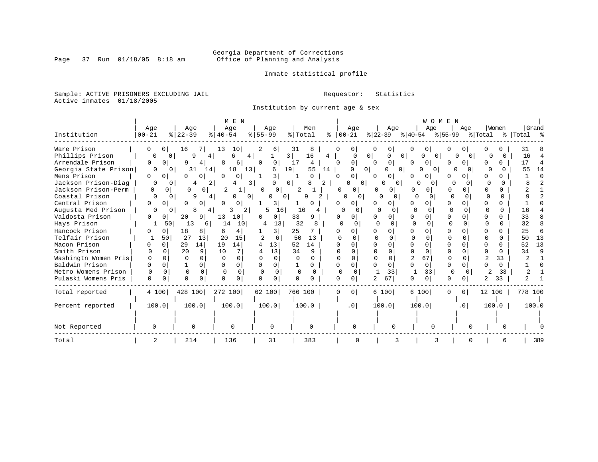# Georgia Department of Corrections<br>Page 37 Run 01/18/05 8:18 am 60ffice of Planning and Analysis Office of Planning and Analysis

Inmate statistical profile

Sample: ACTIVE PRISONERS EXCLUDING JAIL **Requestor:** Statistics Active inmates 01/18/2005

Institution by current age & sex

|                      |                      |                          | M E N                      |                                |                        |                            |                                       | WOMEN                         |                         |              |             |
|----------------------|----------------------|--------------------------|----------------------------|--------------------------------|------------------------|----------------------------|---------------------------------------|-------------------------------|-------------------------|--------------|-------------|
|                      | Age                  | Age                      | Age                        | Age                            | Men                    | Age                        | Age                                   | Age                           | Age                     | Women        | Grand       |
| Institution          | $00 - 21$            | $8   22 - 39$            | $ 40-54 $                  | $8 55-99$                      | % Total                | $8   00 - 21$              | $ 22 - 39 $                           | % 40-54 % 55-99               |                         | % Total      | %   Total % |
| Ware Prison          | 0<br>0 <sup>1</sup>  | 16<br>7 I                | 13<br>10                   | 6                              | 31<br>8                | 0<br>O                     | 0                                     | 0                             |                         |              | 31          |
| Phillips Prison      | O                    | 9<br>$\Omega$<br>4       | 4 <br>б                    |                                | 16<br>3 <br>4          |                            | 0 <sup>1</sup><br>$\Omega$<br>O       | $\Omega$                      | $\Omega$                |              | 16          |
| Arrendale Prison     | 0<br>0               | 9<br>4                   | 6<br>8                     | $\Omega$<br>0                  | 17<br>4                | 0<br>$\Omega$              | 0<br>$\Omega$                         | 0<br>0 <sub>1</sub>           | 0                       | 0            | 17          |
| Georgia State Prison | $\Omega$             | 31<br>14<br>0            | 18<br>13                   | 19<br>6                        | 55<br>14               |                            | 0 <sup>1</sup><br>0<br>0 <sup>1</sup> | $\Omega$<br>0                 | $\cap$<br>$\Omega$      |              | 14<br>55    |
| Mens Prison          | 0<br>0               | U<br>0                   | $\Omega$<br>0              | 3                              | $\Omega$               | $\overline{0}$<br>$\Omega$ | $\cap$<br>0                           | 0<br>0<br><sup>0</sup>        |                         |              |             |
| Jackson Prison-Diag  | 0                    | 2<br>4<br>$\Omega$       | 3<br>4                     |                                | 2<br>0 <sup>1</sup>    | 0 <sup>1</sup>             | ∩<br>$\Omega$                         | U<br>$\Omega$                 |                         | <sup>n</sup> |             |
| Jackson Prison-Perm  | $\Omega$             | 0<br>$\Omega$<br>0       | 2                          | 0<br>$\Omega$                  | 2                      | O<br>$\circ$               | 0 <sup>1</sup>                        | n                             | 0<br>U                  | 0            |             |
| Coastal Prison       |                      | 9                        | $\Omega$<br>0 <sup>1</sup> | $\Omega$                       | 9                      | 0<br>0                     | 0                                     | $\Omega$                      |                         | 0            |             |
| Central Prison       | ∩<br>$\Omega$        | 0<br>0                   | $\Omega$<br><sup>n</sup>   | 3 I                            |                        | 0.<br><sup>0</sup>         | 0                                     | 0<br>n<br><sup>o</sup>        | $\Omega$                | 0            |             |
| Augusta Med Prison   | 0                    | 8<br>0                   | 2                          | 16<br>5                        | 16                     | $\Omega$<br>O              | $\Omega$                              | $\Omega$<br>Ω                 | O                       | <sup>0</sup> | 16          |
| Valdosta Prison      | 0<br>0               | 20<br>91                 | 13<br>10                   | <sup>0</sup><br>0 <sup>1</sup> | 33<br>9                | U<br>0                     | 0                                     | O<br>0                        |                         | 0            | 33          |
| Hays Prison          |                      | 13<br>50<br><sup>6</sup> | 14<br>10                   | 13<br>4                        | 32                     | $\Omega$                   | $\Omega$                              | $\Omega$<br>$\Omega$          |                         | <sup>0</sup> | 32          |
| Hancock Prison       | 0                    | 18<br>8                  | 4<br>6                     | 3                              | 25                     | 0                          | 0                                     | 0                             |                         |              | 25<br>6     |
| Telfair Prison       | 50                   | 27<br>13                 | 20<br>15                   | 2<br>6                         | 50<br>13               | U                          | $\cap$<br>U                           |                               |                         | U            | 13<br>50    |
| Macon Prison         | $\Omega$             | 29<br>14                 | 19<br>14                   | 13                             | 14<br>52               | U.                         | 0                                     | O                             |                         | O            | 13<br>52    |
| Smith Prison         | <sup>n</sup>         | 20<br>9                  | 10<br>7                    | 13<br>4                        | 34<br>9                |                            | $\cap$                                |                               |                         | 0            | q<br>34     |
| Washingtn Women Pris | $\Omega$<br>U        | $\Omega$<br>$\Omega$     | $\Omega$                   | $\Omega$                       | $\cap$<br><sup>0</sup> | $\cap$                     | $\Omega$                              | 67<br>∩                       |                         | 33           |             |
| Baldwin Prison       | $\Omega$             |                          | 0<br><sup>0</sup>          | $\Omega$<br><sup>n</sup>       | 0                      | $\Omega$                   | $\Omega$                              | U<br>$\Omega$<br><sup>0</sup> |                         | 0            |             |
| Metro Womens Prison  | $\Omega$<br>$\Omega$ | $\Omega$<br>$\Omega$     | $\Omega$<br>$\Omega$       | $\Omega$<br>0                  | $\Omega$<br>$\Omega$   | 0<br>$\mathbf 0$           | 33                                    | 33                            | $\mathbf 0$<br>$\Omega$ | 33           |             |
| Pulaski Womens Pris  | 0<br>$\Omega$        | $\Omega$<br>$\Omega$     | 0<br>n                     | $\Omega$<br>$\cap$             | <sup>n</sup>           | $\Omega$                   | 67                                    | $\Omega$<br>0<br><sup>0</sup> | $\Omega$                | 33           |             |
| Total reported       | 4 100                | 428 100                  | 272 100                    | 62 100                         | 766 100                | $\overline{0}$<br>$\Omega$ | 6 100                                 | 6 100<br>$\Omega$             | 0 <sup>1</sup>          | 12 100       | 778 100     |
| Percent reported     | 100.0                | 100.0                    | 100.0                      | 100.0                          | 100.0                  | .0 <sub>1</sub>            | 100.0                                 | 100.0                         | .0 <sub>1</sub>         | 100.0        | 100.0       |
|                      |                      |                          |                            |                                |                        |                            |                                       |                               |                         |              |             |
| Not Reported         | 0                    | $\Omega$                 |                            |                                | $\Omega$               | <sup>0</sup>               |                                       |                               |                         |              |             |
| Total                | 2                    | 214                      | 136                        | 31                             | 383                    |                            | 3                                     | 3                             |                         | 6            | 389         |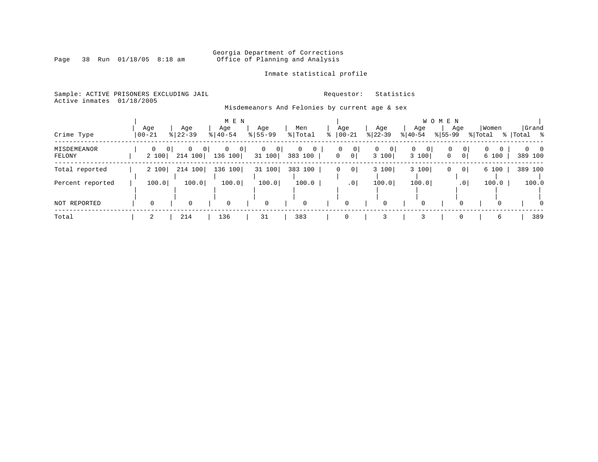# Georgia Department of Corrections<br>Page 38 Run 01/18/05 8:18 am 60ffice of Planning and Analysis Office of Planning and Analysis

Inmate statistical profile

Sample: ACTIVE PRISONERS EXCLUDING JAIL **Requestor:** Statistics Active inmates 01/18/2005

Misdemeanors And Felonies by current age & sex

|                       |                  |                                                      | M E N                       |                                     |                              |                                 |                              | W O                                  | M E N            |                                          |                        |
|-----------------------|------------------|------------------------------------------------------|-----------------------------|-------------------------------------|------------------------------|---------------------------------|------------------------------|--------------------------------------|------------------|------------------------------------------|------------------------|
| Crime Type            | Age<br>$00 - 21$ | Age<br>$8 22-39$                                     | Age<br>$8   40 - 54$        | Age<br>$8155 - 99$                  | Men<br>% Total               | Age<br>$8   00 - 21$            | Age<br>$ 22-39 $             | Age<br>$ 40-54 $                     | Age<br>$ 55-99 $ | Women<br>% Total                         | Grand<br>% Total %     |
| MISDEMEANOR<br>FELONY | 0<br>2 100       | 0 <sup>1</sup><br>$\mathbf 0$<br>$\Omega$<br>214 100 | $\mathbf 0$<br>0<br>136 100 | $\overline{0}$<br>$\circ$<br>31 100 | 0<br>$\mathbf{0}$<br>383 100 | 0<br> 0 <br> 0 <br>$\mathbf{0}$ | $\mathbf{0}$<br> 0 <br>3 100 | $\mathbf 0$<br>$\mathbf{0}$<br>3 100 | 0<br>$\mathbf 0$ | 0<br>$\Omega$<br>0 <sup>1</sup><br>6 100 | $0 \quad 0$<br>389 100 |
| Total reported        | 2 100            | 214 100                                              | 136 100                     | 31 100                              | 383 100                      | 0 <sup>1</sup><br>0             | 3 100                        | 3 100                                | 0                | 0 <sup>1</sup><br>6 100                  | 389 100                |
| Percent reported      | 100.0            | 100.0                                                | 100.0                       | 100.0                               | 100.0                        | .0 <sub>1</sub>                 | 100.0                        | 100.0                                |                  | 100.0<br>.0 <sup>1</sup>                 | 100.0                  |
| NOT REPORTED          |                  | 0                                                    | 0                           | $\mathbf 0$                         | $\mathbf 0$                  | 0                               |                              | 0                                    |                  | $\Omega$                                 | $\Omega$               |
| Total                 |                  | 214                                                  | 136                         | 31                                  | 383                          | 0                               |                              |                                      |                  | 6                                        | 389                    |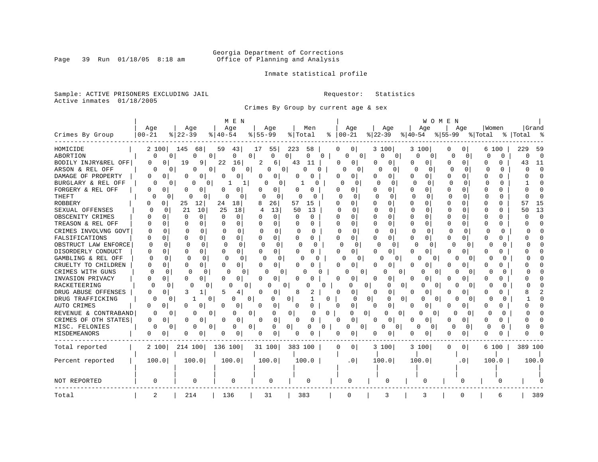# Georgia Department of Corrections<br>Page 39 Run 01/18/05 8:18 am 60ffice of Planning and Analysis Office of Planning and Analysis

Inmate statistical profile

Sample: ACTIVE PRISONERS EXCLUDING JAIL **Requestor:** Statistics Active inmates 01/18/2005

Crimes By Group by current age & sex

| Age<br>Age<br>Age<br>Age<br>Men<br>Age<br>Age<br>Age<br>Aqe<br>  Women<br>$8$   22-39<br>$00 - 21$<br>$ 22-39 $<br>$ 55-99$<br>Crimes By Group<br>$00 - 21$<br>$8155 - 99$<br>$ 40-54 $<br>% Total<br>응   40-54<br>% Total<br>68<br>55<br>223<br>58<br>3 100<br>HOMICIDE<br>2 100<br>145<br>59<br>43<br>17<br>0<br>0 <sup>1</sup><br>3 100<br>0<br>0<br>6 100<br>ABORTION<br>$\mathbf{0}$<br>$\Omega$<br>0<br>0<br>$\Omega$<br>$\Omega$<br>$\Omega$<br>0<br>0<br>0<br>0<br>0<br>0<br>0 <sup>1</sup><br>0<br>0<br>0<br>$\Omega$<br>0<br>0<br>22<br>BODILY INJRY&REL OFF<br>0<br>19<br>9<br>16<br>2<br>43<br>11<br>0<br>0<br>6 I<br>0<br>0<br>0<br>$\Omega$<br>$\Omega$<br>0<br>C<br>O<br>O<br>ARSON & REL OFF<br>$\Omega$<br>0<br>O<br>0<br>O<br>O<br>$\Omega$<br>0<br>$\Omega$<br>0<br><sup>0</sup><br>0<br>O<br>0<br>0<br>0<br>0<br><sup>o</sup><br><sup>0</sup><br>O<br>DAMAGE OF PROPERTY<br>0<br>0<br>$\Omega$<br>O<br>0<br>O<br>0<br>$\Omega$<br>O<br>O<br>0<br>0<br>0<br>$\Omega$<br>O<br>O<br>O<br>C<br>O<br>BURGLARY & REL OFF<br>$\Omega$<br>O<br>$\Omega$<br>$\Omega$<br>N<br>O<br>0<br>$\Omega$<br>$\Omega$<br>O<br>$\Omega$<br>$\Omega$<br>∩<br>O<br>1<br>O<br>FORGERY & REL OFF<br>0<br>U<br>0<br>0<br>U<br>0<br>O<br>0<br>0<br>O<br><sup>0</sup><br>0<br>O<br>O<br>n<br>O<br>O<br>O<br>O<br>O<br>THEFT<br>$\Omega$<br>$\Omega$<br>$\cap$<br>$\Omega$<br>$\Omega$<br>$\Omega$<br>0<br>$\Omega$<br>0<br>$\Omega$<br>0<br>0<br>0<br><sup>0</sup><br>$\Omega$<br>O<br>0<br>0<br>O<br><b>ROBBERY</b><br>0<br>25<br>12<br>24<br>18<br>8<br>26<br>57<br>$\Omega$<br>O<br>15<br>O<br>0<br>O<br>0<br>0<br>$\Omega$<br>0<br>O<br>0 |                    |
|----------------------------------------------------------------------------------------------------------------------------------------------------------------------------------------------------------------------------------------------------------------------------------------------------------------------------------------------------------------------------------------------------------------------------------------------------------------------------------------------------------------------------------------------------------------------------------------------------------------------------------------------------------------------------------------------------------------------------------------------------------------------------------------------------------------------------------------------------------------------------------------------------------------------------------------------------------------------------------------------------------------------------------------------------------------------------------------------------------------------------------------------------------------------------------------------------------------------------------------------------------------------------------------------------------------------------------------------------------------------------------------------------------------------------------------------------------------------------------------------------------------------------------------------------------------------------------------------------------------------------------------|--------------------|
|                                                                                                                                                                                                                                                                                                                                                                                                                                                                                                                                                                                                                                                                                                                                                                                                                                                                                                                                                                                                                                                                                                                                                                                                                                                                                                                                                                                                                                                                                                                                                                                                                                        | Grand              |
|                                                                                                                                                                                                                                                                                                                                                                                                                                                                                                                                                                                                                                                                                                                                                                                                                                                                                                                                                                                                                                                                                                                                                                                                                                                                                                                                                                                                                                                                                                                                                                                                                                        | %  Total           |
|                                                                                                                                                                                                                                                                                                                                                                                                                                                                                                                                                                                                                                                                                                                                                                                                                                                                                                                                                                                                                                                                                                                                                                                                                                                                                                                                                                                                                                                                                                                                                                                                                                        | 229<br>59          |
|                                                                                                                                                                                                                                                                                                                                                                                                                                                                                                                                                                                                                                                                                                                                                                                                                                                                                                                                                                                                                                                                                                                                                                                                                                                                                                                                                                                                                                                                                                                                                                                                                                        | $\Omega$<br>$\cap$ |
|                                                                                                                                                                                                                                                                                                                                                                                                                                                                                                                                                                                                                                                                                                                                                                                                                                                                                                                                                                                                                                                                                                                                                                                                                                                                                                                                                                                                                                                                                                                                                                                                                                        | 43<br>11           |
|                                                                                                                                                                                                                                                                                                                                                                                                                                                                                                                                                                                                                                                                                                                                                                                                                                                                                                                                                                                                                                                                                                                                                                                                                                                                                                                                                                                                                                                                                                                                                                                                                                        | $\Omega$<br>O      |
|                                                                                                                                                                                                                                                                                                                                                                                                                                                                                                                                                                                                                                                                                                                                                                                                                                                                                                                                                                                                                                                                                                                                                                                                                                                                                                                                                                                                                                                                                                                                                                                                                                        |                    |
|                                                                                                                                                                                                                                                                                                                                                                                                                                                                                                                                                                                                                                                                                                                                                                                                                                                                                                                                                                                                                                                                                                                                                                                                                                                                                                                                                                                                                                                                                                                                                                                                                                        |                    |
|                                                                                                                                                                                                                                                                                                                                                                                                                                                                                                                                                                                                                                                                                                                                                                                                                                                                                                                                                                                                                                                                                                                                                                                                                                                                                                                                                                                                                                                                                                                                                                                                                                        |                    |
|                                                                                                                                                                                                                                                                                                                                                                                                                                                                                                                                                                                                                                                                                                                                                                                                                                                                                                                                                                                                                                                                                                                                                                                                                                                                                                                                                                                                                                                                                                                                                                                                                                        |                    |
|                                                                                                                                                                                                                                                                                                                                                                                                                                                                                                                                                                                                                                                                                                                                                                                                                                                                                                                                                                                                                                                                                                                                                                                                                                                                                                                                                                                                                                                                                                                                                                                                                                        | 15<br>57           |
| SEXUAL OFFENSES<br>21<br>10<br>25<br>18<br>13<br>50<br>$\Omega$<br>$\Omega$<br>0<br>4<br>13<br>$\Omega$<br>O<br>0<br>C<br><sup>0</sup><br><sup>0</sup><br>N<br>n                                                                                                                                                                                                                                                                                                                                                                                                                                                                                                                                                                                                                                                                                                                                                                                                                                                                                                                                                                                                                                                                                                                                                                                                                                                                                                                                                                                                                                                                       | 13<br>50           |
| OBSCENITY CRIMES<br>$\Omega$<br>$\Omega$<br>$\Omega$<br>$\Omega$<br>0<br><sup>0</sup><br>0<br>U<br>∩<br>∩<br>U<br>U<br>∩<br>N<br>$\Omega$<br>$\Omega$<br>U<br>C<br>N                                                                                                                                                                                                                                                                                                                                                                                                                                                                                                                                                                                                                                                                                                                                                                                                                                                                                                                                                                                                                                                                                                                                                                                                                                                                                                                                                                                                                                                                   | $\Gamma$           |
| $\Omega$<br>0<br>0<br>0<br>TREASON & REL OFF<br>U<br>0<br>$\Omega$<br>$\Omega$<br>0<br><sup>0</sup><br>0<br>U<br>n<br>n<br>O<br>0<br>O<br>O<br>n<br>0                                                                                                                                                                                                                                                                                                                                                                                                                                                                                                                                                                                                                                                                                                                                                                                                                                                                                                                                                                                                                                                                                                                                                                                                                                                                                                                                                                                                                                                                                  |                    |
| CRIMES INVOLVNG GOVT<br>$\Omega$<br>0<br>$\Omega$<br>$\Omega$<br>$\Omega$<br>0<br>$\Omega$<br>O<br>$\Omega$<br><sup>0</sup><br>O<br>$\Omega$<br>0<br>n<br>O<br>0<br>U<br>O                                                                                                                                                                                                                                                                                                                                                                                                                                                                                                                                                                                                                                                                                                                                                                                                                                                                                                                                                                                                                                                                                                                                                                                                                                                                                                                                                                                                                                                             |                    |
| 0<br>FALSIFICATIONS<br>$\mathbf 0$<br>0<br>0<br>0<br>0<br>0<br>0<br>$\Omega$<br>$\Omega$<br>0<br>$\Omega$<br>0<br>0<br>0<br>$\Omega$<br>0<br>U<br>0                                                                                                                                                                                                                                                                                                                                                                                                                                                                                                                                                                                                                                                                                                                                                                                                                                                                                                                                                                                                                                                                                                                                                                                                                                                                                                                                                                                                                                                                                    |                    |
| OBSTRUCT LAW ENFORCE<br>$\Omega$<br>$\Omega$<br>$\Omega$<br>$\Omega$<br>$\Omega$<br>0<br>$\Omega$<br>$\Omega$<br>0<br>$\Omega$<br>$\Omega$<br>U<br>0<br>$\Omega$<br>U<br>0<br>0<br>U<br>O                                                                                                                                                                                                                                                                                                                                                                                                                                                                                                                                                                                                                                                                                                                                                                                                                                                                                                                                                                                                                                                                                                                                                                                                                                                                                                                                                                                                                                              |                    |
| DISORDERLY CONDUCT<br>$\Omega$<br>$\Omega$<br>0<br>0<br>$\Omega$<br>0<br>0<br>0<br>N<br>0<br>$\Omega$<br>0<br>U<br>0<br>0<br>0<br>$\Omega$<br>0<br>U<br>O                                                                                                                                                                                                                                                                                                                                                                                                                                                                                                                                                                                                                                                                                                                                                                                                                                                                                                                                                                                                                                                                                                                                                                                                                                                                                                                                                                                                                                                                              |                    |
| $\Omega$<br>GAMBLING & REL OFF<br>$\Omega$<br>0<br>$\Omega$<br>0<br><sup>0</sup><br>$\Omega$<br>$\Omega$<br>C<br><sup>0</sup><br>U<br>$\Omega$<br>n<br>0<br>U<br>n<br><sup>0</sup><br>U                                                                                                                                                                                                                                                                                                                                                                                                                                                                                                                                                                                                                                                                                                                                                                                                                                                                                                                                                                                                                                                                                                                                                                                                                                                                                                                                                                                                                                                |                    |
| CRUELTY TO CHILDREN<br>$\Omega$<br>0<br>0<br>0<br>N<br>0<br>O<br>$\Omega$<br>0<br>O<br>0<br>0<br>O<br>U<br>U<br>U<br>O<br>O<br>0                                                                                                                                                                                                                                                                                                                                                                                                                                                                                                                                                                                                                                                                                                                                                                                                                                                                                                                                                                                                                                                                                                                                                                                                                                                                                                                                                                                                                                                                                                       |                    |
| CRIMES WITH GUNS<br>0<br>0<br>0<br>0<br>0<br>0<br>O<br>0<br>N<br>0<br>0<br>0<br>$\overline{0}$<br>0<br>0<br>0<br>O<br>0                                                                                                                                                                                                                                                                                                                                                                                                                                                                                                                                                                                                                                                                                                                                                                                                                                                                                                                                                                                                                                                                                                                                                                                                                                                                                                                                                                                                                                                                                                                |                    |
| INVASION PRIVACY<br>0<br>O<br>0<br>$\Omega$<br>0<br>0<br>0<br>0<br>0<br>U<br>0<br>N<br><sup>0</sup><br>O<br>N<br>$\Omega$<br>0                                                                                                                                                                                                                                                                                                                                                                                                                                                                                                                                                                                                                                                                                                                                                                                                                                                                                                                                                                                                                                                                                                                                                                                                                                                                                                                                                                                                                                                                                                         |                    |
| <b>RACKETEERING</b><br>$\Omega$<br>0<br>0<br>0<br><sup>0</sup><br>U<br>Λ<br>0<br>U<br><sup>0</sup><br>0<br>U<br>O<br>0<br>0<br>O<br>0<br>0<br>O<br>O                                                                                                                                                                                                                                                                                                                                                                                                                                                                                                                                                                                                                                                                                                                                                                                                                                                                                                                                                                                                                                                                                                                                                                                                                                                                                                                                                                                                                                                                                   |                    |
| DRUG ABUSE OFFENSES<br>0<br>3<br>5<br>8<br>0<br>0<br>4<br>$\Omega$<br>O<br>0<br>U<br>0<br>N<br>O<br>n<br>U                                                                                                                                                                                                                                                                                                                                                                                                                                                                                                                                                                                                                                                                                                                                                                                                                                                                                                                                                                                                                                                                                                                                                                                                                                                                                                                                                                                                                                                                                                                             |                    |
| DRUG TRAFFICKING<br>0<br>0<br>O<br>0<br>$\Omega$<br>$\Omega$<br>N<br>O<br>O<br>0<br>$\Omega$<br>$\Omega$<br>O<br>O<br>Ω                                                                                                                                                                                                                                                                                                                                                                                                                                                                                                                                                                                                                                                                                                                                                                                                                                                                                                                                                                                                                                                                                                                                                                                                                                                                                                                                                                                                                                                                                                                |                    |
| 0<br>0<br>AUTO CRIMES<br>0<br>0<br>O<br>0<br>0<br>0<br>N<br>$\Omega$<br>0<br>$\Omega$<br>$\Omega$<br>0<br>0<br>0<br>0<br>O<br>O<br>O                                                                                                                                                                                                                                                                                                                                                                                                                                                                                                                                                                                                                                                                                                                                                                                                                                                                                                                                                                                                                                                                                                                                                                                                                                                                                                                                                                                                                                                                                                   |                    |
| REVENUE & CONTRABAND<br>$\Omega$<br>$\overline{0}$<br>0<br>O<br>$\Omega$<br>$\mathbf{0}$<br>$\Omega$<br>0<br>U<br>0<br>O<br>U<br>$\Omega$<br>0<br>$\Omega$<br>O<br>$\Omega$<br>$\Omega$<br>O<br>O                                                                                                                                                                                                                                                                                                                                                                                                                                                                                                                                                                                                                                                                                                                                                                                                                                                                                                                                                                                                                                                                                                                                                                                                                                                                                                                                                                                                                                      |                    |
| CRIMES OF OTH STATES<br>$\mathbf 0$<br>0<br>0<br>$\Omega$<br>0<br>$\mathbf 0$<br>0<br>O<br>0<br>C<br>0<br>N<br>$\Omega$<br>O<br>0<br><sup>0</sup><br>0<br>0<br>O<br>O                                                                                                                                                                                                                                                                                                                                                                                                                                                                                                                                                                                                                                                                                                                                                                                                                                                                                                                                                                                                                                                                                                                                                                                                                                                                                                                                                                                                                                                                  |                    |
| MISC. FELONIES<br>0<br>0<br>U<br>0<br>$\mathbf{0}$<br>$\Omega$<br>0<br>0<br>0<br>O<br>0<br>O<br>$\Omega$<br>$\Omega$<br>$\Omega$<br>n<br>0<br>0<br>0<br>$\Omega$                                                                                                                                                                                                                                                                                                                                                                                                                                                                                                                                                                                                                                                                                                                                                                                                                                                                                                                                                                                                                                                                                                                                                                                                                                                                                                                                                                                                                                                                       |                    |
| MISDEMEANORS<br>0<br>0<br>0<br>0<br>0<br>0<br>0<br>0<br>0<br><sup>0</sup><br>0<br>n<br>0<br>0<br>0<br>0<br>O<br>Ω                                                                                                                                                                                                                                                                                                                                                                                                                                                                                                                                                                                                                                                                                                                                                                                                                                                                                                                                                                                                                                                                                                                                                                                                                                                                                                                                                                                                                                                                                                                      |                    |
| 214 100<br>Total reported<br>2 100<br>136 100<br>31 100<br>383 100<br>0<br>3 100<br>3 100<br>$\overline{0}$<br>6 100<br>O<br><sup>0</sup>                                                                                                                                                                                                                                                                                                                                                                                                                                                                                                                                                                                                                                                                                                                                                                                                                                                                                                                                                                                                                                                                                                                                                                                                                                                                                                                                                                                                                                                                                              | 389 100            |
| 100.0<br>100.0<br>100.0<br>100.0<br>100.0<br>100.0<br>Percent reported<br>100.0<br>.0 <sub>1</sub><br>100.0<br>.0 <sub>1</sub>                                                                                                                                                                                                                                                                                                                                                                                                                                                                                                                                                                                                                                                                                                                                                                                                                                                                                                                                                                                                                                                                                                                                                                                                                                                                                                                                                                                                                                                                                                         | 100.0              |
|                                                                                                                                                                                                                                                                                                                                                                                                                                                                                                                                                                                                                                                                                                                                                                                                                                                                                                                                                                                                                                                                                                                                                                                                                                                                                                                                                                                                                                                                                                                                                                                                                                        |                    |
| NOT REPORTED<br>0<br>0<br>0<br>$\Omega$<br>$\mathbf 0$<br>0<br>O<br>0<br>$\Omega$                                                                                                                                                                                                                                                                                                                                                                                                                                                                                                                                                                                                                                                                                                                                                                                                                                                                                                                                                                                                                                                                                                                                                                                                                                                                                                                                                                                                                                                                                                                                                      |                    |
| $\overline{a}$<br>214<br>383<br>136<br>31<br>0<br>3<br>3<br>$\Omega$<br>Total<br>6                                                                                                                                                                                                                                                                                                                                                                                                                                                                                                                                                                                                                                                                                                                                                                                                                                                                                                                                                                                                                                                                                                                                                                                                                                                                                                                                                                                                                                                                                                                                                     | 389                |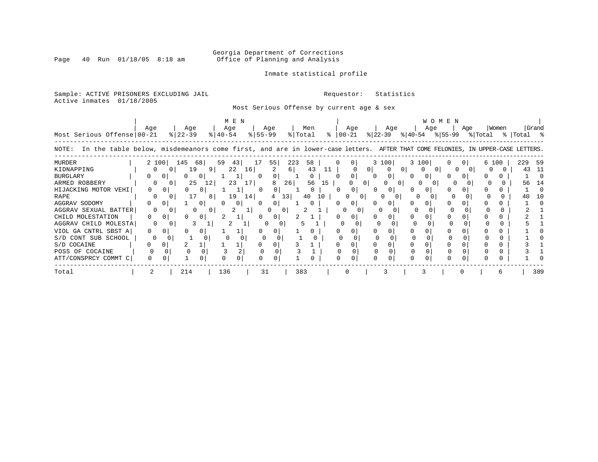# Georgia Department of Corrections<br>Page 40 Run 01/18/05 8:18 am 60ffice of Planning and Analysis Office of Planning and Analysis

### Inmate statistical profile

Sample: ACTIVE PRISONERS EXCLUDING JAIL **Requestor:** Statistics Active inmates 01/18/2005

Most Serious Offense by current age & sex

|                                                                                                                                      |     | M E N          |                   |                |                    |          |                          |     |                |    |                      |             | WOMEN  |                |       |         |     |         |                |         |       |
|--------------------------------------------------------------------------------------------------------------------------------------|-----|----------------|-------------------|----------------|--------------------|----------|--------------------------|-----|----------------|----|----------------------|-------------|--------|----------------|-------|---------|-----|---------|----------------|---------|-------|
| Most Serious Offense 00-21                                                                                                           | Age |                | Age<br>$8$  22-39 |                | Age<br>$8140 - 54$ |          | Age<br>$8 55-99$         |     | Men<br>% Total |    | Age<br>$8   00 - 21$ | $ 22 - 39 $ | Age    | ୫∣40-54        | Age   | ୫∣55-99 | Age | % Total | Women<br>- % ၂ | Total % | Grand |
| In the table below, misdemeanors come first, and are in lower-case letters. AFTER THAT COME FELONIES, IN UPPER-CASE LETTERS<br>NOTE: |     |                |                   |                |                    |          |                          |     |                |    |                      |             |        |                |       |         |     |         |                |         |       |
| MURDER                                                                                                                               |     | 2 100          | 145               | 681            | 59<br>43           |          | 55                       | 223 | 58             |    |                      |             | 3 100  |                | 3 100 |         |     | 6 100   |                | 229     | -59   |
| KIDNAPPING                                                                                                                           |     | $\Omega$       | 19                | 9 <sup>1</sup> | 22                 | 16       |                          | 6   | 43             | 11 |                      |             |        | 0 <sup>1</sup> |       |         |     |         |                | 43      |       |
| <b>BURGLARY</b>                                                                                                                      | 0   | 0              |                   | 0              |                    |          |                          |     | 0              |    | 0                    |             | 0      | 0              | 0     |         |     |         |                |         |       |
| ARMED ROBBERY                                                                                                                        |     | $\Omega$       | 25                | 12             | 23                 | 17       | 8                        | 26  | 56             | 15 |                      | $\Omega$    | 0<br>0 |                |       |         |     |         |                | 56      | 14    |
| HIJACKING MOTOR VEHI                                                                                                                 |     | $\Omega$       |                   | 0              |                    |          | $\Omega$<br><sup>0</sup> |     | 0              |    | 0                    |             |        |                |       |         |     |         |                |         |       |
| RAPE                                                                                                                                 |     | $\Omega$       |                   | 8              | 19                 | 14       |                          | 13  | 40             | 10 |                      |             |        |                |       |         |     |         |                |         | າ ດ   |
| AGGRAV SODOMY                                                                                                                        | 0   |                |                   | 0 <sup>1</sup> |                    | 0        | 0 <sup>1</sup>           |     |                |    | 0                    |             |        |                |       |         |     |         |                |         |       |
| AGGRAV SEXUAL BATTER                                                                                                                 |     | 0              |                   |                |                    |          |                          | 0   |                |    |                      |             |        |                |       |         |     |         |                |         |       |
| CHILD MOLESTATION                                                                                                                    | 0   |                |                   | 0              |                    |          | 0                        |     |                |    |                      |             |        |                |       |         |     |         |                |         |       |
| AGGRAV CHILD MOLESTA                                                                                                                 |     | 0              |                   |                | 2                  |          |                          | 0   |                |    |                      |             |        |                |       |         |     |         |                |         |       |
| VIOL GA CNTRL SBST A                                                                                                                 | 0   | $\Omega$       |                   | 0              |                    |          |                          |     |                |    |                      |             |        |                |       |         |     |         |                |         |       |
| S/D CONT SUB SCHOOL                                                                                                                  | 0   |                |                   |                |                    |          |                          |     |                |    |                      |             |        |                |       |         |     |         |                |         |       |
| S/D COCAINE                                                                                                                          | 0   | $\mathsf{O}$ . |                   |                |                    |          |                          |     |                |    |                      |             |        |                |       |         |     |         |                |         |       |
| POSS OF COCAINE                                                                                                                      |     |                | $\Omega$          |                | 3                  |          |                          |     |                |    |                      |             |        |                |       |         |     |         |                |         |       |
| ATT/CONSPRCY COMMT C                                                                                                                 |     |                |                   | 0              |                    | $\Omega$ | 0                        |     |                |    | U<br>$\Omega$        |             |        |                |       | U       |     |         |                |         |       |
| Total                                                                                                                                |     |                | 214               |                | 136                |          | 31                       |     | 383            |    |                      |             |        |                |       |         |     |         |                |         | 389   |